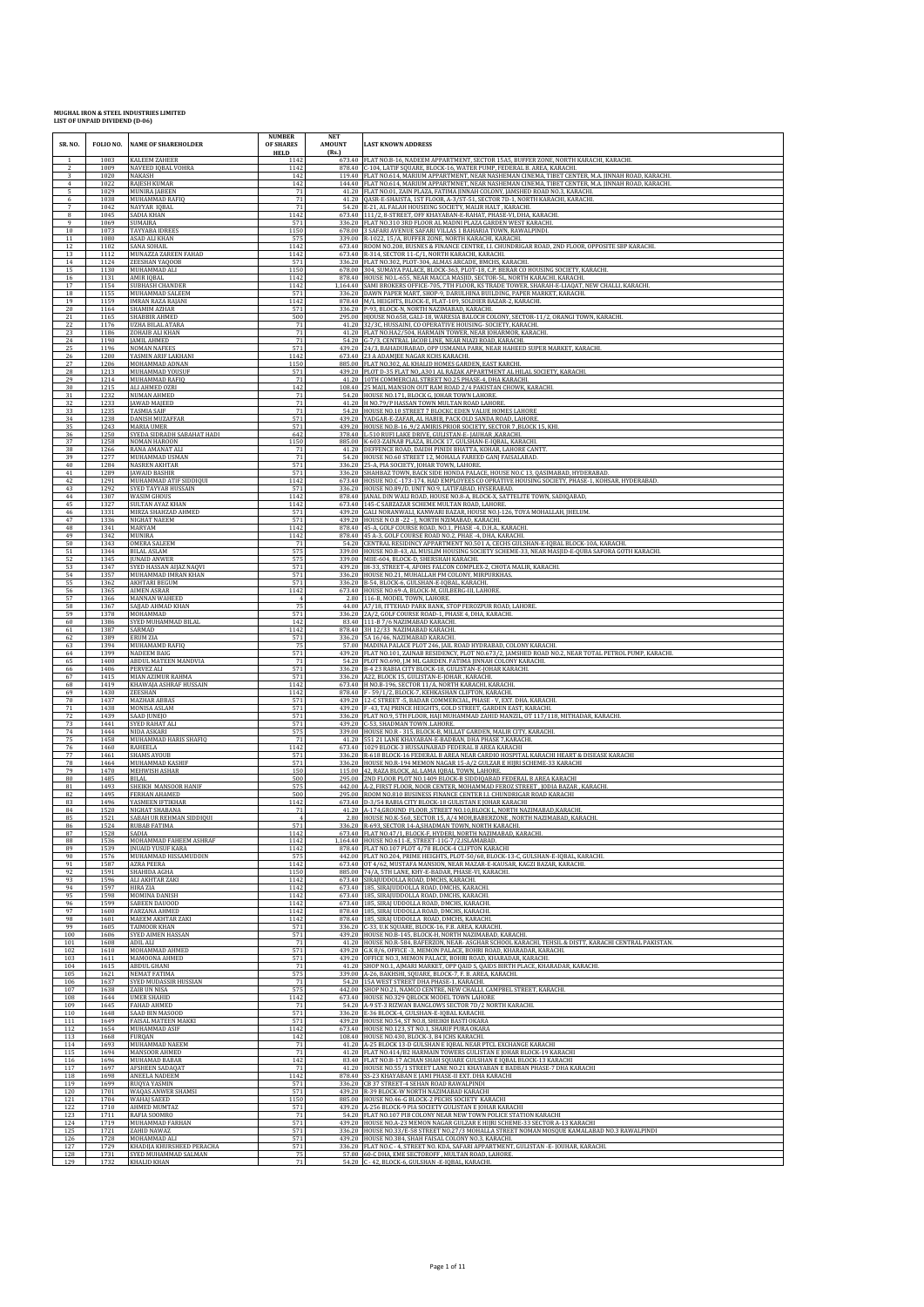| SR. NO.             | FOLIO NO.            | <b>NAME OF SHAREHOLDER</b>                                            | <b>NUMBER</b><br>OF SHARES<br><b>HELD</b> | <b>NET</b><br><b>AMOUNT</b><br>(Rs.) | <b>LAST KNOWN ADDRESS</b>                                                                                                                                                                                                             |
|---------------------|----------------------|-----------------------------------------------------------------------|-------------------------------------------|--------------------------------------|---------------------------------------------------------------------------------------------------------------------------------------------------------------------------------------------------------------------------------------|
| 2                   | 1003<br>1009         | <b>KALEEM ZAHEER</b><br>NAVEED IQBAL VOHRA                            | 1142<br>1142                              |                                      | 673.40 FLAT NO.B-16, NADEEM APPARTMENT, SECTOR 15A5, BUFFER ZONE, NORTH KARACHI, KARACHI<br>878.40 C-104, LATIF SQUARE, BLOCK-16, WATER PUMP, FEDERAL B. AREA, KARACHI.                                                               |
| 3<br>$\overline{4}$ | 1020<br>1022         | NAKASH<br><b>RAJESH KUMAR</b>                                         | 142                                       |                                      | 119.40   FLAT NO.614, MARIUM APPARTMENT, NEAR NASHEMAN CINEMA, TIBET CENTER, M.A. JINNAH ROAD, KARACHI                                                                                                                                |
| 5                   | 1029                 | MUNIRA JABEEN                                                         | 142<br>71<br>71                           |                                      | 144.40 FLAT NO.614, MARIUM APPARTMNET, NEAR NASHEMAN CINEMA, TIBET CENTER, M.A. JINNAH ROAD, KARACHI.<br>41.20 FLAT NO.01, ZAIN PLAZA, FATIMA JINNAH COLONY, JAMSHED ROAD NO.3, KARACHI.                                              |
| 6<br>7              | 1038<br>1042         | MUHAMMAD RAFIQ<br>NAYYAR IQBAL                                        | 71                                        |                                      | $41.20\;$ QASR-E-SHAISTA, 1ST FLOOR, A-3/ST-51, SECTOR 7D-1, NORTH KARACHI, KARACHI. 54.20 E-21, AL FALAH HOUSEING SOCIETY, MALIR HALT , KARACHI.                                                                                     |
| 8                   | 1045                 | SADIA KHAN                                                            | 1142                                      |                                      | 673.40 111/2, 8-STREET, OFF KHAYABAN-E-RAHAT, PHASE-VI, DHA, KARACHI.                                                                                                                                                                 |
| 9                   | 1069                 | SUMAIRA                                                               | 571                                       |                                      | 336.20 FLAT NO.310 3RD FLOOR AL MADNI PLAZA GARDEN WEST KARACHI.                                                                                                                                                                      |
| 10                  | 1073                 | <b>TAYYABA IDREES</b>                                                 | 1150                                      |                                      | 678.00 3 SAFARI AVENUE SAFARI VILLAS 1 BAHARIA TOWN, RAWALPINDI.                                                                                                                                                                      |
| 11                  | 1080                 | <b>ASAD ALI KHAN</b>                                                  | 575                                       |                                      | 339.00 R-1022, 15/A, BUFFER ZONE, NORTH KARACHI, KARACHI.                                                                                                                                                                             |
| 12                  | 1102                 | SANA SOHAIL                                                           | 1142                                      |                                      | 673.40 ROOM NO.208, BUSNES & FINANCE CENTRE, LI. CHUNDRIGAR ROAD, 2ND FLOOR, OPPOSITE SBP KARACHI.                                                                                                                                    |
| 13                  | 1112                 | MUNAZZA ZAREEN FAHAD                                                  | 1142                                      |                                      | 673.40 R-314, SECTOR 11-C/1, NORTH KARACHI, KARACHI.                                                                                                                                                                                  |
| 14                  | 1124                 | ZEESHAN YAQOOB                                                        | 571                                       |                                      | 336.20 FLAT NO.302, PLOT-304, ALMAS ARCADE, BMCHS, KARACHI.                                                                                                                                                                           |
| 15                  | 1130                 | MUHAMMAD ALI                                                          | 1150                                      |                                      | 678.00 304, SUMAYA PALACE, BLOCK-363, PLOT-18, C.P. BERAR CO HOUSING SOCIETY, KARACHI.                                                                                                                                                |
| 16                  | 1131                 | AMIR IQBAL                                                            | 1142                                      |                                      | 878.40 HOUSE NO.L-655, NEAR MACCA MASJID, SECTOR-5L, NORTH KARACHI, KARACHI.                                                                                                                                                          |
| $17\,$              | 1154                 | SUBHASH CHANDER                                                       | 1142                                      |                                      | 1,164.40 SAMI BROKERS OFFICE-705, 7TH FLOOR, KS TRADE TOWER, SHARAH-E-LIAQAT, NEW CHALLI, KARACHI                                                                                                                                     |
| 18                  | 1155                 | MUHAMMAD SALEEM                                                       | 571                                       |                                      | 336.20 DAWN PAPER MART, SHOP-9, DARULHINA BUILDING, PAPER MARKET, KARACHI.                                                                                                                                                            |
| 19                  | 1159                 | <b>IMRAN RAZA RAJANI</b>                                              | 1142                                      |                                      | 878.40 M/L HEIGHTS, BLOCK-E, FLAT-109, SOLDIER BAZAR-2, KARACHI.                                                                                                                                                                      |
| 20                  | 1164                 | SHAMIM AZHAR                                                          | 571                                       |                                      | 336.20 P-93, BLOCK-N, NORTH NAZIMABAD, KARACHI.                                                                                                                                                                                       |
| 21                  | 1165                 | SHABBIR AHMED                                                         | 500                                       |                                      | 295.00 HJOUSE NO.658, GALI-18, WARESIA BALOCH COLONY, SECTOR-11/2, ORANGI TOWN, KARACHI.                                                                                                                                              |
| 22                  | 1176                 | UZHA BILAL ATARA                                                      | 71                                        |                                      | 41.20 32/3C, HUSSAINI, CO OPERATIVE HOUSING- SOCIETY, KARACHI                                                                                                                                                                         |
| 23                  | 1186                 | ZOHAIB ALI KHAN                                                       | 71                                        |                                      | 41.20 FLAT NO.HA2/504, HARMAIN TOWER, NEAR JOHARMOR, KARACHI.                                                                                                                                                                         |
| 24                  | 1190                 | <b>JAMIL AHMED</b>                                                    | 71                                        |                                      | 54.20 G-7/3, CENTRAL JACOB LINE, NEAR NIAZI ROAD, KARACHI.                                                                                                                                                                            |
| 25                  | 1196                 | <b>NOMAN NAFEES</b>                                                   | 571                                       |                                      | 439.20 24/3, BAHADURABAD, OPP USMANIA PARK, NEAR HAHEED SUPER MARKET, KARACHI                                                                                                                                                         |
| 26                  | 1200                 | YASMIN ARIF LAKHANI                                                   | 1142                                      |                                      | 673.40 23 A ADAMIEE NAGAR KCHS KARACHI.                                                                                                                                                                                               |
| 27                  | 1206                 | MOHAMMAD ADNAN                                                        | 1150                                      |                                      | 885.00 FLAT NO.302, AL KHALID HOMES GARDEN, EAST KARCHI.                                                                                                                                                                              |
| 28<br>29            | 1213<br>1214         | MUHAMMAD YOUSUF<br>MUHAMMAD RAFIQ                                     | 571<br>71<br>142                          |                                      | 439.20 PLOT D-35 FLAT NO, A301 AL RAZAK APPARTMENT AL HILAL SOCIETY, KARACHI<br>41.20 10TH COMMERCIAL STREET NO.25 PHASE-4, DHA KARACHI.                                                                                              |
| 30<br>31<br>32      | 1215<br>1232<br>1233 | ALI AHMED OZRI<br>NUMAN AHMED<br><b>JAWAD MAJEED</b>                  | 71<br>71                                  |                                      | 108.40 25 MAIL MANSION OUT RAM ROAD 2/4 PAKISTAN CHOWK, KARACHI.<br>54.20 HOUSE NO.171, BLOCK G, JOHAR TOWN LAHORE<br>41.20 H NO.79/P HASSAN TOWN MULTAN ROAD LAHORE                                                                  |
| 33                  | 1235                 | <b>TASMIA SAIF</b>                                                    | 71                                        |                                      | 54.20 HOUSE NO.10 STREET 7 BLOCKC EDEN VALUE HOMES LAHORE                                                                                                                                                                             |
| 34                  | 1238                 | <b>DANISH MUZAFFAR</b>                                                | 571                                       |                                      | 439.20 YADGAR-E-ZAFAR, AL HABIB, PACK OLD SANDA ROAD, LAHORE                                                                                                                                                                          |
| 35                  | 1243<br>1250         | <b>MARIA UMER</b>                                                     | 571                                       |                                      | 439.20 HOUSE NO.B-16.9/2 AMIRIS PRIOR SOCIETY, SECTOR 7 ,BLOCK 15, KHI                                                                                                                                                                |
| 36<br>37<br>38      | 1258                 | SYEDA SIDRADH SABAHAT HADI<br><b>NOMAN HAROON</b>                     | 642<br>1150<br>71                         | 885.00                               | 378.40 L-510 RUFI LAKE DRIVE, GULISTAN-E- JAUHAR, KARACHI.<br>K-603-ZAINAB PLAZA, BLOCK 17, GULSHAN-E-IQBAL, KARACHI<br>41.20 DEFFENCE ROAD, DAIDH PINIDI BHATTA, KOHAR, LAHORE CANTT                                                 |
| 39<br>40            | 1266<br>1277<br>1284 | RANA AMANAT ALI<br>MUHAMMAD USMAN<br><b>NASREN AKHTAR</b>             | 71                                        |                                      | 54.20 HOUSE NO.60 STREET 12, MOHALA FAREED GANJ FAISALABAD.                                                                                                                                                                           |
| 41<br>42            | 1289<br>1291         | <b>JAWAID BASHIR</b><br>MUHAMMAD ATIF SIDDIQUI                        | 571<br>571<br>1142                        |                                      | 336.20 25-A, PIA SOCIETY, JOHAR TOWN, LAHORE<br>336.20 SHAHBAZ TOWN, BACK SIDE HONDA PALACE, HOUSE NO.C 13, QASIMABAD, HYDERABAD<br>673.40 HOSUE NO.C -173-174, HAD EMPLOYEES CO OPRATIVE HOUSING SOCIETY, PHASE-1, KOHSAR, HYDERABAD |
| 43                  | 1292<br>1307         | SYED TAYYAB HUSSAIN                                                   | 571                                       |                                      | 336.20 HOUSE NO.89/D, UNIT NO.9, LATIFABAD, HYSERABAD.<br>878.40   JANAL DIN WALI ROAD, HOUSE NO.8-A, BLOCK-X, SATTELITE TOWN, SADIQABAD,                                                                                             |
| 44<br>45            | 1327                 | <b>WASIM GHOUS</b><br>SULTAN AYAZ KHAN                                | 1142<br>1142                              |                                      | 673.40 145-C SABZAZAR SCHEME MULTAN ROAD, LAHORE                                                                                                                                                                                      |
| 46<br>47<br>48      | 1331<br>1336<br>1341 | MIRZA SHAHZAD AHMED<br>NIGHAT NAEEM                                   | 571<br>571<br>1142                        |                                      | 439.20 GALI NORANWALI, KANWARI BAZAR, HOUSE NO.J-126, TOYA MOHALLAH, JHELUM.<br>439.20 HOUSE N O.B -22 - J, NORTH NZIMABAD, KARACHI.                                                                                                  |
| 49<br>50            | 1342<br>1343         | MARYAM<br>MUNIRA<br><b>OMERA SALEEM</b>                               | 1142<br>71                                |                                      | 1978.40 45.A, GOLF COURSE ROAD, NO.1, PHASE -4, D.H.A., KARACHI<br>878.40 45.A., GOLF COURSE ROAD NO.2, PHAE -4, DHA, KARACHI.<br>54.20 CENTRAL RESIDINCY APPARTMENT NO.501 A, CECHS GULSHAN-E-IQBAL BLOCK-10A, KARACHI               |
| 51                  | 1344                 | <b>BILAL ASLAM</b>                                                    | 575                                       |                                      | 339.00 HOUSE NO.B-43, AL MUSLIM HOUSING SOCIETY SCHEME-33, NEAR MASIID-E-QUBA SAFORA GOTH KARACHI<br>339.00 MIIE-604, BLOCK-D, SHERSHAH KARACHI.                                                                                      |
| 52<br>53<br>54      | 1345<br>1347<br>1357 | <b>JUNAID ANWER</b><br>SYED HASSAN AIJAZ NAQVI<br>MUHAMMAD IMRAN KHAN | 575<br>571<br>571                         |                                      | 439.20 IH-33, STREET-4, AFOHS FALCON COMPLEX-2, CHOTA MALIR, KARACHI.<br>336.20 HOUSE NO.21, MUHALLAH PM COLONY, MIRPURKHAS                                                                                                           |
| 55                  | 1362<br>1365         | <b>AKHTARI BEGUM</b><br><b>AIMEN ASRAR</b>                            | 571<br>1142                               |                                      | 336.20 B-54, BLOCK-6, GULSHAN-E-IQBAL, KARACHI.<br>673.40 HOUSE NO.69-A, BLOCK-M, GULBERG-III, LAHORE.                                                                                                                                |
| 56<br>57            | 1366                 | MANNAN WAHEEL                                                         | 4<br>75                                   |                                      | 2.80 116-B, MODEL TOWN, LAHORE.                                                                                                                                                                                                       |
| 58<br>59<br>60      | 1367<br>1378<br>1386 | SAJJAD AHMAD KHAN<br>MOHAMMAD                                         | 571                                       |                                      | 44.00 A7/18, ITTEHAD PARK BANK, STOP FEROZPUR ROAD, LAHORE<br>336.20 2A/2, GOLF COURSE ROAD-1, PHASE 4, DHA, KARACHI.<br>83.40 111-B 7/6 NAZIMABAD KARACHI.                                                                           |
| 61                  | 1387<br>1389         | SYED MUHAMMAD BILAL<br>SARMAD<br><b>ERUM ZIA</b>                      | 142<br>1142<br>571                        |                                      | 878.40 3H 12/33 NAZIMABAD KARACHI.                                                                                                                                                                                                    |
| 62<br>63<br>64      | 1394<br>1399         | MUHAMAMD RAFIQ<br><b>NADEEM BAIG</b>                                  | 75<br>571                                 |                                      | 336.20 5A 16/46, NAZIMABAD KARACHI.<br>57.00 MADINA PALACE PLOT 246, JAIL ROAD HYDRABAD, COLONY KARACHI.<br>439.20 FLAT NO.101, ZAINAB RESIDENCY, PLOT NO.673/2, JAMSHED ROAD NO.2, NEAR TOTAL PETROL PUMP, KARACHI                   |
| 65                  | 1400<br>1406         | ABDUL MATEEN MANDVIA                                                  | 71<br>571                                 |                                      | 54.20 PLOT NO.690, J.M ML GARDEN. FATIMA JINNAH COLONY KARACHI.<br>336.20 B-4 23 RABIA CITY BLOCK-18, GULISTAN-E-JOHAR KARACHI                                                                                                        |
| 66<br>67<br>68      | 1415<br>1419         | PERVEZ ALI<br>MIAN AZIMUR RAHMA<br>KHAWAJA ASHRAF HUSSAIN             | 571<br>1142                               |                                      | 336.20 A22, BLOCK 15, GULISTAN-E-JOHAR, KARACHI.<br>673.40 H NO.B-196, SECTOR 11/A, NORTH KARACHI, KARACHI.                                                                                                                           |
| 69                  | 1430                 | ZEESHAN                                                               | 1142                                      |                                      | 878.40 F - 59/1/2, BLOCK-7, KEHKASHAN CLIFTON, KARACHI.                                                                                                                                                                               |
| 70                  | 1437                 | MAZHAR ABBAS                                                          | 571                                       |                                      | 439.20 12-C STREET - 5, BADAR COMMERCIAL, PHASE - V, EXT. DHA. KARACHI.                                                                                                                                                               |
| 71                  | 1438                 | MONISA ASLAM                                                          | 571                                       |                                      | 439.20 F -43, TAJ PRINCE HEIGHTS, GOLD STREET, GARDEN EAST, KARACHI.                                                                                                                                                                  |
| 72                  | 1439                 | SAAD JUNEJO                                                           | 571                                       |                                      | 336.20 FLAT NO.9, 5TH FLOOR, HAJI MUHAMMAD ZAHID MANZIL, OT 117/118, MITHADAR, KARACHI                                                                                                                                                |
| 73                  | 1441                 | <b>SYED RAHAT ALI</b>                                                 | 571                                       |                                      | 439.20 C-53, SHADMAN TOWN .LAHORE.                                                                                                                                                                                                    |
| 74                  | 1444                 | NIDA ASKARI                                                           | 575                                       |                                      | 339.00   HOUSE NO.R - 315, BLOCK-B, MILLAT GARDEN, MALIR CITY, KARACHI.                                                                                                                                                               |
| 75                  | 1458                 | MUHAMMAD HARIS SHAFIQ                                                 | 71                                        |                                      | 41.20 551 21 LANE KHAYABAN-E-BADBAN, DHA PHASE 7, KARACHI.                                                                                                                                                                            |
| 76                  | 1460                 | RAHEELA                                                               | 1142                                      |                                      | 673.40 1029 BLOCK-3 HUSSAINABAD FEDERAL B AREA KARACHI                                                                                                                                                                                |
| 77<br>78            | 1461<br>1464         | <b>SHAMS AYOUB</b><br>MUHAMMAD KASHIF                                 | 571<br>571                                |                                      | 336.20 R-618 BLOCK-16 FEDERAL B AREA NEAR CARDIO HOSPITAL KARACHI HEART & DISEASE KARACHI                                                                                                                                             |
| 79                  | 1470                 | MEHWISH ASHAR                                                         | 150                                       |                                      | 336.20 HOUSE NO.R-194 MEMON NAGAR 15-A/2 GULZAR E HIJRI SCHEME-33 KARACHI 115.00 42, RAZA BLOCK, AL LAMA IQBAL TOWN, LAHORE.                                                                                                          |
| 80                  | 1485                 | BILAL                                                                 | 500                                       |                                      | 295.00 2ND FLOOR PLOT NO.1409 BLOCK-B SIDDIQABAD FEDERAL B AREA KARACHI                                                                                                                                                               |
| 81                  | 1493                 | SHEIKH MANSOOR HANIF                                                  | 575                                       | 442.00                               | A-2, FIRST FLOOR, NOOR CENTER, MOHAMMAD FEROZ STREET, JODIA BAZAR, KARACHI.                                                                                                                                                           |
| 82                  | 1495                 | FERHAN AHAMED                                                         | 500                                       |                                      | 295.00 ROOM NO.810 BUSINESS FINANCE CENTER I.I. CHUNDRIGAR ROAD KARACHI                                                                                                                                                               |
| 83                  | 1496                 | YASMEEN IFTIKHAR                                                      | 1142                                      |                                      | 673.40 D-3/54 RABIA CITY BLOCK-18 GULISTAN E JOHAR KARACHI                                                                                                                                                                            |
| 84                  | 1520                 | NIGHAT SHABANA                                                        | 71                                        |                                      | 41.20 A-174, GROUND FLOOR, STREET NO.10, BLOCK L, NORTH NAZIMABAD, KARACHI                                                                                                                                                            |
| 85                  | 1521                 | SABAH UR REHMAN SIDDIQUI                                              | $\overline{4}$                            |                                      | 2.80 HOUSE NO.K-560, SECTOR 15, A/4 MOH, BABERZONE, NORTH NAZIMABAD, KARACHI.                                                                                                                                                         |
| 86                  | 1524                 | <b>RUBAB FATIMA</b>                                                   | 571                                       |                                      | 336.20 R-693, SECTOR 14-A, SHADMAN TOWN, NORTH KARACHI.                                                                                                                                                                               |
| 87                  | 1528                 | SADIA                                                                 | 1142                                      |                                      | 673.40 FLAT NO.47/1, BLOCK-F, HYDERI, NORTH NAZIMABAD, KARACHI                                                                                                                                                                        |
| 88                  | 1536                 | MOHAMMAD FAHEEM ASHRAF                                                | 1142                                      |                                      | 1,164.40 HOUSE NO.611-E, STREET-11G-7/2, ISLAMABAD.                                                                                                                                                                                   |
| 89                  | 1539                 | <b>INUAID YUSUF KARA</b>                                              | 1142                                      |                                      | 878.40 FLAT NO.107 PLOT 4/78 BLOCK-4 CLIFTON KARACHI                                                                                                                                                                                  |
| 90                  | 1576                 | MUHAMMAD HISSAMUDDIN                                                  | 575                                       |                                      | 442.00 FLAT NO.204, PRIME HEIGHTS, PLOT-50/60, BLOCK-13-C, GULSHAN-E-IQBAL, KARACHI                                                                                                                                                   |
| 91                  | 1587                 | <b>AZRA PEERA</b>                                                     | 1142                                      |                                      | 673.40 OT 4/62, MUSTAFA MANSION, NEAR MAZAR-E-KAUSAR, KAGZI BAZAR, KARACHI.                                                                                                                                                           |
| 92                  | 1591                 | SHAHIDA AGHA                                                          | 1150                                      |                                      | 885.00 74/A, 5TH LANE, KHY-E-BADAR, PHASE-VI, KARACHI.                                                                                                                                                                                |
| 93                  | 1596                 | ALI AKHTAR ZAKI                                                       | 1142                                      |                                      | 673.40 SIRAJUDDOLLA ROAD, DMCHS, KARACHI.                                                                                                                                                                                             |
| 94                  | 1597                 | HIRA ZIA                                                              | 1142                                      |                                      | 673.40 185, SIRAJUDDOLLA ROAD, DMCHS, KARACHI.                                                                                                                                                                                        |
| 95                  | 1598                 | <b>MOMINA DANISH</b>                                                  | 1142                                      |                                      | 673.40 185, SIRAJUDDOLLA ROAD, DMCHS, KARACHL                                                                                                                                                                                         |
| 96                  | 1599                 | <b>SABEEN DAUOOD</b>                                                  | 1142                                      |                                      | 673.40 185, SIRAJ UDDOLLA ROAD, DMCHS, KARACHI.                                                                                                                                                                                       |
| 97                  | 1600                 | FARZANA AHMED                                                         | 1142                                      |                                      | 878.40 185, SIRAJ UDDOLLA ROAD, DMCHS, KARACHI.                                                                                                                                                                                       |
| 98                  | 1601                 | <b>MAEEM AKHTAR ZAKI</b>                                              | 1142                                      |                                      | 878.40 185, SIRAJ UDDOLLA ROAD, DMCHS, KARACHI.                                                                                                                                                                                       |
| 99                  | 1605                 | TAIMOOR KHAN                                                          | 571                                       |                                      | 336.20 C-33, U.K SQUARE, BLOCK-16, F.B. AREA, KARACHI.                                                                                                                                                                                |
| 100                 | 1606                 | SYED AIMEN HASSAN                                                     | 571                                       |                                      | 439.20 HOUSE NO.B-145, BLOCK-H, NORTH NAZIMABAD, KARACHI                                                                                                                                                                              |
| 101                 | 1608                 | ADIL ALI                                                              | 71                                        |                                      | 41.20 HOUSE NO.R-584, BAFERZON, NEAR-ASGHAR SCHOOL KARACHI, TEHSIL & DISTT, KARACHI CENTRAL PAKISTAN.                                                                                                                                 |
| 102                 | 1610                 | MOHAMMAD AHMED                                                        | 571                                       |                                      | 439.20 G.K 8/6, OFFICE -3, MEMON PALACE, BOHRI ROAD, KHARADAR, KARACHI.                                                                                                                                                               |
| 103                 | 1611                 | MAMOONA AHMED                                                         | 571                                       |                                      | 439.20 OFFICE NO.3, MEMON PALACE, BOHRI ROAD, KHARADAR, KARACHI.                                                                                                                                                                      |
| 104                 | 1615                 | ABDUL GHANI                                                           | 71                                        |                                      | 41.20 SHOP NO.1, AJMARI MARKET, OPP QAID S, QAIDS BIRTH PLACE, KHARADAR, KARACHI.                                                                                                                                                     |
| 105                 | 1621                 | <b>NEMAT FATIMA</b>                                                   | 575                                       |                                      | 339.00 A-26, BAKHSHI, SQUARE, BLOCK-7, F. B. AREA, KARACHI.                                                                                                                                                                           |
| 106                 | 1637                 | SYED MUDASSIR HUSSIAN                                                 | 71                                        |                                      | 54.20 15A WEST STREET DHA PHASE-1, KARACHI.                                                                                                                                                                                           |
| 107                 | 1638                 | ZAIB UN NISA                                                          | 575                                       |                                      | 442.00 SHOP NO.21, NAMCO CENTRE, NEW CHALLI, CAMPBEL STREET, KARACHI.                                                                                                                                                                 |
| 108                 | 1644                 | <b>UMER SHAHID</b>                                                    | 1142                                      |                                      | 673.40 HOUSE NO.329 QBLOCK MODEL TOWN LAHORE                                                                                                                                                                                          |
| 109                 | 1645                 | FAHAD AHMED                                                           | 71                                        |                                      | 54.20 A-9 ST-3 RIZWAN BANGLOWS SECTOR 7D/2 NORTH KARACHI                                                                                                                                                                              |
| 110                 | 1648                 | SAAD BIN MASOOD                                                       | 571                                       |                                      | 336.20 E-36 BLOCK-4, GULSHAN-E-IQBAL KARACHI.                                                                                                                                                                                         |
| 111                 | 1649                 | FAISAL MATEEN MAKKI                                                   | 571                                       |                                      | 439.20 HOUSE NO.54, ST NO.8, SHEIKH BASTI OKARA                                                                                                                                                                                       |
| 112                 | 1654                 | MUHAMMAD ASIF                                                         | 1142                                      |                                      | 673.40 HOUSE NO.123, ST NO.1, SHARIF PURA OKARA                                                                                                                                                                                       |
| 113                 | 1668                 | FURQAN                                                                | 142                                       |                                      | 108.40 HOUSE NO.430, BLOCK-3, B4 JCHS KARACHI.                                                                                                                                                                                        |
| 114                 | 1693                 | MUHAMMAD NAEEM                                                        | 71                                        |                                      | 41.20 A-25 BLOCK 13-D GULSHAN E IQBAL NEAR PTCL EXCHANGE KARACHI                                                                                                                                                                      |
| 115                 | 1694                 | MANSOOR AHMED                                                         | 71                                        |                                      | 41.20 FLAT NO.414/B2 HARMAIN TOWERS GULISTAN E JOHAR BLOCK-19 KARACHI                                                                                                                                                                 |
| 116                 | 1696                 | MUHAMAD BABAR                                                         | 142                                       |                                      | 83.40 FLAT NO.B-17 ACHAN SHAH SQUARE GULSHAN E IQBAL BLOCK-13 KARACHI                                                                                                                                                                 |
| 117                 | 1697                 | <b>AFSHEEN SADAQAT</b>                                                | 71                                        |                                      | 41.20 HOUSE NO.55/1 STREET LANE NO.21 KHAYABAN E BADBAN PHASE-7 DHA KARACHI                                                                                                                                                           |
| 118                 | 1698                 | ANEELA NADEEM                                                         | 1142                                      |                                      | 878.40 SS-23 KHAYABAN E JAMI PHASE-II EXT. DHA KARACHI                                                                                                                                                                                |
| 119                 | 1699                 | RUQYA YASMIN                                                          | 571                                       |                                      | 336.20 CB 37 STREET-4 SEHAN ROAD RAWALPINDI                                                                                                                                                                                           |
| 120                 | 1701                 | WAQAS ANWER SHAMSI                                                    | 571                                       |                                      | 439.20 R-39 BLOCK-W NORTH NAZIMABAD KARACHI                                                                                                                                                                                           |
| 121                 | 1704                 | WAHAJ SAEED                                                           | 1150                                      |                                      | 885.00 HOUSE NO.46-G BLOCK-2 PECHS SOCIETY KARACHI                                                                                                                                                                                    |
| 122                 | 1710                 | AHMED MUMTAZ                                                          | 571                                       |                                      | 439.20 A-256 BLOCK-9 PIA SOCIETY GULISTAN E JOHAR KARACHI                                                                                                                                                                             |
| 123                 | 1711                 | RAFIA SOOMRO                                                          | 71                                        |                                      | 54.20 FLAT NO.107 PIB COLONY NEAR NEW TOWN POLICE STATION KARACHI                                                                                                                                                                     |
| 124                 | 1719                 | MUHAMMAD FARHAN                                                       | 571                                       |                                      | 439.20 HOUSE NO.A-23 MEMON NAGAR GULZAR E HIJRI SCHEME-33 SECTOR A-13 KARACHI                                                                                                                                                         |
| 125                 | 1721                 | ZAHID NAWAZ                                                           | 571                                       |                                      | 336.20 HOUSE NO.33/E-58 STREET NO.27/3 MOHALLA STREET NOMAN MOSQUE KAMALABAD NO.3 RAWALPINDI                                                                                                                                          |
| 126                 | 1728                 | MOHAMMAD ALI                                                          | 571                                       |                                      | 439.20 HOUSE NO.384, SHAH FAISAL COLONY NO.3, KARACHI.                                                                                                                                                                                |
| 127                 | 1729                 | KHADIJA KHURSHEED PERACHA                                             | 571                                       |                                      | 336.20 FLAT NO.C - 4, STREET NO. KDA, SAFARI APPARTMENT, GULISTAN - E-JOUHAR, KARACHI.                                                                                                                                                |
| 128                 | 1731                 | SYED MUHAMMAD SALMAN                                                  | 75                                        |                                      | 57.00 60-C DHA, EME SECTOROFF, MULTAN ROAD, LAHORE.                                                                                                                                                                                   |
| 129                 | 1732                 | <b>KHALID KHAN</b>                                                    | 71                                        |                                      | 54.20 C - 42, BLOCK-6, GULSHAN -E-IQBAL, KARACHI.                                                                                                                                                                                     |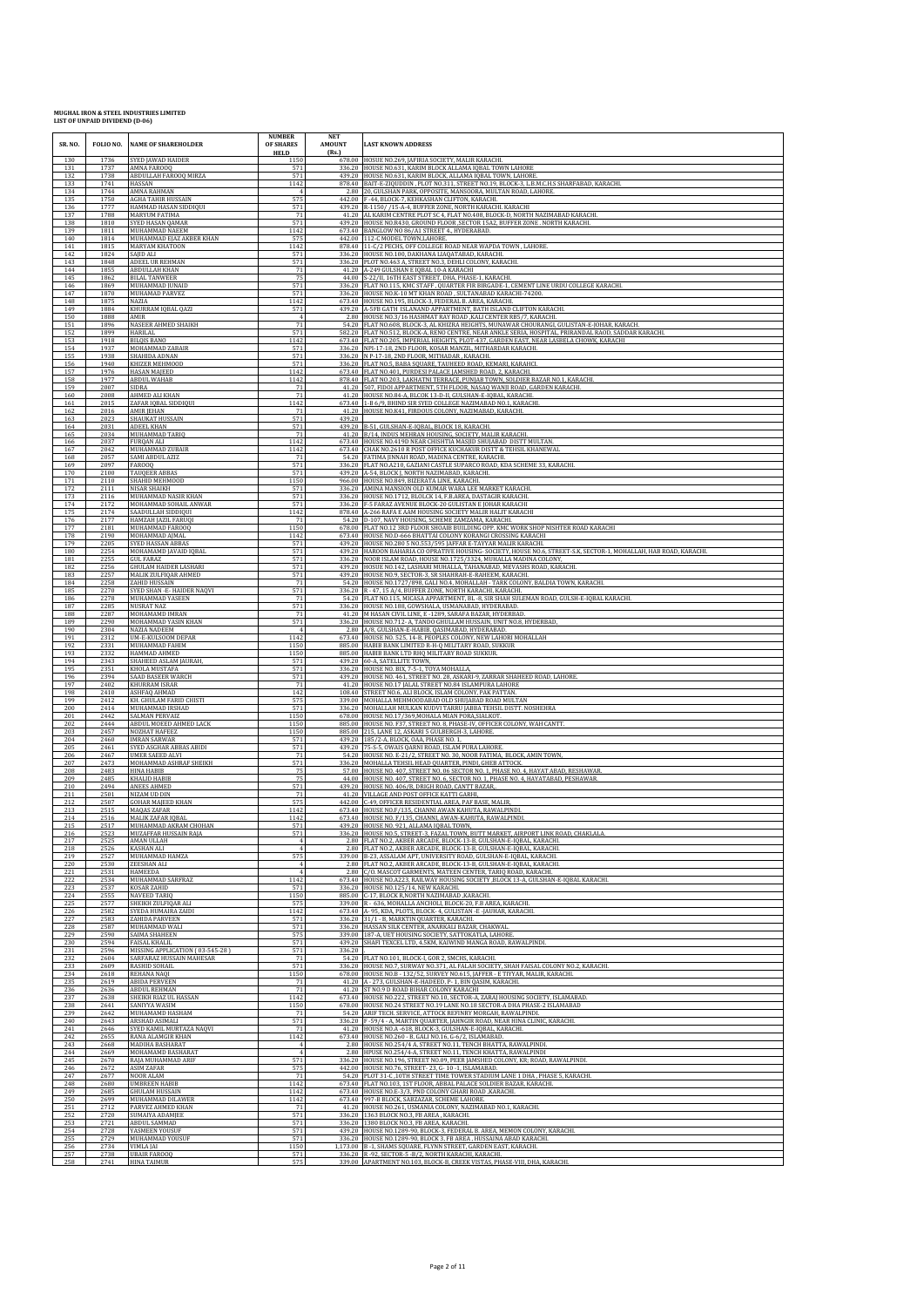| SR. NO.           | FOLIO NO.            | <b>NAME OF SHAREHOLDER</b>                                                   | <b>NUMBER</b><br>OF SHARES<br><b>HELD</b> | <b>NET</b><br><b>AMOUNT</b><br>(Rs.) | <b>LAST KNOWN ADDRESS</b>                                                                                                                                                                                                   |
|-------------------|----------------------|------------------------------------------------------------------------------|-------------------------------------------|--------------------------------------|-----------------------------------------------------------------------------------------------------------------------------------------------------------------------------------------------------------------------------|
| 130               | 1736                 | SYED JAWAD HAIDER                                                            | 1150                                      |                                      | 678.00 HOSUE NO.269, JAFIRIA SOCIETY, MALIR KARACHI.                                                                                                                                                                        |
| 131               | 1737                 | MNA FAROOQ                                                                   | 571                                       |                                      | 336.20 HOUSE NO.631, KARIM BLOCK ALLAMA IQBAL TOWN LAHORE                                                                                                                                                                   |
| 132<br>133<br>134 | 1738<br>1741<br>1744 | ABDULLAH FAROOQ MIRZA<br>HASSAN<br>AMNA RAHMAN                               | 571<br>1142                               |                                      | 439.20 HOUSE NO.631, KARIM BLOCK, ALLAMA IQBAL TOWN, LAHORE<br>878.40 BAIT-E-ZIQUDDIN, PLOT NO.311, STREET NO.19, BLOCK-3, L.B.M.C.H.S SHARFABAD, KARACHL<br>2.80 20. GULSHAN PARK, OPPOSITE, MANSOORA, MULTAN ROAD, LAHORE |
| 135               | 1750                 | AGHA TAHIR HUSSAIN                                                           | 575                                       |                                      | 442.00 F-44, BLOCK-7, KEHKASHAN CLIFTON, KARACHI.                                                                                                                                                                           |
| 136               | 1777                 | HAMMAD HASAN SIDDIQUI                                                        | 571                                       |                                      | 439.20 R-1150/ /15-A-4, BUFFER ZONE, NORTH KARACHI. KARACHI                                                                                                                                                                 |
| 137               | 1788                 | MARYUM FATIMA                                                                | 71                                        |                                      | 41.20 AL KARIM CENTRE PLOT SC 4, FLAT NO.408, BLOCK-D, NORTH NAZIMABAD KARACHI.                                                                                                                                             |
| 138               | 1810                 | SYED HASAN QAMAR                                                             | 571                                       |                                      | 439.20 HOUSE NO.R430, GROUND FLOOR , SECTOR 15A2, BUFFER ZONE . NORTH KARACHI.                                                                                                                                              |
| 139               | 1811                 | MUHAMMAD NAEEM                                                               | 1142                                      |                                      | 673.40 BANGLOW NO 86/A1 STREET 4., HYDERABAD.                                                                                                                                                                               |
| 140               | 1814                 | MUHAMMAD EJAZ AKBER KHAN                                                     | 575                                       |                                      | 442.00 112-C MODEL TOWN, LAHORE.                                                                                                                                                                                            |
| 141               | 1815                 | MARYAM KHATOON                                                               | 1142                                      |                                      | 878.40 11-C/2 PECHS, OFF COLLEGE ROAD NEAR WAPDA TOWN, LAHORE                                                                                                                                                               |
| 142               | 1824                 | SAJID ALI                                                                    | 571                                       |                                      | 336.20 HOUSE NO.100, DAKHANA LIAQATABAD, KARACHI.                                                                                                                                                                           |
| 143               | 1848                 | ADEEL UR REHMAN                                                              | 571                                       |                                      | 336.20 PLOT NO.463 A, STREET NO.3, DEHLI COLONY, KARACHI.                                                                                                                                                                   |
| 144               | 1855                 | ABDULLAH KHAN                                                                | 71                                        |                                      | 41.20 A-249 GULSHAN E IQBAL 10-A KARACHI                                                                                                                                                                                    |
| 145               | 1862                 | <b>BILAL TANWEER</b>                                                         | 75                                        |                                      | 44.00 S-22/II, 16TH EAST STREET, DHA, PHASE-1, KARACHI.                                                                                                                                                                     |
| 146               | 1869                 | MUHAMMAD JUNAID                                                              | 571                                       |                                      | 336.20 FLAT NO.115, KMC STAFF, QUARTER FIR BIRGADE-1, CEMENT LINE URDU COLLEGE KARACHI.                                                                                                                                     |
| 147               | 1870                 | MUHAMAD PARVEZ                                                               | 571                                       |                                      | 336.20 HOUSE NO.K-10 MT KHAN ROAD, SULTANABAD KARACHI-74200.                                                                                                                                                                |
| 148               | 1875                 | NAZIA                                                                        | 1142                                      |                                      | 673.40 HOUSE NO.195, BLOCK-3, FEDERAL B. AREA, KARACHI.                                                                                                                                                                     |
| 149               | 1884                 | KHURRAM IQBAL QAZI                                                           | 571                                       |                                      | 439.20 A-5FB GATH ISLANAND APPARTMENT, BATH ISLAND CLIFTON KARACHI.                                                                                                                                                         |
| 150<br>151        | 1888<br>1896         | AMIR<br>NASEER AHMED SHAIKH                                                  | 71                                        |                                      | 2.80 HOUSE NO.3/16 HASHMAT RAY ROAD ,KALI CENTER RB5/7, KARACHI.<br>54.20 FLAT NO.608, BLOCK-3, AL KHIZRA HEIGHTS, MUNAWAR CHOURANGI, GULISTAN-E-JOHAR, KARACH.                                                             |
| 152               | 1899                 | <b>HARILAL</b>                                                               | 571                                       |                                      | 582.20 FLAT NO.512, BLOCK-A, RENO CENTRE, NEAR ANKLE SERIA, HOSPITAL, PRIRANDAL RAOD, SADDAR KARACHI.                                                                                                                       |
| 153               | 1918                 | <b>BILQIS BANO</b>                                                           | 1142                                      |                                      | 673.40 FLAT NO.205, IMPERIAL HEIGHTS, PLOT-437, GARDEN EAST, NEAR LASBELA CHOWK, KARACHI                                                                                                                                    |
| 154               | 1937                 | MOHAMMAD ZABAIR                                                              | 571                                       |                                      | 336.20 NPI-17-18, 2ND FLOOR, KOSAR MANZIL, MITHARDAR KARACHI.                                                                                                                                                               |
| 155               | 1938                 | SHAHIDA ADNAN                                                                | 571                                       |                                      | 336.20 N P-17-18, 2ND FLOOR, MITHADAR, KARACHI.                                                                                                                                                                             |
| 156               | 1940                 | KHIZER MEHMOOD                                                               | 571                                       |                                      | 336.20 FLAT NO.5, BABA SQUARE, TAUHEED ROAD, KEMARI, KARAHCI.                                                                                                                                                               |
| 157               | 1976                 | HASAN MAJEED                                                                 | 1142                                      |                                      | 673.40 FLAT NO.401, PURDESI PALACE JAMSHED ROAD, 2, KARACHI.                                                                                                                                                                |
| 158               | 1977                 | ABDUL WAHAB                                                                  | 1142                                      |                                      | 878.40 FLAT NO.203, LAKHATNI TERRACE, PUNJAB TOWN, SOLDIER BAZAR NO.1, KARACHI.                                                                                                                                             |
| 159               | 2007                 | SIDRA                                                                        | 71                                        |                                      | 41.20 507, FIDOI APPARTMENT, 5TH FLOOR, NASAQ WANJI ROAD, GARDEN KARACHI.                                                                                                                                                   |
| 160               | 2008                 | AHMED ALI KHAN                                                               | 71                                        |                                      | 41.20 HOUSE NO.84-A, BLCOK 13-D-II, GULSHAN-E-IQBAL, KARACHI.                                                                                                                                                               |
| 161               | 2015                 | ZAFAR IQBAL SIDDIQUI                                                         | 1142                                      |                                      | 673.40 1-B 6/9, BHIND SIR SYED COLLEGE NAZIMABAD NO.1, KARACHI                                                                                                                                                              |
| 162               | 2016                 | AMIR JEHAN                                                                   | 71                                        |                                      | 41.20 HOUSE NO.K41, FIRDOUS COLONY, NAZIMABAD, KARACHI.                                                                                                                                                                     |
| 163<br>164        | 2023<br>2031         | SHAUKAT HUSSAIN<br><b>ADEEL KHAN</b>                                         | 571<br>571                                | 439.20                               | 439.20 B-51, GULSHAN-E-IQBAL, BLOCK 18, KARACHI.                                                                                                                                                                            |
| 165<br>166        | 2034<br>2037<br>2042 | MUHAMMAD TARIQ<br><b>FURQAN ALI</b>                                          | 71<br>1142                                |                                      | 41.20 B/14, INDUS MEHRAN HOUSING, SOCIETY, MALIR KARACHI.<br>673.40 HOUSE NO.419D NEAR CHISHTIA MASJID SHUJABAD DISTT MULTAN.                                                                                               |
| 167<br>168<br>169 | 2057<br>2097         | MUHAMMAD ZUBAIR<br>SAMI ABDUL AZIZ<br>FAR000                                 | 1142<br>71<br>571                         |                                      | 673.40 CHAK NO.2610 R POST OFFICE KUCHAKUR DISTT & TEHSIL KHANEWAL<br>54.20 FATIMA JINNAH ROAD, MADINA CENTRE, KARACHI.<br>336.20 FLAT NO.A210, GAZIANI CASTLE SUPARCO ROAD, KDA SCHEME 33, KARACHI.                        |
| 170               | 2100                 | <b>TAUQEER ABBAS</b>                                                         | 571                                       |                                      | 439.20 A-54, BLOCK J, NORTH NAZIMABAD, KARACHI.                                                                                                                                                                             |
| 171               | 2110                 | SHAHID MEHMOOD                                                               | 1150                                      |                                      | 966.00 HOUSE NO.849, BIZERATA LINE, KARACHI.                                                                                                                                                                                |
| 172               | 2111                 | NISAR SHAIKH                                                                 | 571                                       |                                      | 336.20 AMINA MANSION OLD KUMAR WARA LEE MARKET KARACHI.                                                                                                                                                                     |
| 173               | 2116                 | MUHAMMAD NASIR KHAN                                                          | 571                                       |                                      | 336.20 HOUSE NO.1712, BLOLCK 14, F.B.AREA, DASTAGIR KARACHI.                                                                                                                                                                |
| 174               | 2172                 | MOHAMMAD SOHAIL ANWAR                                                        | 571                                       |                                      | 336.20 F-5 FARAZ AVENUE BLOCK-20 GULISTAN E JOHAR KARACHI                                                                                                                                                                   |
| 175               | 2174                 | <b>AADULLAH SIDDIQUI</b>                                                     | 1142                                      |                                      | 878.40 A-266 RAFA E AAM HOUSING SOCIETY MALIR HALIT KARACHI                                                                                                                                                                 |
| 176               | 2177                 | HAMZAH JAZIL FARUQI                                                          | 71                                        |                                      | 54.20 D-107, NAVY HOUSING, SCHEME ZAMZAMA, KARACHI.                                                                                                                                                                         |
| 177               | 2181                 | MUHAMMAD FAROOQ                                                              | 1150                                      |                                      | 678.00 FLAT NO.12 3RD FLOOR SHOAIB BUILDING OPP. KMC WORK SHOP NISHTER ROAD KARACHI                                                                                                                                         |
| 178               | 2190                 | <b>MOHAMMAD AIMAL</b>                                                        | 1142                                      |                                      | 673.40 HOUSE NO.D-666 BHATTAI COLONY KORANGI CROSSING KARACHI                                                                                                                                                               |
| 179               | 2205                 | SYED HASSAN ABBAS                                                            | 571                                       |                                      | 439.20 HOUSE NO.280 5 NO.553/595 JAFFAR E-TAYYAR MALIR KARACHI.                                                                                                                                                             |
| 180               | 2254                 | MOHAMAMD JAVAID IQBAL                                                        | 571                                       |                                      | 439.20 HAROON BAHARIA CO OPRATIVE HOUSING- SOCIETY, HOUSE NO.6, STREET-S.K, SECTOR-1, MOHALLAH, HAB ROAD, KARACHI.                                                                                                          |
| 181               | 2255                 | <b>GUL FARAZ</b>                                                             | 571                                       |                                      | 336.20 NOOR ISLAM ROAD, HOUSE NO.1725/3324, MUHALLA MADINA COLONY.                                                                                                                                                          |
| 182<br>183<br>184 | 2256<br>2257         | <b>GHULAM HAIDER LASHARI</b><br>MALIK ZULFIQAR AHMED<br>ZAHID HUSSAIN        | 571<br>571<br>71                          |                                      | 439.20 HOSUE NO.142, LASHARI MUHALLA, TAHANABAD, MEVASHS ROAD, KARACHI<br>439.20 HOUSE NO.9, SECTOR-3, SR SHAHRAH-E-RAHEEM, KARACHI.<br>54.20 HOUSE NO.1727/898, GALI NO.4, MOHALLAH - TARK COLONY, BALDIA TOWN, KARACHI.   |
| 185<br>186        | 2258<br>2270<br>2278 | YED SHAN -E- HAIDER NAQVI<br>MUHAMMAD YASEEN                                 | 571<br>71                                 |                                      | 336.20 R - 47, 15 A/4, BUFFER ZONE, NORTH KARACHI, KARACHI.<br>54.20 FLAT NO.115, MICASA APPARTMENT, BL -8, SIR SHAH SULEMAN ROAD, GULSH-E-IQBAL KARACHI                                                                    |
| 187               | 2285                 | NUSRAT NAZ                                                                   | 571                                       |                                      | 336.20 HOUSE NO.188, GOWSHALA, USMANABAD, HYDERABAD.                                                                                                                                                                        |
| 188               | 2287                 | MOHAMAMD IMRAN                                                               | 71                                        |                                      | 41.20 M HASAN CIVIL LINE, E -1289, SARAFA BAZAR, HYDERBAD                                                                                                                                                                   |
| 189               | 2290                 | MOHAMMAD YASIN KHAN                                                          | 571                                       |                                      | 336.20 HOUSE NO.712- A, TANDO GHULLAM HUSSAIN, UNIT NO.8, HYDERBAD,                                                                                                                                                         |
| 190               | 2304                 | <b>NAZIA NADEEM</b>                                                          | $\overline{4}$                            |                                      | 2.80 A/8, GULSHAN-E-HABIB, QASIMABAD, HYDERABAD.                                                                                                                                                                            |
| 191               | 2312                 | UM-E-KULSOOM DEPAR                                                           | 1142                                      |                                      | 673.40 HOUSE NO. 525, 14-B, PEOPLES COLONY, NEW LAHORI MOHALLAH                                                                                                                                                             |
| 192               | 2331                 | MUHAMMAD FAHIM                                                               | 1150                                      |                                      | 885.00 HABIB BANK LIMITED R-H-Q MILITARY ROAD, SUKKUR                                                                                                                                                                       |
| 193<br>194<br>195 | 2332<br>2343<br>2351 | HAMMAD AHMED<br>SHAHEED ASLAM JAURAH,                                        | 1150<br>571<br>571                        |                                      | 885.00 HABIB BANK LTD RHQ MILITARY ROAD SUKKUR.<br>439.20 60-A, SATELLITE TOWN,                                                                                                                                             |
| 196<br>197        | 2394<br>2402         | KHOLA MUSTAFA<br>SAAD BASEER WARCH<br>KHURRAM ISRAR                          | 571<br>71                                 |                                      | 336.20 HOUSE NO. BIX, 7-5-1, TOYA MOHALLA,<br>439.20 HOUSE NO. 461, STREET NO. 28, ASKARI-9, ZARRAR SHAHEED ROAD, LAHORE.<br>41.20 HOUSE NO.17 JALAL STREET NO.84 ISLAMPURA LAHORE                                          |
| 198               | 2410                 | ASHFAQ AHMAD                                                                 | 142                                       |                                      | 108.40 STREET NO.6, ALI BLOCK, ISLAM COLONY, PAK PATTAN.                                                                                                                                                                    |
| 199               | 2412                 | KH. GHULAM FARID CHISTI                                                      | 575                                       |                                      | 339.00 MOHALLA MEHMOODABAD OLD SHUJABAD ROAD MULTAN                                                                                                                                                                         |
| 200               | 2414                 | MUHAMMAD IRSHAD                                                              | 571                                       |                                      | 336.20 MOHALLAH MULKAN KUDVI TARRU JABBA TEHSIL DISTT. NOSHEHRA                                                                                                                                                             |
| 201               | 2442                 | SALMAN PERVAIZ                                                               | 1150                                      |                                      | 678.00 HOUSE NO.17/369, MOHALA MIAN PORA, SIALKOT.                                                                                                                                                                          |
| 202               | 2444                 | ABDUL MOEED AHMED LACK                                                       | 1150                                      |                                      | 885.00 HOUSE NO. F37, STREET NO. 8, PHASE-IV, OFFICER COLONY, WAH CANTT.                                                                                                                                                    |
| 203               | 2457                 | <b>NOZHAT HAFEEZ</b>                                                         | 1150                                      |                                      | 885.00 215, LANE 12, ASKARI 5 GULBERGH-3, LAHORE                                                                                                                                                                            |
| 204<br>205        | 2460<br>2461<br>2467 | <b>IMRAN SARWAR</b><br><b>SYED ASGHAR ABBAS ABIDI</b><br>JMER SAEED ALVI     | 571<br>571<br>71                          |                                      | 439.20 185/2-A, BLOCK, OAA, PHASE NO. 1,<br>439.20 75-S-5, OWAIS QARNI ROAD, ISLAM PURA LAHORE<br>54.20 HOUSE NO. E-21/2, STREET NO. 30, NOOR FATIMA, BLOCK, AMIN TOWN,                                                     |
| 206<br>207<br>208 | 2473<br>2483         | MOHAMMAD ASHRAF SHEIKH<br>HINA HABIB                                         | 571<br>75                                 |                                      | 336.20 MOHALLA TEHSIL HEAD QUARTER, PINDI, GHEB ATTOCK.<br>57.00 HOUSE NO. 407, STREET NO. 06 SECTOR NO. 1, PHASE NO. 4, HAYAT ABAD, RESHAWAR                                                                               |
| 209               | 2485                 | KHALID HABIB                                                                 | 75                                        |                                      | 44.00 HOUSE NO. 407, STREET NO. 6, SECTOR NO. 1, PHASE NO. 4, HAYATABAD, PESHAWAR.                                                                                                                                          |
| 210               | 2494                 | ANEES AHMED                                                                  | 571                                       |                                      | 439.20 HOUSE NO. 406/B, DRIGH ROAD, CANTT BAZAR,                                                                                                                                                                            |
| 211               | 2501                 | <b>NIZAM UD DIN</b>                                                          | 71                                        |                                      | 41.20 VILLAGE AND POST OFFICE KATTI GARHI,                                                                                                                                                                                  |
| 212               | 2507                 | GOHAR MAJEED KHAN                                                            | 575                                       |                                      | 442.00 C-49, OFFICER RESIDENTIAL AREA, PAF BASE, MALIR,                                                                                                                                                                     |
| 213               | 2515                 | MAQAS ZAFAR                                                                  | 1142                                      |                                      | 673.40 HOUSE NO.F/135, CHANNI AWAN KAHUTA, RAWALPINDI                                                                                                                                                                       |
| 214               | 2516                 | MALIK ZAFAR IQBAL                                                            | 1142                                      |                                      | 673.40 HOUSE NO. F/135, CHANNI, AWAN-KAHUTA, RAWALPINDI.                                                                                                                                                                    |
| 215               | 2517                 | MUHAMMAD AKRAM CHOHAN                                                        | 571                                       |                                      | 439.20 HOUSE NO. 921, ALLAMA IQBAL TOWN,                                                                                                                                                                                    |
| 216               | 2523                 | MUZAFFAR HUSSAIN RAJA                                                        | 571                                       |                                      | 336.20 HOUSE NO.5, STREET-3, FAZAL TOWN, BUTT MARKET, AIRPORT LINK ROAD, CHAKLALA                                                                                                                                           |
| 217               | 2525                 | AMAN ULLAH                                                                   | $\overline{A}$                            |                                      | 2.80 FLAT NO.2, AKBER ARCADE, BLOCK-13-B, GULSHAN-E-IQBAL, KARACHI.                                                                                                                                                         |
| 218               | 2526                 | KASHAN ALI                                                                   | $\overline{4}$                            |                                      | 2.80 FLAT NO.2, AKBER ARCADE, BLOCK-13-B, GULSHAN-E-IQBAL, KARACHI.                                                                                                                                                         |
| 219               | 2527                 | MUHAMMAD HAMZA                                                               | 575                                       |                                      | 339.00 B-23, ASSALAM APT, UNIVERSITY ROAD, GULSHAN-E-IQBAL, KARACHI.                                                                                                                                                        |
| 220               | 2530                 | ZEESHAN ALI                                                                  | $\overline{4}$                            |                                      | 2.80 FLAT NO.2, AKBER ARCADE, BLOCK-13-B, GULSHAN-E-IQBAL, KARACHI.                                                                                                                                                         |
| 221               | 2531                 | HAMEEDA                                                                      | $\overline{4}$                            |                                      | 2.80 C/O. MASCOT GARMENTS, MATEEN CENTER, TARIQ ROAD, KARACHI.                                                                                                                                                              |
| 222               | 2534                 | MUHAMMAD SARFRAZ                                                             | 1142                                      |                                      | 673.40 HOUSE NO.A223, RAILWAY HOUSING SOCIETY , BLOCK 13-A, GULSHAN-E-IQBAL KARACHI.                                                                                                                                        |
| 223               | 2537                 | KOSAR ZAHID                                                                  | 571                                       |                                      | 336.20 HOUSE NO.125/14, NEW KARACHI.                                                                                                                                                                                        |
| 224               | 2555                 | <b>NAVEED TARIQ</b>                                                          | 1150                                      |                                      | 885.00 C-17, BLOCK R, NORTH NAZIMABAD, KARACHI.                                                                                                                                                                             |
| 225               | 2577                 | HEIKH ZULFIQAR ALI                                                           | 575                                       |                                      | 339.00 R - 636, MOHALLA ANCHOLI, BLOCK-20, F.B AREA, KARACHI                                                                                                                                                                |
| 226               | 2582                 | SYEDA HUMAIRA ZAIDI                                                          | 1142                                      |                                      | 673.40 A- 95, KDA, PLOTS, BLOCK- 4, GULISTAN - E-JAUHAR, KARACHI.                                                                                                                                                           |
| 227               | 2583                 | ZAHIDA PARVEEN                                                               | 571                                       |                                      | 336.20 31/1 - B, MARKTIN QUARTER, KARACHI.                                                                                                                                                                                  |
| 228<br>229        | 2587<br>2590         | MUHAMMAD WALI<br>SAIMA SHAHEEN                                               | 571<br>575<br>571                         |                                      | 336.20 HASSAN SILK CENTER, ANARKALI BAZAR, CHAKWAL<br>339.00 187-A, UET HOUSING SOCIETY, SATTOKATLA, LAHORE.<br>439.20 SHAFI TEXCEL LTD, 4.5KM, KAIWIND MANGA ROAD, RAWALPINDI.                                             |
| 230<br>231<br>232 | 2594<br>2596<br>2604 | FAISAL KHALIL<br>MISSING APPLICATION (03-545-28)<br>SARFARAZ HUSSAIN MAHESAR | 571<br>71                                 | 336.20                               | 54.20 FLAT NO.101, BLOCK-I, GOR 2, SMCHS, KARACHI.                                                                                                                                                                          |
| 233               | 2609                 | RASHID SOHAIL                                                                | 571                                       |                                      | 336.20 HOUSE NO.7, SURWAY NO.371, AL FALAH SOCIETY, SHAH FAISAL COLONY NO.2, KARACHI                                                                                                                                        |
| 234               | 2618                 | REHANA NAQI                                                                  | 1150                                      |                                      | 678.00 HOUSE NO.B - 132/52, SURVEY NO.615, JAFFER - E TIYYAR, MALIR, KARACHI.                                                                                                                                               |
| 235               | 2619                 | ABIDA PERVEEN                                                                | 71                                        |                                      | 41.20 A - 273, GULSHAN-E-HADEED, P- 1, BIN QASIM, KARACHI.                                                                                                                                                                  |
| 236               | 2636                 | <b>ABDUL REHMAN</b>                                                          | 71                                        |                                      | 41.20 ST NO.9 D ROAD BIHAR COLONY KARACHI                                                                                                                                                                                   |
| 237               | 2638                 | SHEIKH RIAZ UL HASSAN                                                        | 1142                                      |                                      | 673.40 HOUSE NO.222, STREET NO.10, SECTOR-A, ZARAJ HOUSING SOCIETY, ISLAMABAD.                                                                                                                                              |
| 238               | 2641                 | SANIYYA WASIM                                                                | 1150                                      |                                      | 678.00 HOUSE NO.24 STREET NO.19 LANE NO.18 SECTOR-A DHA PHASE-2 ISLAMABAD                                                                                                                                                   |
| 239<br>240        | 2642<br>2643         | MUHAMAMD HASHAM<br>ARSHAD ASIMALI<br>SYED KAMIL MURTAZA NAQVI                | 71<br>571<br>71                           |                                      | 54.20 ARIF TECH. SERVICE, ATTOCK REFINRY MORGAH, RAWALPINDI.<br>336.20   F-59/4 - A, MARTIN QUARTER, JAHNGIR ROAD, NEAR HINA CLINIC, KARACHI.                                                                               |
| 241<br>242<br>243 | 2646<br>2655<br>2668 | RANA ALAMGIR KHAN<br>MADIHA BASHARAT                                         | 1142                                      |                                      | 41.20 HOUSE NO.A -618, BLOCK-3, GULSHAN-E-IQBAL, KARACHI<br>673.40 HOUSE NO.260 - B, GALI NO.16, G-6/2, ISLAMABAD.<br>2.80 HOUSE NO.254/4 A, STREET NO.11, TENCH BHATTA, RAWALPINDI.                                        |
| 244<br>245        | 2669<br>2670         | MOHAMAMD BASHARAT<br>RAJA MUHAMMAD ARIF                                      | 571                                       |                                      | 2.80 HPUSE NO.254/4-A, STREET NO.11, TENCH KHATTA, RAWALPINDI<br>336.20 HOUSE NO.196, STREET NO.09, PEER JAMSHED COLONY, KR; ROAD, RAWALPINDI                                                                               |
| 246               | 2672                 | ASIM ZAFAR                                                                   | 575                                       |                                      | 442.00 HOUSE NO.76, STREET-23, G-10-1, ISLAMABAD.                                                                                                                                                                           |
| 247               | 2677                 | <b>VOOR ALAM</b>                                                             | 71                                        |                                      | 54.20 PLOT 31-C, 10TH STREET TIME TOWER STADIUM LANE 1 DHA, PHASE 5, KARACHI.                                                                                                                                               |
| 248               | 2680                 | <b>UMBREEN HABIB</b>                                                         | 1142                                      |                                      | 673.40 FLAT NO.103, 1ST FLOOR, ABBAL PALACE SOLDIER BAZAR, KARACHI.                                                                                                                                                         |
| 249               | 2685                 | GHULAM HUSSAIN                                                               | 1142                                      |                                      | 673.40 HOUSE NO.E-3/3, PND COLONY GHARI ROAD ,KARACHI                                                                                                                                                                       |
| 250               | 2699                 | MUHAMMAD DILAWER                                                             | 1142                                      |                                      | 673.40 997-B BLOCK, SABZAZAR, SCHEME LAHORE.                                                                                                                                                                                |
| 251               | 2712                 | PARVEZ AHMED KHAN                                                            | 71                                        |                                      | 41.20 HOUSE NO.261, USMANIA COLONY, NAZIMABAD NO.1, KARACHI.                                                                                                                                                                |
| 252               | 2720                 | SUMAIYA ADAMJEE                                                              | 571                                       |                                      | 336.20 1363 BLOCK NO.3, FB AREA, KARACHI.                                                                                                                                                                                   |
| 253               | 2721                 | ABDUL SAMMAD                                                                 | 571                                       |                                      | 336.20 1380 BLOCK NO.3, FB AREA, KARACHI.                                                                                                                                                                                   |
| 254<br>255        | 2728<br>2729         | YASMEEN YOUSUF<br>MUHAMMAD YOUSUF<br>VIMLA JAI                               | 571<br>571<br>1150                        |                                      | 439.20 HOUSE NO.1289-90, BLOCK-3, FEDERAL B. AREA, MEMON COLONY, KARACHI.<br>336.20 HOUSE NO.1289-90, BLOCK 3, FB AREA, HUSSAINA ABAD KARACHI.<br>1,173.00 B -1, SHAMS SQUARE, FLYNN STREET, GARDEN EAST, KARACHI.          |
| 256<br>257<br>258 | 2734<br>2738<br>2741 | <b>UBAIR FAROOQ</b><br><b>HINA TAIMUR</b>                                    | 571<br>575                                |                                      | 336.20 R -92, SECTOR-5 - B/2, NORTH KARACHI, KARACHI.<br>339.00 APARTMENT NO.103, BLOCK-B, CREEK VISTAS, PHASE-VIII, DHA, KARACHI                                                                                           |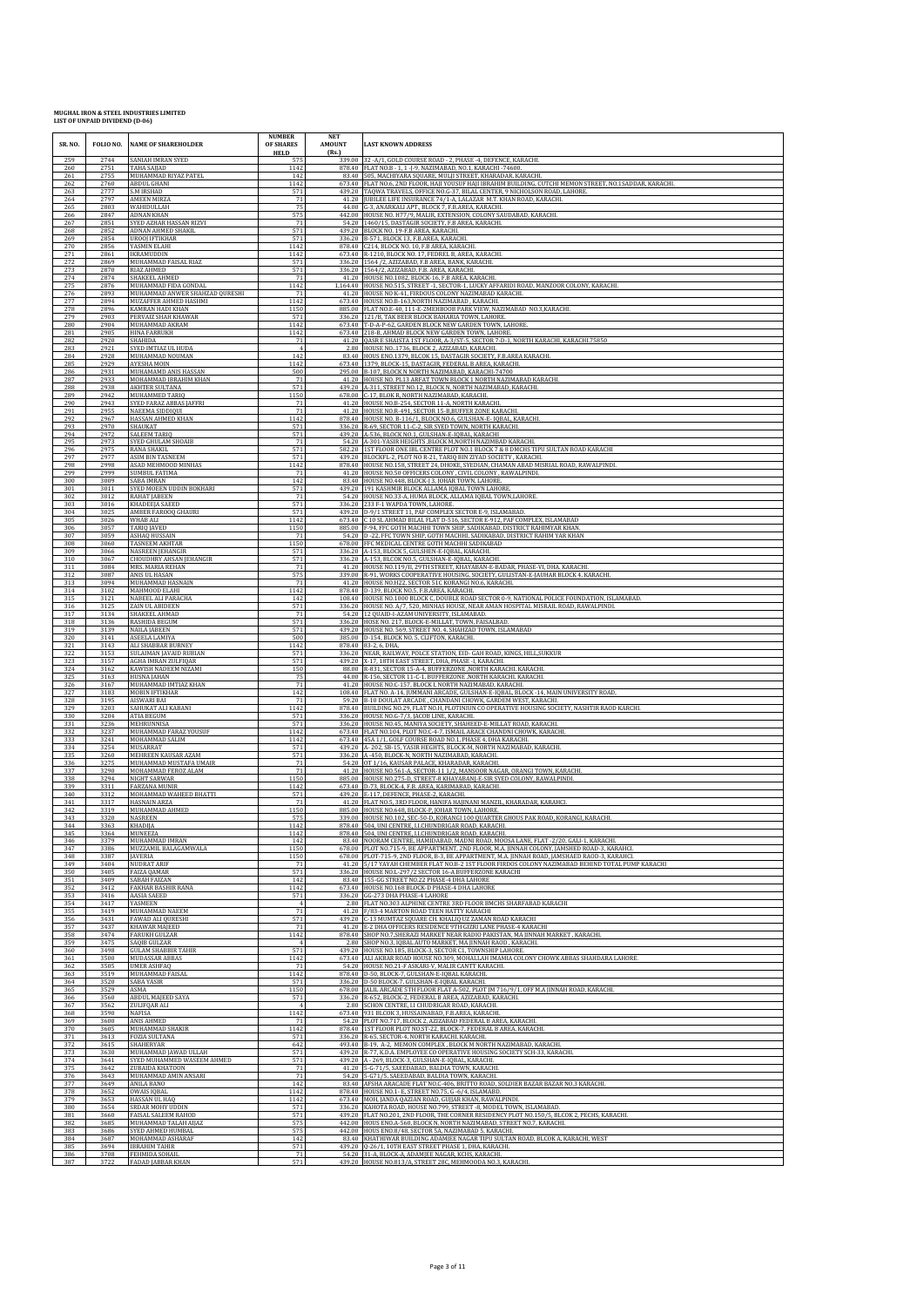| SR. NO.    | FOLIO NO.    | <b>NAME OF SHAREHOLDER</b>                    | <b>NUMBER</b><br>OF SHARES<br><b>HELD</b> | <b>NET</b><br><b>AMOUNT</b><br>(Rs.) | <b>LAST KNOWN ADDRESS</b>                                                                                                                 |
|------------|--------------|-----------------------------------------------|-------------------------------------------|--------------------------------------|-------------------------------------------------------------------------------------------------------------------------------------------|
| 259        | 2744         | SANIAH IMRAN SYED                             | 575                                       |                                      | 339.00 32-A/1, GOLD COURSE ROAD - 2, PHASE -4, DEFENCE, KARACHI.                                                                          |
| 260        | 2751         | <b>TAHA SAJJAD</b>                            | 1142                                      |                                      | 878.40 FLAT NO.B - 1, 1 - I-9, NAZIMABAD, NO.1, KARACHI - 74600.                                                                          |
| 261        | 2755         | MUHAMMAD RIYAZ PATEL                          | 142                                       |                                      | 83.40 505, MACHIYARA SQUARE, MULJI STREET, KHARADAR, KARACHI.                                                                             |
| 262        | 2760         | <b>ABDUL GHANI</b>                            | 1142                                      |                                      | 673.40 FLAT NO.6, 2ND FLOOR, HAJI YOUSUF HAJI IBRAHIM BUILDING, CUTCHI MEMON STREET, NO.1SADDAR, KARACHI                                  |
| 263        | 2777         | S.M IRSHAD                                    | 571                                       |                                      | 439.20 TAQWA TRAVELS, OFFICE NO.G-37, BILAL CENTER, 9 NICHOLSON ROAD, LAHORE.                                                             |
| 264        | 2797         | <b>AMEEN MIRZA</b>                            | 71                                        |                                      | 41.20 JUBILEE LIFE INSURANCE 74/1-A, LALAZAR M.T. KHAN ROAD, KARACHI                                                                      |
| 265        | 2803         | WAHIDULLAH                                    | 75                                        |                                      | 44.00 G-3, ANARKALI APT., BLOCK 7, F.B.AREA, KARACHI.                                                                                     |
| 266        | 2847         | <b>ADNAN KHAN</b>                             | 575                                       |                                      | 442.00 HOUSE NO. H77/9, MALIR, EXTENSION, COLONY SAUDABAD, KARACHI.                                                                       |
| 267        | 2851         | SYED AZHAR HASSAN RIZVI                       | 71                                        |                                      | 54.20 1460/15, DASTAGIR SOCIETY, F.B AREA, KARACHI.                                                                                       |
| 268        | 2852         | ADNAN AHMED SHAKIL                            | 571                                       |                                      | 439.20 BLOCK NO. 19-F.B AREA, KARACHI.                                                                                                    |
| 269        | 2854         | <b>UROOJ IFTIKHAR</b>                         | 571                                       |                                      | 336.20 B-571, BLOCK 13, F.B.AREA, KARACHI.                                                                                                |
| 270        | 2856         | YASMIN ELAHI                                  | 1142                                      |                                      | 878.40 C214, BLOCK NO. 10, F.B AREA, KARACHI                                                                                              |
| 271        | 2861         | <b>IKRAMUDDIN</b>                             | 1142                                      |                                      | 673.40 R-1210, BLOCK NO. 17, FEDREL B, AREA, KARACHI                                                                                      |
| 272        | 2869         | MUHAMMAD FAISAL RIAZ                          | 571                                       |                                      | 336.20 1564 /2, AZIZABAD, F.B AREA, BANK, KARACHI.                                                                                        |
| 273        | 2870         | <b>RIAZ AHMED</b>                             | 571                                       |                                      | 336.20 1564/2, AZIZABAD, F.B. AREA, KARACHI.                                                                                              |
| 274        | 2874         | SHAKEEL AHMED                                 | 71                                        |                                      | 41.20 HOUSE NO.1082, BLOCK-16, F.B AREA, KARACHI.                                                                                         |
| 275        | 2876         | MUHAMMAD FIDA GONDAL                          | 1142                                      |                                      | 1,164.40 HOUSE NO.515, STREET -1, SECTOR-1, LUCKY AFFARIDI ROAD, MANZOOR COLONY, KARACHI.                                                 |
| 276        | 2893         | MUHAMMAD ANWER SHAHZAD QURESHI                | 71                                        |                                      | 41.20 HOUSE NO K-41, FIRDOUS COLONY NAZIMABAD KARACHI.                                                                                    |
| 277        | 2894         | MUZAFFER AHMED HASHMI                         | 1142                                      |                                      | 673.40 HOUSE NO.B-163, NORTH NAZIMABAD, KARACHI.                                                                                          |
| 278        | 2896         | KAMRAN HADI KHAN                              | 1150                                      |                                      | 885.00 FLAT NO.E-40, 111-E-2MEHBOOB PARK VIEW, NAZIMABAD NO.3,KARACHI.                                                                    |
| 279        | 2903         | PERVAIZ SHAH KHAWAR                           | 571                                       |                                      | 336.20 121/B, TAK BEER BLOCK BAHARIA TOWN, LAHORE.                                                                                        |
| 280        | 2904         | MUHAMMAD AKRAM                                | 1142                                      |                                      | 673.40 T-D-A-P-62, GARDEN BLOCK NEW GARDEN TOWN, LAHORE.                                                                                  |
| 281        | 2905         | <b>HINA FARRUKH</b>                           | 1142                                      |                                      | 673.40 218-B, AHMAD BLOCK NEW GARDEN TOWN, LAHORE.                                                                                        |
| 282        | 2920         | <b>SHAHIDA</b>                                | 71                                        |                                      | 41.20 OASR E SHAISTA 1ST FLOOR, A-3/ST-5, SECTOR 7-D-1, NORTH KARACHI, KARACHI.75850                                                      |
| 283        | 2921         | SYED IMTIAZ UL HUDA                           | $\overline{4}$                            |                                      | 2.80 HOUSE NO1736, BLOCK 2, AZIZABAD, KARACHI.                                                                                            |
| 284        | 2928         | MUHAMMAD NOUMAN                               | 142                                       |                                      | 83.40 HOUS ENO.1379, BLCOK 15, DASTAGIR SOCIETY, F.B.AREA KARACHI.                                                                        |
| 285        | 2929         | AYESHA MOIN                                   | 1142                                      |                                      | 673.40 1379, BLOCK-15, DASTAGIR, FEDERAL B AREA, KARACHI.                                                                                 |
| 286        | 2931         | MUHAMAMD ANIS HASSAN                          | 500                                       |                                      | 295.00 B-107, BLOCK N NORTH NAZIMABAD, KARACHI-74700                                                                                      |
| 287        | 2933         | MOHAMMAD IBRAHIM KHAN                         | 71                                        |                                      | 41.20 HOUSE NO. PL13 ARFAT TOWN BLOCK 1 NORTH NAZIMABAD KARACHI                                                                           |
| 288        | 2938         | <b>AKHTER SULTANA</b>                         | 571                                       |                                      | 439.20 A-311, STREET NO.12, BLOCK N, NORTH NAZIMABAD, KARACHI.                                                                            |
| 289<br>290 | 2942<br>2943 | MUHAMMED TARIQ                                | 1150<br>71                                |                                      | 678.00 C-17, BLOK R, NORTH NAZIMABAD, KARACHI.<br>41.20 HOUSE NO.B-254, SECTOR 11-A, NORTH KARACHI                                        |
| 291        | 2955         | SYED FARAZ ABBAS JAFFRI<br>NAEEMA SIDDIQUI    | 71                                        |                                      | 41.20 HOUSE NO.R-491, SECTOR 15-B, BUFFER ZONE KARACHI.                                                                                   |
| 292        | 2967         | HASSAN AHMED KHAN                             | 1142                                      |                                      | 878.40 HOUSE NO. B-116/1, BLOCK NO.6, GULSHAN-E-IQBAL, KARACHI.                                                                           |
| 293        | 2970         | SHAUKAT                                       | 571                                       |                                      | 336.20 R-69, SECTOR 11-C-2, SIR SYED TOWN, NORTH KARACHI.                                                                                 |
| 294        | 2972         | <b>SALEEM TARIQ</b>                           | 571                                       |                                      | 439.20 A-536, BLOCK NO.1, GULSHAN-E-IQBAL, KARACHI                                                                                        |
| 295        | 2973         | SYED GHULAM SHOAIB                            | 71                                        |                                      | 54.20 A-301-YASIR HEIGHTS ,BLOCK M, NORTH NAZIMBAD KARACHI                                                                                |
| 296        | 2975         | RANA SHAKIL                                   | 571                                       |                                      | 582.20 1ST FLOOR ONE IBL CENTRE PLOT NO.1 BLOCK 7 & 8 DMCHS TIPU SULTAN ROAD KARACHI                                                      |
| 297        | 2977         | ASIM BIN TASNEEM                              | 571                                       |                                      | 439.20 BLOCKFL-2, PLOT NO R-21, TARIO BIN ZIYAD SOCIETY, KARACHI.                                                                         |
| 298        | 2998         | <b>ASAD MEHMOOD MINHAS</b>                    | 1142                                      |                                      | 878.40 HOUSE NO.158, STREET 24, DHOKE, SYEDIAN, CHAMAN ABAD MISRIAL ROAD, RAWALPINDI.                                                     |
| 299        | 2999         | <b>SUMBUL FATIMA</b>                          | 71                                        |                                      | 41.20 HOUSE NO.50 OFFICERS COLONY, CIVIL COLONY, RAWALPINDI.                                                                              |
| 300        | 3009         | SABA IMRAN                                    | 142                                       |                                      | 83.40 HOUSE NO.448, BLOCK-J 3, JOHAR TOWN, LAHORE.                                                                                        |
| 301        | 3011         | SYED MOEEN UDDIN BOKHARI                      | 571                                       |                                      | 439.20 191 KASHMIR BLOCK ALLAMA IQBAL TOWN LAHORE                                                                                         |
| 302        | 3012         | RAHAT JABEEN                                  | 71                                        |                                      | 54.20 HOUSE NO.33-A, HUMA BLOCK, ALLAMA IQBAL TOWN, LAHORE.                                                                               |
| 303        | 3016         | <b>KHADEEJA SAEED</b>                         | 571                                       |                                      | 336.20 233 F-1 WAPDA TOWN, LAHORE.                                                                                                        |
| 304<br>305 | 3025         | AMBER FAROOQ GHAURI                           | 571<br>1142                               |                                      | 439.20 D-9/1 STREET 11, PAF COMPLEX SECTOR E-9, ISLAMABAD.<br>673.40 C 10 SL AHMAD BILAL FLAT D-516, SECTOR E-912, PAF COMPLEX, ISLAMABAD |
| 306        | 3026<br>3057 | WHAB ALI<br><b>TARIO JAVED</b>                | 1150                                      |                                      | 885.00 F-94, FFC GOTH MACHHI TOWN SHIP, SADIKABAD, DISTRICT RAHIMYAR KHAN                                                                 |
| 307        | 3059         | ASHAQ HUSSAIN                                 | 71                                        |                                      | 54.20 D -22, FFC TOWN SHIP, GOTH MACHHI, SADIKABAD, DISTRICT RAHIM YAR KHAN                                                               |
| 308        | 3060         | <b>TASNEEM AKHTAR</b>                         | 1150                                      |                                      | 678.00 FFC MEDICAL CENTRE GOTH MACHHI SADIKABAD                                                                                           |
| 309        | 3066         | <b>NASREEN JEHANGIR</b>                       | 571                                       |                                      | 336.20 A-153, BLOCK 5, GULSHEN-E-IQBAL, KARACHI.                                                                                          |
| 310        | 3067         | CHOUDHRY AHSAN JEHANGIR                       | 571                                       |                                      | 336.20 A-153, BLCOK NO.5, GULSHAN-E-IQBAL, KARACHI.                                                                                       |
| 311        | 3084         | MRS. MARIA REHAN                              | 71                                        |                                      | 41.20 HOUSE NO.119/II, 29TH STREET, KHAYABAN-E-BADAR, PHASE-VI, DHA. KARACHI.                                                             |
| 312        | 3087         | ANIS UL HASAN                                 | 575                                       |                                      | 339.00 R-91, WORKS COOPERATIVE HOUSING, SOCIETY, GULISTAN-E-JAUHAR BLOCK 4, KARACHI                                                       |
| 313        | 3094         | MUHAMMAD HASNAIN                              | 71                                        |                                      | 41.20 HOUSE NO.H22, SECTOR 51C KORANGI NO.6, KARACHI.                                                                                     |
| 314        | 3102         | MAHMOOD ELAHI                                 | 1142                                      |                                      | 878.40 D-139, BLOCK NO.5, F.B.AREA, KARACHI.                                                                                              |
| 315        | 3121         | NABEEL ALI PARACHA                            | 142                                       |                                      | 108.40 HOUSE NO.1000 BLOCK C, DOUBLE ROAD SECTOR 0-9, NATIONAL POLICE FOUNDATION, ISLAMABAD.                                              |
| 316        | 3125         | ZAIN UL ABIDEEN                               | 571                                       |                                      | 336.20 HOUSE NO. A/7, 520, MINHAS HOUSE, NEAR AMAN HOSPITAL MISRAIL ROAD, RAWALPINDI.                                                     |
| 317        | 3134         | SHAKEEL AHMAD                                 | 71                                        |                                      | 54.20 12 QUAID-I-AZAM UNIVERSITY, ISLAMABAD.                                                                                              |
| 318        | 3136         | RASHIDA BEGUM                                 | 571                                       |                                      | 336.20 HOSE NO. 217, BLOCK-E-MILLAT, TOWN, FAISALBAD.                                                                                     |
| 319        | 3139         | <b>NAILA JABEEN</b>                           | 571                                       |                                      | 439.20 HOUSE NO. 569, STREET NO. 4, SHAHZAD TOWN, ISLAMABAD                                                                               |
| 320        | 3141         | ASEELA LAMIYA                                 | 500                                       |                                      | 385.00 D-154, BLOCK NO. 5, CLIFTON, KARACHI                                                                                               |
| 321        | 3143         | <b>ALI SHABBAR BURNEY</b>                     | 1142<br>571                               |                                      | 878.40 83-2, 6, DHA,<br>336.20 NEAR, RAILWAY, POLCE STATION, EID- GAH ROAD, KINGS, HILL, SUKKUR                                           |
| 322<br>323 | 3153<br>3157 | SULAIMAN JAVAID RUBIAN<br>AGHA IMRAN ZULFIQAR | 571                                       |                                      | 439.20 X-17, 18TH EAST STREET, DHA, PHASE -I, KARACHI,                                                                                    |
| 324        | 3162         | KAWISH NADEEM NIZAMI                          | 150                                       |                                      | 88.00 R-831, SECTOR 15-A-4, BUFFERZONE, NORTH KARACHI. KARACHI                                                                            |
| 325        | 3163         | HUSNA JAHAN                                   | 75                                        |                                      | 44.00 R-156, SECTOR 11-C-1, BUFFERZONE , NORTH KARACHI. KARACHI.                                                                          |
| 326        | 3167         | MUHAMMAD IMTIAZ KHAN                          | 71                                        |                                      | 41.20 HOUSE NO.C-157, BLOCK I, NORTH NAZIMABAD, KARACHI.                                                                                  |
| 327        | 3183         | <b>MOBIN IFTIKHAR</b>                         | 142                                       |                                      | 108.40 FLAT NO. A-14, JUMMANI ARCADE, GULSHAN-E-IQBAL, BLOCK -14, MAIN UNIVERSITY ROAD                                                    |
| 328        | 3195         | <b>AISWARI BAI</b>                            | 71                                        |                                      | 59.20 B-10 DOULAT ARCADE, CHANDANI CHOWK, GARDEM WEST, KARACHI.                                                                           |
| 329        | 3203         | SAHUKAT ALI KABANI                            | 1142                                      |                                      | 878.40 BUILDING NO.29, FLAT NO.H, PLOTINIUN CO OPERATIVE HOUSING SOCIETY, NASHTIR RAOD KARCHI.                                            |
| 330        | 3204         | ATIA BEGUM                                    | 571                                       |                                      | 336.20 HOUSE NO.G-7/3, JACOB LINE, KARACHI.                                                                                               |
| 331        | 3236         | <b>MEHRUNNISA</b>                             | 571                                       |                                      | 336.20 HOUSE NO.45, MANIYA SOCIETY, SHAHEED-E-MILLAT ROAD, KARACHI                                                                        |
| 332        | 3237         | MUHAMMAD FARAZ YOUSUF                         | 1142                                      |                                      | 673.40 FLAT NO.104, PLOT NO.C-4-7, ISMAIL ARACE CHANDNI CHOWK, KARACHI.                                                                   |
| 333        | 3241         | MOHAMMAD SALIM                                | 1142                                      |                                      | 673.40 45A 1/1, GOLF COURSE ROAD NO.1, PHASE 4, DHA KARACHI.                                                                              |
| 334        | 3254         | MUSARRAT                                      | 571                                       |                                      | 439.20 A-202, SB-15, YASIR HEGHTS, BLOCK-M, NORTH NAZIMABAD, KARACHI.                                                                     |
| 335        | 3260         | MEHREEN KAUSAR AZAM                           | 571                                       |                                      | 336.20 A -450, BLOCK-N, NORTH NAZIMABAD, KARACHI.                                                                                         |
| 336        | 3275         | MUHAMMAD MUSTAFA UMAIR                        | 71                                        |                                      | 54.20 OT 1/16, KAUSAR PALACE, KHARADAR, KARACHI.                                                                                          |
| 337        | 3290         | MOHAMMAD FEROZ ALAM                           | 71                                        |                                      | 41.20 HOUSE NO.561-A, SECTOR-11 1/2, MANSOOR NAGAR, ORANGI TOWN, KARACH                                                                   |
| 338        | 3294         | NIGHT SARWAR                                  | 1150                                      |                                      | 885.00 HOUSE NO.275-D, STREET-8 KHAYABANJ-E-SIR SYED COLONY, RAWALPINDI.                                                                  |
| 339        | 3311         | <b>FARZANA MUNIR</b>                          | 1142                                      |                                      | 673.40 D-73, BLOCK-4, F.B. AREA, KARIMABAD, KARACHI.                                                                                      |
| 340        | 3312         | MOHAMMAD WAHEED BHATTI                        | 571                                       |                                      | 439.20 E-117, DEFENCE, PHASE-2, KARACHI.                                                                                                  |
| 341        | 3317         | HASNAIN ARZA                                  | 71                                        |                                      | 41.20 FLAT NO.5, 3RD FLOOR, HANIFA HAJINANI MANZIL, KHARADAR, KARAHCI.                                                                    |
| 342        | 3319         | MUHAMMAD AHMED                                | 1150<br>575                               |                                      | 885.00 HOUSE NO.648, BLOCK-P, JOHAR TOWN, LAHORE.<br>339.00 HOUSE NO.102, SEC-50-D, KORANGI 100 QUARTER GHOUS PAK ROAD, KORANGI, KARACHI  |
| 343<br>344 | 3320<br>3363 | NASREEN<br><b>KHADIIA</b>                     | 1142                                      |                                      | 878.40 504, UNI CENTRE, I.I.CHUNDRIGAR ROAD, KARACHI.                                                                                     |
| 345        | 3364         | MUNEEZA                                       | 1142                                      |                                      | 878.40 504, UNI CENTRE, I.I.CHUNDRIGAR ROAD, KARACHI.                                                                                     |
| 346        | 3379         | MUHAMMAD IMRAN                                | 142                                       |                                      | 83.40 NOORAM CENTRE, HAMIDABAD, MADNI ROAD, MOOSA LANE, FLAT -2/20, GALI-1, KARACHL                                                       |
| 347        | 3386         | MUZZAMIL BALAGAMWALA                          | 1150                                      |                                      | 678.00 PLOT NO.715-9, BE APPARTMENT, 2ND FLOOR, M.A. JINNAH COLONY, JAMSHED ROAD-3, KARAHCI.                                              |
| 348        | 3387         | <b>IAVERIA</b>                                | 1150                                      |                                      | 678.00 PLOT-715-9, 2ND FLOOR, B-3, BE APPARTMENT, M.A. JINNAH ROAD, JAMSHAED RAOD-3, KARAHCI                                              |
| 349        | 3404         | NUDRAT ARIF                                   | 71                                        |                                      | 41.20 5/17 YAYAH CHEMBER FLAT NO.B-2 1ST FLOOR FIRDOS COLONY NAZIMABAD BEHIND TOTAL PUMP KARACHI                                          |
| 350        | 3405         | <b>FAIZA QAMAR</b>                            | 571                                       |                                      | 336.20 HOUSE NO.L-297/2 SECTOR 16-A BUFFERZONE KARACHI                                                                                    |
| 351        | 3409         | SABAH FAIZAN                                  | 142                                       |                                      | 83.40 155-GG STREET NO.22 PHASE-4 DHA LAHORE                                                                                              |
| 352        | 3412         | FAKHAR BASHIR RANA                            | 1142                                      |                                      | 673.40 HOUSE NO.168 BLOCK-D PHASE-4 DHA LAHORE                                                                                            |
| 353        | 3416         | <b>AASIA SAEED</b>                            | 571                                       |                                      | 336.20 GG-273 DHA PHASE-4 LAHORE                                                                                                          |
| 354        | 3417         | YASMEEN                                       | $\overline{4}$                            |                                      | 2.80 FLAT NO.303 ALPHINE CENTRE 3RD FLOOR BMCHS SHARFABAD KARACHI                                                                         |
| 355        | 3419         | MUHAMMAD NAEEM                                | 71                                        |                                      | 41.20 F/83-4 MARTON ROAD TEEN HATTY KARACHI                                                                                               |
| 356        | 3431         | FAWAD ALI QURESHI                             | 571                                       |                                      | 439.20 C-13 MUMTAZ SQUARE CH. KHALIQ UZ ZAMAN ROAD KARACHI                                                                                |
| 357        | 3437         | <b>KHAWAR MAIEED</b>                          | 71                                        |                                      | 41.20 E-2 DHA OFFICERS RESIDENCE 9TH GIZRI LANE PHASE-4 KARACHI                                                                           |
| 358        | 3474         | <b>FARUKH GULZAR</b>                          | 1142                                      |                                      | 878.40 SHOP NO.7, SHERAZI MARKET NEAR RADIO PAKISTAN, MA JINNAH MARKET, KARACHI.                                                          |
| 359        | 3475         | SAQIB GULZAR                                  | $\overline{4}$                            |                                      | 2.80 SHOP NO.3, IQBAL AUTO MARKET, MA JINNAH RAOD, KARACHI.                                                                               |
| 360        | 3498         | <b>GULAM SHABBIR TAHIR</b>                    | 571                                       |                                      | 439.20 HOUSE NO.185, BLOCK-3, SECTOR C1, TOWNSHIP LAHORE.                                                                                 |
| 361        | 3500         | MUDASSAR ABBAS                                | 1142                                      |                                      | 673.40 ALI AKBAR ROAD HOUSE NO.309, MOHALLAH IMAMIA COLONY CHOWK ABBAS SHAHDARA LAHORE                                                    |
| 362        | 3505         | <b>UMER ASHFAQ</b>                            | 71                                        |                                      | 54.20 HOUSE NO.21-F ASKARI-V, MALIR CANTT KARACHI.                                                                                        |
| 363        | 3519         | MUHAMMAD FAISAL                               | 1142                                      |                                      | 878.40 D-50, BLOCK-7, GULSHAN-E-IQBAL KARACHI.                                                                                            |
| 364        | 3520         | SABA YASIR                                    | 571                                       |                                      | 336.20 D-50 BLOCK-7, GULSHAN-E-IQBAL KARACHI.                                                                                             |
| 365        | 3529         | ASMA                                          | 1150                                      |                                      | 678.00   JALIL ARCADE 5TH FLOOR FLAT A-502, PLOT JM 716/9/1, OFF M.A JINNAH ROAD, KARACHI.                                                |
| 366        | 3560         | <b>ABDUL MAJEED SAYA</b>                      | 571                                       |                                      | 336.20 R-652, BLOCK-2, FEDERAL B AREA, AZIZABAD, KARACHI.                                                                                 |
| 367        | 3562         | ZULIFQAR ALI                                  | 4<br>1142                                 |                                      | 2.80 SCHON CENTRE, I.I CHUDRIGAR ROAD, KARACHI.                                                                                           |
| 368<br>369 | 3590<br>3600 | NAFISA<br><b>ANIS AHMED</b>                   | 71                                        |                                      | 673.40 931 BLCOK 3, HUSSAINABAD, F.B.AREA, KARACHI.<br>54.20 PLOT NO.717, BLOCK 2, AZIZABAD FEDERAL B AREA, KARACHI.                      |
| 370        | 3605         | MUHAMMAD SHAKIR                               | 1142                                      |                                      | 878.40 1ST FLOOR PLOT NO.ST-22, BLOCK-7, FEDERAL B AREA, KARACHI.                                                                         |
| 371        | 3613         | <b>FOZIA SULTANA</b>                          | 571                                       |                                      | 336.20 R-65, SECTOR-4, NORTH KARACHI, KARACHI.                                                                                            |
| 372        | 3615         | SHAHERYAR                                     | 642                                       |                                      | 493.40 B-19, A-2, MEMON COMPLEX, BLOCK M NORTH NAZIMABAD, KARACHI.                                                                        |
| 373        | 3630         | MUHAMMAD JAWAD ULLAH                          | 571                                       |                                      | 439.20 R-77, K.D.A. EMPLOYEE CO OPERATIVE HOUSING SOCIETY SCH-33, KARACHI.                                                                |
| 374        | 3641         | SYED MUHAMMED WASEEM AHMED                    | 571                                       |                                      | 439.20 A - 269, BLOCK-3, GULSHAN-E-IQBAL, KARACHI.                                                                                        |
| 375        | 3642         | ZUBAIDA KHATOON                               | 71                                        |                                      | 41.20 5-G-71/5, SAEEDABAD, BALDIA TOWN, KARACHI                                                                                           |
| 376        | 3643         | MUHAMMAD AMIN ANSARI                          | 71                                        |                                      | 54.20 5-G71/5, SAEEDABAD, BALDIA TOWN, KARACHI.                                                                                           |
| 377        | 3649         | ANILA BANO                                    | 142                                       |                                      | 83.40 AFSHA ARACADE FLAT NO.C-406, BRITTO ROAD, SOLDIER BAZAR BAZAR NO.3 KARACHI.                                                         |
| 378        | 3652         | OWAIS IQBAL                                   | 1142                                      |                                      | 878.40 HOUSE NO.1- E, STREET NO.75, G -6/4, ISLAMABD.                                                                                     |
| 379        | 3653         | HASSAN UL HAQ                                 | 1142                                      |                                      | 673.40 MOH, JANDA QAZIAN ROAD, GUJJAR KHAN, RAWALPINDI.                                                                                   |
| 380        | 3654         | SRDAR MOHY UDDIN                              | 571                                       |                                      | 336.20 KAHOTA ROAD, HOUSE NO.799, STREET -8, MODEL TOWN, ISLAMABAD.                                                                       |
| 381        | 3660         | <b>FAISAL SALEEM RAHOD</b>                    | 571                                       |                                      | 439.20 FLAT NO.201, 2ND FLOOR, THE CORNER RESIDENCY PLOT NO.150/5, BLCOK 2, PECHS, KARACHI.                                               |
| 382        | 3685         | MUHAMMAD TALAH AIJAZ                          | 575                                       |                                      | 442.00 HOUS ENO.A-560, BLOCK N, NORTH NAZIMABAD, STREET NO.7, KARACHI.                                                                    |
| 383        | 3686         | SYED AHMED HUMBAL                             | 575                                       |                                      | 442.00 HOUS ENO.8/48, SECTOR 5A, NAZIMABAD 5, KARACHI.                                                                                    |
| 384        | 3687         | MOHAMMAD ASHARAF                              | 142                                       |                                      | 83.40 KHATHIWAR BUILDING ADAMJEE NAGAR TIPU SULTAN ROAD, BLCOK A, KARACHI, WEST                                                           |
| 385        | 3694         | <b>IBRAHIM TAHIR</b>                          | 571                                       |                                      | 439.20 Q-26/1, 10TH EAST STREET PHASE 1, DHA, KARACHI.                                                                                    |
| 386        | 3708         | FEHMIDA SOHAIL                                | 71                                        |                                      | 54.20 31-A, BLOCK-A, ADAMJEE NAGAR, KCHS, KARACHI.                                                                                        |
| 387        | 3722         | <b>FADAD JABBAR KHAN</b>                      | 571                                       |                                      | 439.20 HOUSE NO.813/A, STREET 28C, MEHMOODA NO.3, KARACHI.                                                                                |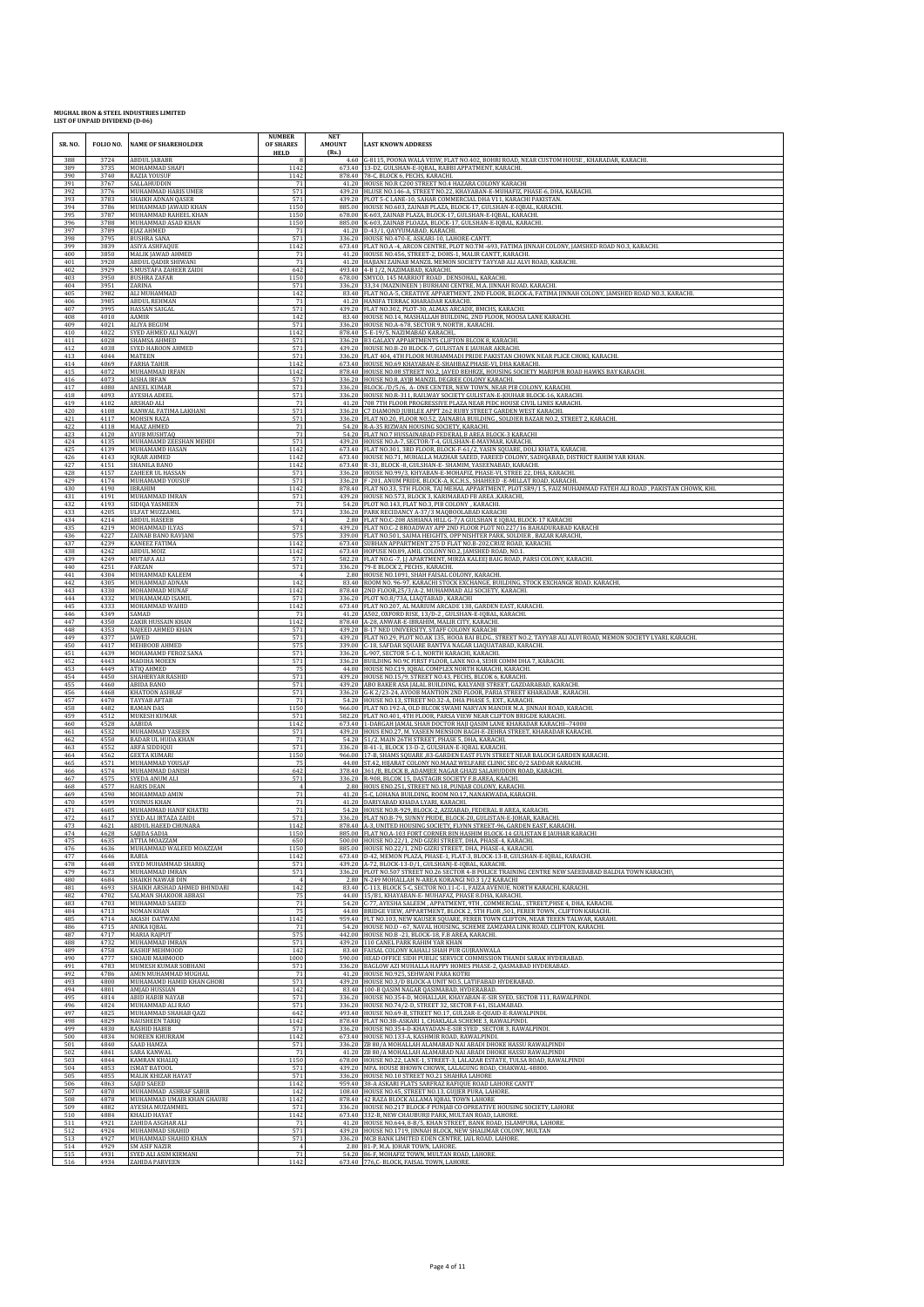| SR. NO.    | FOLIO NO.    | <b>NAME OF SHAREHOLDER</b>                   | <b>NUMBER</b><br>OF SHARES<br><b>HELD</b> | <b>NET</b><br><b>AMOUNT</b><br>(Rs.) | <b>LAST KNOWN ADDRESS</b>                                                                                                                               |
|------------|--------------|----------------------------------------------|-------------------------------------------|--------------------------------------|---------------------------------------------------------------------------------------------------------------------------------------------------------|
| 388<br>389 | 3724<br>3735 | <b>ABDUL JABABR</b><br>MOHAMMAD SHAFI        | 1142                                      |                                      | 4.60 G-8115, POONA WALA VEIW, FLAT NO.402, BOHRI ROAD, NEAR CUSTOM HOUSE, KHARADAR, KARACHI<br>673.40 13-D2, GULSHAN-E-IQBAL, RABBI APPATMENT, KARACHI. |
| 390        | 3740         | RAZIA YOUSUF                                 | 1142                                      |                                      | 878.40 78-C, BLOCK 6, PECHS, KARACHI.                                                                                                                   |
| 391        | 3767         | SALLAHUDDIN                                  | 71                                        |                                      | 41.20 HOUSE NO.R C200 STREET NO.4 HAZARA COLONY KARACHI                                                                                                 |
| 392        | 3776         | MUHAMMAD HARIS UMER                          | 571                                       |                                      | 439.20   HLUSE NO.146-A, STREET NO.22, KHAYABAN-E-MUHAFIZ, PHASE-6, DHA, KARACHI.                                                                       |
| 393        | 3783         | SHAIKH ADNAN QASER                           | 571                                       |                                      | 439.20 PLOT 5-C LANE-10, SAHAR COMMERCIAL DHA V11, KARACHI PAKISTAN                                                                                     |
| 394        | 3786         | MUHAMMAD JAWAID KHAN                         | 1150                                      |                                      | 885.00 HOUSE NO.603, ZAINAB PLAZA, BLOCK-17, GULSHAN-E-IQBAL, KARACHI                                                                                   |
| 395        | 3787         | MUHAMMAD RAHEEL KHAN                         | 1150                                      |                                      | 678.00 K-603, ZAINAB PLAZA, BLOCK-17, GULSHAN-E-IQBAL, KARACHI.                                                                                         |
| 396        | 3788         | MUHAMMAD ASAD KHAN                           | 1150                                      |                                      | 885.00 K-603, ZAINAB PLOAZA, BLOCK-17, GULSHAN-E-IQBAL, KARACHI.                                                                                        |
| 397        | 3789         | EJAZ AHMED                                   | 71                                        |                                      | 41.20 D-43/1, QAYYUMABAD, KARACHI.                                                                                                                      |
| 398        | 3795         | <b>BUSHRA SANA</b>                           | 571                                       |                                      | 336.20 HOUSE NO.470-E, ASKARI-10, LAHORE-CANTT.                                                                                                         |
| 399        | 3839         | ASIYA ASHFAQUE                               | 1142                                      |                                      | 673.40 FLAT NO.A -4, ARCON CENTRE, PLOT NO.TM -693, FATIMA JINNAH COLONY, JAMSHED ROAD NO.3, KARACHI.                                                   |
| 400        | 3850         | MALIK JAWAD AHMED                            | 71                                        |                                      | 41.20 HOUSE NO.456, STREET-2, DOHS-1, MALIR CANTT, KARACHI.                                                                                             |
| 401        | 3920         | <b>ABDUL QADIR SHIWANI</b>                   | 71                                        |                                      | 41.20 HAJIANI ZAINAB MANZIL MEMON SOCIETY TAYYAB ALI ALVI ROAD, KARACHI.                                                                                |
| 402        | 3929         | MUSTAFA ZAHEER ZAIDI                         | 642                                       | 493.40                               | 4-B 1/2, NAZIMABAD, KARACHI                                                                                                                             |
| 403        | 3950         | <b>BUSHRA ZAFAR</b>                          | 1150                                      |                                      | 678.00 SMYCO, 145 MARRIOT ROAD, DENSOHAL, KARACHI.                                                                                                      |
| 404        | 3951         | ZARINA                                       | 571                                       |                                      | 336.20 33,34 (MAZNINEEN) BURHANI CENTRE, M.A. JINNAH ROAD, KARACHI                                                                                      |
| 405        | 3982         | ALI MUHAMMAD                                 | 142                                       |                                      | 83.40 FLAT NO.A-5, CREATIVE APPARTMENT, 2ND FLOOR, BLOCK-A, FATIMA JINNAH COLONY, JAMSHED ROAD NO.3, KARACHI.                                           |
| 406        | 3985         | <b>ABDUL REHMAN</b>                          | 71                                        |                                      | 41.20 HANIFA TERRAC KHARADAR KARACHI.                                                                                                                   |
| 407        | 3995         | HASSAN SAIGAL                                | 571                                       |                                      | 439.20 FLAT NO.302, PLOT-30, ALMAS ARCADE, BMCHS, KARACHI.                                                                                              |
| 408        | 4010         | AAMIR                                        | 142                                       | 83.40                                | HOUSE NO.14, MASHALLAH BUILDING, 2ND FLOOR, MOOSA LANE KARACHI.                                                                                         |
| 409        | 4021         | ALIYA BEGUM                                  | 571                                       |                                      | 336.20 HOUSE NO.A-678, SECTOR 9, NORTH, KARACHI.                                                                                                        |
| 410        | 4022         | SYED AHMED ALI NAQVI                         | 1142                                      |                                      | 878.40 5-E-19/5, NAZIMABAD KARACHI,                                                                                                                     |
| 411        | 4028         | SHAMSA AHMED                                 | 571                                       |                                      | 336.20 B3 GALAXY APPARTMENTS CLIFTON BLCOK 8, KARACHI.                                                                                                  |
| 412        | 4038         | SYED HAROON AHMED                            | 571                                       |                                      | 439.20 HOUSE NO.B-20 BLOCK-7, GULISTAN E JAUHAR AKRACHI.                                                                                                |
| 413        | 4044         | MATEEN                                       | 571                                       |                                      | 336.20 FLAT 404, 4TH FLOOR MUHAMMADI PRIDE PAKISTAN CHOWK NEAR PLICE CHOKI, KARACHI                                                                     |
| 414        | 4069         | <b>FARHA TAHIR</b>                           | 1142                                      |                                      | 673.40 HOUSE NO.69 KHAYABAN-E-SHAHBAZ PHASE-VI, DHA KARACHI.                                                                                            |
| 415        | 4072         | MUHAMMAD IRFAN                               | 1142                                      |                                      | 878.40 HOUSE NO.08 STREET NO.2, [AVED BEHRZE, HOUSING SOCIETY MARIPUR ROAD HAWKS BAY KARACHI.                                                           |
| 416        | 4073         | <b>AISHA IRFAN</b>                           | 571                                       |                                      | 336.20 HOUSE NO.8, AYJB MANZIL DEGREE COLONY KARACHI.                                                                                                   |
| 417        | 4080         | <b>ANEEL KUMAR</b>                           | 571                                       |                                      | 336.20 BLOCK-/D/5/6, A-ONE CENTER, NEW TOWN, NEAR PIB COLONY, KARACHI.                                                                                  |
| 418        | 4093         | AYESHA ADEEL                                 | 571                                       |                                      | 336.20 HOUSE NO.R-311, RAILWAY SOCIETY GULISTAN-E-JOUHAR BLOCK-16, KARACHI                                                                              |
| 419        | 4102         | ARSHAD ALI                                   | 71                                        |                                      | 41.20 708 7TH FLOOR PROGRESSIVE PLAZA NEAR PIDC HOUSE CIVIL LINES KARACHI.                                                                              |
| 420        | 4108         | KANWAL FATIMA LAKHANI                        | 571                                       |                                      | 336.20 C7 DIAMOND JUBILEE APPT 262 RUBY STREET GARDEN WEST KARACHI.                                                                                     |
| 421        | 4117         | MOHSIN RAZA                                  | 571                                       |                                      | 336.20 FLAT NO.20, FLOOR NO.52, ZAINABIA BUILDING , SOLDIER BAZAR NO.2, STREET 2, KARACHI.                                                              |
| 422        | 4118         | MAAZ AHMED                                   | 71                                        |                                      | 54.20 R-A-35 RIZWAN HOUSING SOCIETY, KARACHI.                                                                                                           |
| 423        | 4120         | <b>AYUB MUSHTAQ</b>                          | 71                                        |                                      | 54.20 FLAT NO.7 HUSSAINABAD FEDERAL B AREA BLOCK-3 KARACHI                                                                                              |
| 424        | 4135         | MUHAMAMD ZEESHAN MEHDI                       | 571                                       | 439.20                               | HOUSE NO.A-7, SECTOR-T-4, GULSHAN-E-MAYMAR, KARACHI.                                                                                                    |
| 425        | 4139         | MUHAMAMD HASAN                               | 1142                                      |                                      | 673.40 FLAT NO.301, 3RD FLOOR, BLOCK-F-61/2, YASIN SQUARE, DOLI KHATA, KARACHI.                                                                         |
| 426        | 4143         | <b>IQRAR AHMED</b>                           | 1142                                      | 673.40                               | 673.40 HOUSE NO.71, MUHALLA MAZHAR SAEED, FAREED COLONY, SADIQABAD, DISTRICT RAHIM YAR KHAN.                                                            |
| 427        | 4151         | <b>SHANILA BANO</b>                          | 1142                                      |                                      | R-31, BLOCK-8, GULSHAN-E-SHAMIM, YASEENABAD, KARACHI.                                                                                                   |
| 428        | 4157         | <b>ZAHEER UL HASSAN</b>                      | 571                                       |                                      | 336.20 HOUSE NO.99/3, KHYABAN-E-MOHAFIZ, PHASE-VI, STREE 22, DHA, KARACHI.                                                                              |
| 429        | 4174         | MUHAMAMD YOUSUF                              | 571                                       |                                      | 336.20 F -201, ANUM PRIDE, BLOCK-A, K.C.H.S., SHAHEED -E-MILLAT ROAD, KARACHI.                                                                          |
| 430        | 4190         | <b>IBRAHIM</b>                               | 1142                                      |                                      | 878.40 FLAT NO.33, 5TH FLOOR, TAJ MEHAL APPARTMENT, PLOT.SR9/15, FAIZ MUHAMMAD FATEH ALI ROAD, PAKISTAN CHOWK, KHI                                      |
| 431        | 4191         | MUHAMMAD IMRAN                               | 571                                       |                                      | 439.20 HOUSE NO.573, BLOCK 3, KARIMABAD FB AREA ,KARACHI,                                                                                               |
| 432        | 4193         | SIDIQA YASMEEN                               | 71                                        |                                      | 54.20 PLOT NO.143, FLAT NO.3, PIB COLONY , KARACHI.                                                                                                     |
| 433<br>434 | 4205<br>4214 | <b>ULFAT MUZZAMIL</b><br><b>ABDUL HASEEB</b> | 571                                       |                                      | 336.20 PARK RECIDANCY A-37/3 MAQBOOLABAD KARACHI<br>2.80 FLAT NO.C-208 ASHIANA HILL G-7/A GULSHAN E IQBAL BLOCK-17 KARACHI                              |
| 435        | 4219         | MOHAMMAD ILYAS                               | 571                                       |                                      | 439.20 FLAT NO.C-2 BROADWAY APP 2ND FLOOR PLOT NO.227/16 BAHADURABAD KARACHI                                                                            |
| 436        | 4227         | ZAINAB BANO RAVJANI                          | 575                                       |                                      | 339.00 FLAT NO.501, SAIMA HEIGHTS, OPP NISHTER PARK, SOLDIER, BAZAR KARACHI,                                                                            |
| 437        | 4239         | <b>KANEEZ FATIMA</b>                         | 1142                                      |                                      | 673.40 SUBHAN APPARTMENT 275 D FLAT NO.B-202, CRUZ ROAD, KARACHI                                                                                        |
| 438        | 4242         | <b>ABDUL MOIZ</b>                            | 1142                                      |                                      | 673.40 HOPUSE NO.89, AMIL COLONY NO.2, JAMSHED ROAD, NO.1.                                                                                              |
| 439        | 4249         | MUTAFA ALI                                   | 571                                       |                                      | 582.20 FLAT NO.G -7, J.J APARTMENT, MIRZA KALEEJ BAIG ROAD, PARSI COLONY, KARACHI.                                                                      |
| 440        | 4251         | FARZAN                                       | 571                                       |                                      | 336.20 79-E BLOCK 2, PECHS, KARACHI.                                                                                                                    |
| 441        | 4304         | MUHAMMAD KALEEM                              | $\overline{4}$                            |                                      | 2.80 HOUSE NO.1091, SHAH FAISAL COLONY, KARACHI.                                                                                                        |
| 442        | 4305         | MUHAMMAD ADNAN                               | 142                                       | 878.40                               | 83.40 ROOM NO. 96-97, KARACHI STOCK EXCHANGE, BUILDING, STOCK EXCHANGE ROAD, KARACHI.                                                                   |
| 443        | 4330         | MOHAMMAD MUNAF                               | 1142                                      |                                      | 2ND FLOOR, 25/3/A-2, MUHAMMAD ALI SOCIETY, KARACHI.                                                                                                     |
| 444        | 4332         | MUHAMAMAD ISAMIL                             | 571                                       |                                      | 336.20 PLOT NO.8/73A, LIAQTABAD, KARACHI                                                                                                                |
| 445        | 4333         | MOHAMMAD WAHID                               | 1142                                      |                                      | 673.40 FLAT NO.207, AL MARIUM ARCADE 138, GARDEN EAST, KARACHI.                                                                                         |
| 446        | 4349         | SAMAD                                        | 71                                        |                                      | 41.20 A502, OXFORD RISE, 13/D-2, GULSHAN-E-IQBAL, KARACHI.                                                                                              |
| 447        | 4350         | ZAKIR HUSSAIN KHAN                           | 1142                                      |                                      | 878.40 A-28, ANWAR-E-IBRAHIM, MALIR CITY, KARACHI.                                                                                                      |
| 448        | 4353         | NAJEED AHMED KHAN                            | 571                                       |                                      | 439.20 B-17 NED UNIVERSITY, STAFF COLONY KARACHI                                                                                                        |
| 449        | 4377         | <b>IAWED</b>                                 | 571                                       |                                      | 439.20 FLAT NO.29, PLOT NO.AK 135, HOOA BAI BLDG., STREET NO.2, TAYYAB ALI ALVI ROAD, MEMON SOCIETY LYARI, KARACHI.                                     |
| 450        | 4417         | MEHBOOB AHMED                                | 575                                       |                                      | 339.00 C-18, SAFDAR SQUARE BANTVA NAGAR LIAQUATABAD, KARACHI.                                                                                           |
| 451        | 4439         | MOHAMAMD FEROZ SANA                          | 571                                       |                                      | 336.20 L-907, SECTOR 5-C-1, NORTH KARACHI, KARACHI.                                                                                                     |
| 452        | 4443         | <b>MADIHA MOEEN</b>                          | 571                                       |                                      | 336.20 BUILDING NO.9C FIRST FLOOR, LANE NO.4, SEHR COMM DHA 7, KARACHI.                                                                                 |
| 453        | 4449         | <b>ATIQ AHMED</b>                            | 75                                        |                                      | 44.00 HOUSE NO.C19, IQBAL COMPLEX NORTH KARACHI, KARACHI.                                                                                               |
| 454        | 4450         | SHAHERYAR RASHID                             | 571                                       |                                      | 439.20 HOUSE NO.15/9, STREET NO.43, PECHS, BLCOK 6, KARACHI.                                                                                            |
| 455        | 4460         | ABIDA BANO                                   | 571                                       |                                      | 439.20 ABO BAKER ASA JALAL BUILDING, KALYANJI STREET, GAZDARABAD, KARACHI                                                                               |
| 456        | 4468         | KHATOON ASHRAF                               | 571                                       |                                      | 336.20 G-K 2/23-24, AYOOB MANTION 2ND FLOOR, PARIA STREET KHARADAR, KARACHI                                                                             |
| 457        | 4470         | TAYYAB AFTAB                                 | 71                                        |                                      | 54.20 HOUSE NO.13, STREET NO.32-A, DHA PHASE 5, EXT., KARACHI.                                                                                          |
| 458        | 4482         | <b>RAMAN DAS</b>                             | 1150                                      |                                      | 966.00 FLAT NO.192-A, OLD BLCOK SWAMI NARYAN MANDIR M.A. JINNAH ROAD, KARACHI.                                                                          |
| 459        | 4512         | <b>MUKESH KUMAR</b>                          | 571                                       |                                      | 582.20 FLAT NO.401, 4TH FLOOR, PARSA VIEW NEAR CLIFTON BRIGDE KARACHI.                                                                                  |
| 460        | 4528         | AABIDA                                       | 1142                                      |                                      | 673.40 1-DARGAH JAMAL SHAH DOCTOR HAJI QASIM LANE KHARADAR KARACHI--74000                                                                               |
| 461        | 4532         | MUHAMMAD YASEEN                              | 571                                       |                                      | 439.20 HOUS ENO.27, M. YASEEN MENSION BAGH-E-ZEHRA STREET, KHARADAR KARACHI.                                                                            |
| 462        | 4550         | <b>BADAR UL HUDA KHAN</b>                    | 71                                        |                                      | 54.20 51/2, MAIN 26TH STREET, PHASE 5, DHA, KARACHI                                                                                                     |
| 463        | 4552         | ARFA SIDDIQUI                                | 571                                       |                                      | 336.20 B-41-1, BLOCK 13-D-2, GULSHAN-E-IQBAL KARACHI.                                                                                                   |
| 464        | 4562         | <b>GEETA KUMARI</b>                          | 1150                                      |                                      | 966.00   17-B, SHAMS SQUARE ,83-GARDEN EAST FLYN STREET NEAR BALOCH GARDEN KARACHI.                                                                     |
| 465        | 4571         | MUHAMMAD YOUSAF                              | 75                                        |                                      | 44.00 ST.42, HIJARAT COLONY NO.MAAZ WELFARE CLINIC SEC 0/2 SADDAR KARACHI.                                                                              |
| 466        | 4574         | MUHAMMAD DANISH                              | 642                                       |                                      | 378.40 361/B, BLOCK B, ADAMJEE NAGAR GHAZI SALAHUDDIN ROAD, KARACHI.                                                                                    |
| 467        | 4575         | SYEDA ANUM ALI                               | 571                                       |                                      | 336.20 R-908, BLCOK 15, DASTAGIR SOCIETY F.B.AREA, KAACHI.                                                                                              |
| 468        | 4577<br>4590 | <b>HARIS DEAN</b>                            | 71                                        | 2.80                                 | HOUS ENO.251, STREET NO.18, PUNJAB COLONY, KARACHI<br>41.20 5-C, LOHANA BUILDING, ROOM NO.17, NANAKWADA, KARACHI                                        |
| 469<br>470 | 4599         | MOHAMMAD AMIN<br>YOUNUS KHAN                 | 71                                        |                                      | 41.20 DARIYABAD KHADA LYARI, KARACHI.                                                                                                                   |
| 471        | 4605         | MUHAMMAD HANIF KHATRI                        | 71                                        | 54.20                                | HOUSE NO.R-929, BLOCK-2, AZIZABAD, FEDERAL B AREA, KARACHI.                                                                                             |
| 472        | 4617         | SYED ALI IRTAZA ZAIDI                        | 571                                       |                                      | 336.20 FLAT NO.B-79, SUNNY PRIDE, BLOCK-20, GULISTAN-E-JOHAR, KARACHI.                                                                                  |
| 473        | 4621         | <b>ARDIII. HAEED CHIINARA</b>                | 1142                                      | 885.00                               | 878.40 A-3, UNITED HOUSING SOCIETY, FLYNN STREET-96, GARDEN EAST, KARACHI.                                                                              |
| 474        | 4628         | SAIIDA SADIA                                 | 1150                                      |                                      | FLAT NO.A-103 FORT CORNER BIN HASHIM BLOCK-14 GULISTAN E JAUHAR KARACHI                                                                                 |
| 475        | 4635         | ATTIA MOAZZAM                                | 650                                       |                                      | 500.00 HOUSE NO.22/1, 2ND GIZRI STREET, DHA, PHASE-4, KARACHI.                                                                                          |
| 476        | 4636         | MUHAMMAD WALEED MOAZZAM                      | 1150                                      |                                      | 885.00 HOUSE NO.22/1, 2ND GIZRI STREET, DHA, PHASE-4, KARACHI.                                                                                          |
| 477        | 4646         | RABIA                                        | 1142                                      |                                      | 673.40 D-42, MEMON PLAZA, PHASE-1, FLAT-3, BLOCK-13-B, GULSHAN-E-IQBAL, KARACHI.                                                                        |
| 478        | 4648         | SYED MUHAMMAD SHARIQ                         | 571                                       |                                      | 439.20 A-72, BLOCK-13-D/1, GULSHANJ-E-IQBAL, KARACHI.                                                                                                   |
| 479        | 4673         | MUHAMMAD IMRAN                               | 571                                       |                                      | 336.20 PLOT NO.507 STREET NO.26 SECTOR 4-B POLICE TRAINING CENTRE NEW SAEEDABAD BALDIA TOWN KARACHI\                                                    |
| 480        | 4684         | SHAIKH NAWAB DIN                             | $\overline{4}$                            |                                      | 2.80 N-249 MOHALLAH N-AREA KORANGI NO.3 1/2 KARACHI                                                                                                     |
| 481        | 4693         | SHAIKH ARSHAD AHMED BHINDARI                 | 142                                       |                                      | 83.40 C-113, BLOCK 5-C, SECTOR NO.11-C-1, FAIZA AVENUE, NORTH KARACHI, KARACHI.                                                                         |
| 482        | 4702         | SALMAN SHAKOOR ABBAS                         | 75                                        |                                      | 44.00 15/B1, KHAYABAN-E- MUHAFAZ, PHASE 8.DHA, KARACHI                                                                                                  |
| 483        | 4703         | MUHAMMAD SAEED                               | 71                                        |                                      | 54.20 C-77, AYESHA SALEEM, APPATMENT, 9TH, COMMERCIAL, STREET, PHSE 4, DHA, KARACHI.                                                                    |
| 484        | 4713         | NOMAN KHAN                                   | 75                                        |                                      | 44.00 BRIDGE VIEW, APPARTMENT, BLOCK 2, 5TH FLOR, 501, FERER TOWN, CLIFTON KARACHI.                                                                     |
| 485        | 4714         | <b>AKASH DATWANI</b>                         | 1142                                      |                                      | 959.40 FLT NO.103, NEW KAUSER SQUARE, FERER TOWN CLIFTON, NEAR TEEEN TALWAR, KARAHI.                                                                    |
| 486        | 4715         | ANIKA IOBAL                                  | 71                                        |                                      | 54.20 HOUSE NO.D - 67, NAVAL HOUSING, SCHEME ZAMZAMA LINK ROAD, CLIFTON, KARACHI.                                                                       |
| 487        | 4717         | <b>MARIA RAJPUT</b>                          | 575                                       |                                      | 442.00 HOUSE NO.B -21, BLOCK-18, F.B AREA, KARACHI.                                                                                                     |
| 488        | 4732         | MUHAMMAD IMRAN                               | 571                                       |                                      | 439.20 110 CANEL PARK RAHIM YAR KHAN                                                                                                                    |
| 489        | 4758         | KASHIF MEHMOOD                               | 142                                       |                                      | 83.40 FAISAL COLONY KAHALI SHAH PUR GUJRANWALA                                                                                                          |
| 490        | 4777         | SHOAIB MAHMOOD                               | 1000                                      |                                      | 590.00 HEAD OFFICE SIDH PUBLIC SERVICE COMMISSION THANDI SARAK HYDERABAD.                                                                               |
| 491        | 4783         | MUMESH KUMAR SOBHANI                         | 571                                       |                                      | 336.20 BAGLOW AZI MUHALLA HAPPY HOMES PHASE-2, QASMABAD HYDERABAD.                                                                                      |
| 492        | 4786         | AMIN MUHAMMAD MUGHAL                         | 71                                        |                                      | 41.20 HOUSE NO.925, SEHWANI PARA KOTRI                                                                                                                  |
| 493        | 4800         | MUHAMAMD HAMID KHAN GHORI                    | 571                                       |                                      | 439.20 HOUSE NO.3/D BLOCK-A UNIT NO.5, LATIFABAD HYDERABAD.                                                                                             |
| 494        | 4801         | AMJAD HUSSIAN                                | 142                                       |                                      | 83.40 100-B QASIM NAGAR QASIMABAD, HYDERABAD.                                                                                                           |
| 495        | 4814         | ABID HABIB NAYAB                             | 571                                       |                                      | 336.20 HOUSE NO.354-D, MOHALLAH, KHAYABAN-E-SIR SYED, SECTOR 111, RAWALPINDI.                                                                           |
| 496        | 4824         | MUHAMMAD ALI RAO                             | 571                                       |                                      | 336.20 HOUSE NO.74/2-D, STREET 32, SECTOR F-61, ISLAMABAD.                                                                                              |
| 497<br>498 | 4825<br>4829 | MUHAMMAD SHAHAB QAZI                         | 642                                       |                                      | 493.40 HOUSE NO.69-B, STREET NO.17, GULZAR-E-QUAID-E-RAWALPINDI.                                                                                        |
| 499        | 4830         | <b>NAUSHEEN TARIO</b><br><b>RASHID HABIB</b> | 1142<br>571                               |                                      | 878.40 FLAT NO.3B-ASKARI 1, CHAKLALA SCHEME 3, RAWALPINDI.<br>336.20 HOUSE NO.354-D-KHAYADAN-E-SIR SYED, SECTOR 3, RAWALPINDI.                          |
| 500        | 4834         | NOREEN KHURRAM                               | 1142                                      |                                      | 673.40 HOUSE NO.133-A, KASHMIR ROAD, RAWALPINDI.                                                                                                        |
| 501        | 4840         | SAAD HAMZA                                   | 571                                       |                                      | 336.20 ZB 80/A MOHALLAH ALAMABAD NAI ABADI DHOKE HASSU RAWALPINDI                                                                                       |
| 502        | 4841         | SARA KANWAL                                  | 71                                        | 678.00                               | 41.20 ZB 80/A MOHALLAH ALAMABAD NAI ABADI DHOKE HASSU RAWALPINDI                                                                                        |
| 503        | 4844         | KAMRAN KHALIQ                                | 1150                                      |                                      | HOUSE NO.22, LANE-1, STREET-3, LALAZAR ESTATE, TULSA ROAD, RAWALPINDI                                                                                   |
| 504        | 4853         | <b>ISMAT BATOOL</b>                          | 571                                       |                                      | 439.20 MPA. HOUSE BHOWN CHOWK, LALAGUNG ROAD, CHAKWAL-48800.                                                                                            |
| 505        | 4855         | MALIK KHIZAR HAYAT                           | 571                                       |                                      | 336.20 HOUSE NO.10 STREET NO.21 SHAHRA LAHORE                                                                                                           |
| 506        | 4863         | SAJID SAEED                                  | 1142                                      |                                      | 959.40 38-A ASKARI FLATS SARFRAZ RAFIQUE ROAD LAHORE CANTT                                                                                              |
| 507        | 4870         | MUHAMMAD ASHRAF SABIR                        | 142                                       |                                      | 108.40 HOUSE NO.45, STREET NO.13, GUIJER PURA, LAHORE.                                                                                                  |
| 508        | 4878         | MUHAMMAD UMAIR KHAN GHAURI                   | 1142                                      |                                      | 878.40 42 RAZA BLOCK ALLAMA IQBAL TOWN LAHORE                                                                                                           |
| 509        | 4882         | AYESHA MUZAMMEL                              | 571                                       |                                      | 336.20 HOUSE NO.217 BLOCK-F PUNJAB CO OPREATIVE HOUSING SOCIETY, LAHORE                                                                                 |
| 510        | 4884         | KHALID HAYAT                                 | 1142                                      |                                      | 673.40 332-B, NEW CHAUBURJI PARK, MULTAN ROAD, LAHORE.                                                                                                  |
| 511        | 4921         | ZAHIDA ASGHAR ALI                            | 71                                        |                                      | 41.20 HOUSE NO.644, 8-B/5, KHAN STREET, BANK ROAD, ISLAMPURA, LAHORE.                                                                                   |
| 512        | 4924         | MUHAMMAD SHAHID                              | 571                                       |                                      | 439.20 HOUSE NO.1719, JINNAH BLOCK, NEW SHALIMAR COLONY, MULTAN                                                                                         |
| 513        | 4927         | MUHAMMAD SHAHID KHAN                         | 571                                       |                                      | 336.20 MCB BANK LIMITED EDEN CENTRE, JAIL ROAD, LAHORE.                                                                                                 |
| 514        | 4929         | SM ASIF NAZIR                                | $\overline{4}$                            |                                      | 2.80 81-P, M.A. JOHAR TOWN, LAHORE.                                                                                                                     |
| 515        | 4931         | SYED ALI ASIM KIRMANI                        | 71                                        |                                      | 54.20 86-F, MOHAFIZ TOWN, MULTAN ROAD, LAHORE.                                                                                                          |
| 516        | 4934         | <b>ZAHIDA PARVEEN</b>                        | 1142                                      |                                      | 673.40 776,C- BLOCK, FAISAL TOWN, LAHORE.                                                                                                               |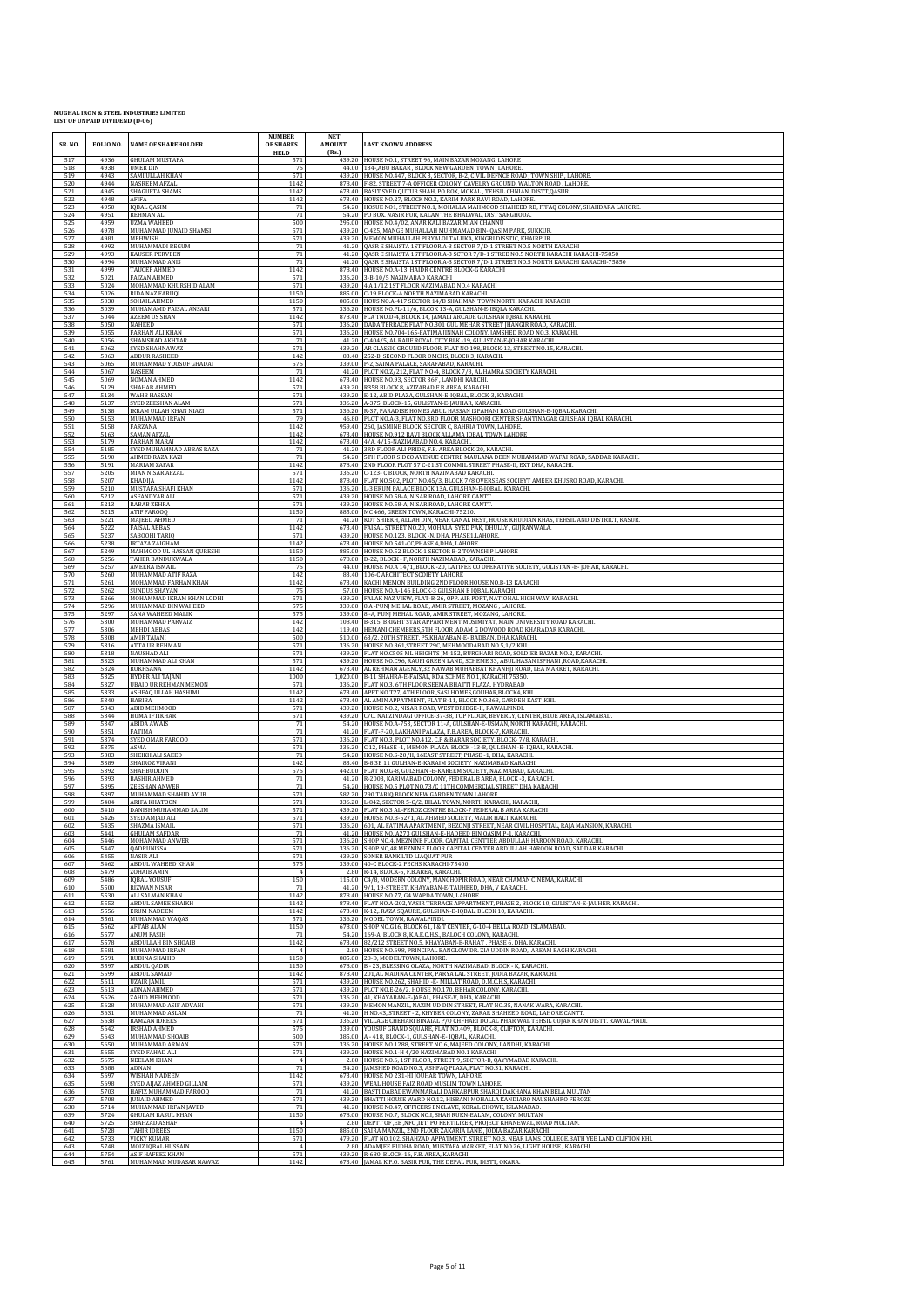| SR. NO.    | FOLIO NO.    | <b>NAME OF SHAREHOLDER</b>                      | <b>NUMBER</b><br>OF SHARES<br><b>HELD</b> | <b>NET</b><br><b>AMOUNT</b><br>(Rs.) | <b>LAST KNOWN ADDRESS</b>                                                                                                                       |
|------------|--------------|-------------------------------------------------|-------------------------------------------|--------------------------------------|-------------------------------------------------------------------------------------------------------------------------------------------------|
| 517        | 4936         | <b>GHULAM MUSTAFA</b>                           | 571                                       |                                      | 439.20 HOUSE NO.1, STREET 96, MAIN BAZAR MOZANG. LAHORE                                                                                         |
| 518        | 4938         | <b>UMER DIN</b>                                 | 75                                        |                                      | 44.00 134-, ABU BAKAR, BLOCK NEW GARDEN TOWN, LAHORE                                                                                            |
| 519        | 4943         | SAMI ULLAH KHAN                                 | 571                                       |                                      | 439.20 HOUSE NO.447, BLOCK 3, SECTOR, B-2, CIVIL DEFNCE ROAD, TOWN SHIP, LAHORE                                                                 |
| 520        | 4944         | <b>NASREEM AFZAL</b>                            | 1142                                      |                                      | 878.40 F-82, STREET 7-A OFFICER COLONY, CAVELRY GROUND, WALTON ROAD, LAHORE.                                                                    |
| 521        | 4945         | SHAGUFTA SHAMS                                  | 1142                                      |                                      | 673.40 BASIT SYED QUTUB SHAH, PO BOX, MOKAL, TEHSIL CHNIAN, DISTT, QASUR.                                                                       |
| 522        | 4948         | AFIFA                                           | 1142                                      |                                      | 673.40 HOUSE NO.27, BLOCK NO.2, KARIM PARK RAVI ROAD, LAHORE.                                                                                   |
| 523        | 4950         | <b>IQBAL QASIM</b>                              | 71                                        |                                      | 54.20 HOSUE NO1, STREET NO.1, MOHALLA MAHMOOD SHAHEED RD, ITFAQ COLONY, SHAHDARA LAHORE                                                         |
| 524        | 4951         | <b>REHMAN ALI</b>                               | 71                                        |                                      | 54.20 PO BOX. NASIR PUR, KALAN THE BHALWAL, DIST SARGHODA.                                                                                      |
| 525        | 4959         | <b>UZMA WAHEED</b>                              | 500                                       |                                      | 295.00 HOUSE NO.4/02, ANAR KALI BAZAR MIAN CHANNU                                                                                               |
| 526        | 4978         | MUHAMMAD JUNAID SHAMSI                          | 571                                       |                                      | 439.20 C-425, MANGE MUHALLAH MUHMAMAD BIN- QASIM PARK, SUKKUR                                                                                   |
| 527        | 4981         | MEHWISH                                         | 571                                       |                                      | 439.20 MEMON MUHALLAH PIRYALOI TALUKA, KINGRI DISSTIC, KHAIRPUR                                                                                 |
| 528        | 4992         | MUHAMMADI BEGUM                                 | 71                                        |                                      | 41.20 QASR E SHAISTA 1ST FLOOR A-3 SECTOR 7/D-1 STREET NO.5 NORTH KARACHI                                                                       |
| 529        | 4993         | <b>KAUSER PERVEEN</b>                           | 71                                        |                                      | 41.20 OASR E SHAISTA 1ST FLOOR A-3 SCTOR 7/D-1 STREE NO.5 NORTH KARACHI KARACHI-75850                                                           |
| 530        | 4994         | MUHAMMAD ANIS                                   | 71                                        | 878.40                               | 41.20 QASR E SHAISTA 1ST FLOOR A-3 SECTOR 7/D-1 STREET NO.5 NORTH KARACHI KARACHI-75850                                                         |
| 531        | 4999         | <b>TAUCEF AHMED</b>                             | 1142                                      |                                      | HOUSE NO.A-13 HAIDR CENTRE BLOCK-G KARACHI                                                                                                      |
| 532        | 5021         | <b>FAIZAN AHMED</b>                             | 571                                       |                                      | 336.20 3-B-10/5 NAZIMABAD KARACHI                                                                                                               |
| 533        | 5024         | MOHAMMAD KHURSHID ALAM                          | 571                                       |                                      | 439.20 4 A 1/12 1ST FLOOR NAZIMABAD NO.4 KARACHI                                                                                                |
| 534        | 5026         | RIDA NAZ FARUQ                                  | 1150                                      |                                      | 885.00 C-19 BLOCK-A NORTH NAZIMABAD KARACHI                                                                                                     |
| 535        | 5030         | SOHAIL AHMED                                    | 1150                                      |                                      | 885.00 HOUS NO.A-417 SECTOR 14/B SHAHMAN TOWN NORTH KARACHI KARACHI                                                                             |
| 536        | 5039         | MUHAMAMD FAISAL ANSARI                          | 571                                       |                                      | 336.20 HOUSE NO.FL-11/6, BLCOK 13-A, GULSHAN-E-IBQLA KARACHI.                                                                                   |
| 537        | 5044         | <b>AZEEM US SHAN</b>                            | 1142                                      |                                      | 878.40   FLA TNO.D-4, BLOCK 14, JAMALI ARCADE GULSHAN IQBAL KARACHI                                                                             |
| 538        | 5050         | NAHEED                                          | 571                                       | 336.20                               | DADA TERRACE FLAT NO.301 GUL MEHAR STREET JHANGIR ROAD, KARACHI                                                                                 |
| 539        | 5055         | FARHAN ALI KHAN                                 | 571                                       |                                      | 336.20 HOUSE NO.704-165-FATIMA JINNAH COLONY, JAMSHED ROAD NO.3, KARACHI                                                                        |
| 540        | 5056         | <b>SHAMSHAD AKHTAR</b>                          | 71                                        |                                      | 41.20 C-404/5, AL RAUF ROYAL CITY BLK -19, GULISTAN-E-JOHAR KARACHI.                                                                            |
| 541        | 5062         | SYED SHAHNAWAZ                                  | 571                                       |                                      | 439.20 AR CLASSIC GROUND FLOOR, FLAT NO.198, BLOCK-13, STREET NO.15, KARACHI.                                                                   |
| 542        | 5063         | <b>ABDUR RASHEED</b>                            | 142                                       |                                      | 83.40 252-B, SECOND FLOOR DMCHS, BLOCK 3, KARACHI.                                                                                              |
| 543        | 5065         | MUHAMMAD YOUSUF GHADAI                          | 575                                       |                                      | 339.00 P-2, SAIMA PALACE, SARAFABAD, KARACHI.                                                                                                   |
| 544        | 5067         | <b>NASEEM</b>                                   | 71                                        | 41.20                                | PLOT NO.Z/212, FLAT NO-4, BLOCK 7/8, AL HAMRA SOCIETY KARACHI.                                                                                  |
| 545        | 5069         | <b>NOMAN AHMED</b>                              | 1142                                      |                                      | 673.40 HOUSE NO.93, SECTOR 36F, LANDHI KARCHI.                                                                                                  |
| 546        | 5129         | <b>SHAHAB AHMED</b>                             | 571                                       |                                      | 439.20 R358 BLOCK 8, AZIZABAD F.B.AREA, KARACHI.                                                                                                |
| 547        | 5134         | <b>WAHB HASSAN</b>                              | 571                                       |                                      | 439.20 E-12, ABID PLAZA, GULSHAN-E-IQBAL, BLOCK-3, KARACHI.                                                                                     |
| 548<br>549 | 5137<br>5138 | <b>SYED ZEESHAN ALAM</b>                        | 571<br>571                                |                                      | 336.20 A-375, BLOCK-15, GULISTAN-E-JAUHAR, KARACHI.<br>336.20 R-37, PARADISE HOMES ABUL HASSAN ISPAHANI ROAD GULSHAN-E-IQBAL KARACHI.           |
| 550        | 5153         | <b>IKRAM ULLAH KHAN NIAZI</b><br>MUHAMMAD IRFAN | 79                                        |                                      | 46.80 PLOT NO.A-3, FLAT NO.3RD FLOOR MASHOORI CENTER SHANTINAGAR GULSHAN IQBAL KARACHI                                                          |
| 551        | 5158         | FARZANA                                         | 1142                                      |                                      | 959.40 260, JASMINE BLOCK, SECTOR C, BAHRIA TOWN, LAHORE.                                                                                       |
| 552        | 5163         | SAMAN AFZAL                                     | 1142                                      |                                      | 673.40 HOUSE NO.912 RAVI BLOCK ALLAMA IQBAL TOWN LAHORE                                                                                         |
| 553        | 5179         | <b>FARHAN MARA</b>                              | 1142                                      | 673.40                               | 4/A, 4/15-NAZIMABAD NO.4, KARACHI.                                                                                                              |
| 554        | 5185         | SYED MUHAMMAD ABBAS RAZA                        | 71                                        |                                      | 41.20 3RD FLOOR ALI PRIDE, F.B. AREA BLOCK-20, KARACHI.                                                                                         |
| 555        | 5190         | AHMED RAZA KAZI                                 | 71                                        | 878.40                               | 54.20 5TH FLOOR SIDCO AVENUE CENTRE MAULANA DEEN MUHAMMAD WAFAI ROAD, SADDAR KARACHI.                                                           |
| 556        | 5191         | <b>MARIAM ZAFAR</b>                             | 1142                                      |                                      | 2ND FLOOR PLOT 57 C-21 ST COMMIL STREET PHASE-II, EXT DHA, KARACHI                                                                              |
| 557        | 5205         | MIAN NISAR AFZAI                                | 571                                       |                                      | 336.20 C-123- C BLOCK, NORTH NAZIMABAD KARACHI.                                                                                                 |
| 558        | 5207         | KHADIJA                                         | 1142                                      |                                      | 878.40 FLAT NO.502, PLOT NO.45/3, BLOCK 7/8 OVERSEAS SOCIEYT AMEER KHUSRO ROAD, KARACHI.                                                        |
| 559        | 5210         | MUSTAFA SHAFI KHAN                              | 571                                       |                                      | 336.20 L-3 ERUM PALACE BLOCK 13A, GULSHAN-E-IQBAL, KARACHI.                                                                                     |
| 560        | 5212         | ASFANDYAR ALI                                   | 571                                       |                                      | 439.20 HOUSE NO.58-A, NISAR ROAD, LAHORE CANTT.                                                                                                 |
| 561        | 5213         | RABAB ZEHRA                                     | 571                                       |                                      | 439.20 HOUSE NO.58-A, NISAR ROAD, LAHORE CANTT.                                                                                                 |
| 562        | 5215         | <b>ATIF FAROOQ</b>                              | 1150                                      |                                      | 885.00 MC 466, GREEN TOWN, KARACHI-75210.                                                                                                       |
| 563        | 5221         | MAJEED AHMED                                    | 71                                        |                                      | 41.20 KOT SHIEKH, ALLAH DIN, NEAR CANAL REST, HOUSE KHUDIAN KHAS, TEHSIL AND DISTRICT, KASUR.                                                   |
| 564        | 5222         | <b>FAISAL ABBAS</b>                             | 1142                                      |                                      | 673.40 FAISAL STREET NO.20, MOHALA SYED PAK, DHULLY, GUJRANWALA                                                                                 |
| 565        | 5237         | <b>SABOOHI TARIQ</b>                            | 571                                       |                                      | 439.20 HOUSE NO.123, BLOCK -N, DHA, PHASE1,LAHORE.                                                                                              |
| 566        | 5238         | <b>IRTAZA ZAIGHAM</b>                           | 1142                                      |                                      | 673.40 HOUSE NO.541-CC, PHASE 4, DHA, LAHORE                                                                                                    |
| 567        | 5249         | MAHMOOD UL HASSAN QURESHI                       | 1150                                      |                                      | 885.00 HOUSE NO.52 BLOCK-1 SECTOR B-2 TOWNSHIP LAHORE                                                                                           |
| 568        | 5256         | TAHER BANDUKWALA                                | 1150                                      |                                      | 678.00 D-22, BLOCK - F, NORTH NAZIMABAD, KARACHI.                                                                                               |
| 569        | 5257         | AMEERA ISMAIL                                   | 75                                        |                                      | 44.00 HOUSE NO.A 14/1, BLOCK -20, LATIFEE CO OPERATIVE SOCIETY, GULISTAN -E- JOHAR, KARACHI.                                                    |
| 570        | 5260         | MUHAMMAD ATIF RAZA                              | 142                                       |                                      | 83.40 106-C ARCHITECT SCOIETY LAHORE                                                                                                            |
| 571        | 5261         | MOHAMMAD FARHAN KHAN                            | 1142                                      |                                      | 673.40 KACHI MEMON BUILDING 2ND FLOOR HOUSE NO.B-13 KARACHI                                                                                     |
| 572        | 5262         | <b>SUNDUS SHAYAN</b>                            | 75                                        |                                      | 57.00 HOUSE NO.A-146 BLOCK-3 GULSHAN E IQBAL KARACHI                                                                                            |
| 573        | 5266         | MOHAMMAD IKRAM KHAN LODHI                       | 571                                       |                                      | 439.20 FALAK NAZ VIEW, FLAT-B-26, OPP. AIR PORT, NATIONAL HIGH WAY, KARACHI                                                                     |
| 574        | 5296         | MUHAMMAD BIN WAHEED                             | 575                                       |                                      | 339.00 8 A -PUNJ MEHAL ROAD, AMIR STREET, MOZANG, LAHORE.                                                                                       |
| 575        | 5297         | SANA WAHEED MALIK                               | 575                                       |                                      | 339.00 8 -A, PUNJ MEHAL ROAD, AMIR STREET, MOZANG, LAHORE.                                                                                      |
| 576        | 5300         | MUHAMMAD PARVAIZ                                | 142                                       |                                      | 108.40 B-315, BRIGHT STAR APPARTMENT MOSIMIYAT, MAIN UNIVERSITY ROAD KARACHI                                                                    |
| 577        | 5306         | <b>MEHDI ABBAS</b>                              | 142                                       | 510.00                               | 119.40 HEMANI CHEMBERS, 5TH FLOOR ,ADAM G DOWOOD ROAD KHARADAR KARACHI.                                                                         |
| 578        | 5308         | AMIR TAJANI                                     | 500                                       |                                      | 63/2, 20TH STREET, P5, KHAYABAN-E- BADBAN, DHA, KARACHI.                                                                                        |
| 579        | 5316         | <b>ATTA UR REHMAN</b>                           | 571                                       |                                      | 336.20 HOUSE NO.861, STREET 29C, MEHMOODABAD NO.5,1/2, KHI.                                                                                     |
| 580        | 5318         | <b>NAUSHAD ALI</b>                              | 571                                       |                                      | 439.20 FLAT NO.C505 ML HEIGHTS [M-152, BURGHARI ROAD, SOLDIER BAZAR NO.2, KARACHI.                                                              |
| 581        | 5323         | MUHAMMAD ALI KHAN                               | 571                                       |                                      | 439.20 HOUSE NO.C96, RAUFI GREEN LAND, SCHEME 33, ABUL HASAN ISPHANI ,ROAD,KARACHI                                                              |
| 582        | 5324         | RUKHSANA                                        | 1142                                      |                                      | 673.40 AL REHMAN AGENCY, 32 NAWAB MUHABBAT KHANHJI ROAD, LEA MARKET, KARACHI.                                                                   |
| 583        | 5325         | HYDER ALI TAJANI                                | 1000                                      |                                      | 1,020.00 B-11 SHAHRA-E-FAISAL, KDA SCHME NO.1, KARACHI 75350.                                                                                   |
| 584        | 5327         | <b>UBAID UR REHMAN MEMON</b>                    | 571                                       |                                      | 336.20 FLAT NO.3, 6TH FLOOR, SEEMA BHATTI PLAZA, HYDRABAD                                                                                       |
| 585        | 5333         | ASHFAQ ULLAH HASHIMI                            | 1142                                      |                                      | 673.40 APPT NO.T27, 4TH FLOOR , SASI HOMES, GOUHAR, BLOCK4, KHI.                                                                                |
| 586        | 5340         | HABIBA                                          | 1142                                      |                                      | 673.40 AL AMIN APPATMENT, FLAT B-11, BLOCK NO.368, GARDEN EAST .KHI.                                                                            |
| 587        | 5343         | ABID MEHMOOD                                    | 571                                       |                                      | 439.20 HOUSE NO.2, NISAR ROAD, WEST BRIDGE-II, RAWALPINDI.                                                                                      |
| 588        | 5344         | <b>HUMA IFTIKHAR</b>                            | 571                                       |                                      | 439.20 C/O. NAI ZINDAGI OFFICE-37-38, TOP FLOOR, BEVERLY, CENTER, BLUE AREA, ISLAMABAD                                                          |
| 589        | 5347         | <b>ABIDA AWAIS</b>                              | 71                                        |                                      | 54.20 HOUSE NO.A-753, SECTOR 11-A, GULSHAN-E-USMAN, NORTH KARACHI, KARACHI.                                                                     |
| 590        | 5351         | FATIMA                                          | 71                                        |                                      | 41.20 FLAT-F-20, LAKHANI PALAZA, F.B.AREA, BLOCK-7, KARACHI.                                                                                    |
| 591        | 5374         | SYED OMAR FAROOQ                                | 571                                       |                                      | 336.20 FLAT NO.3, PLOT NO.412, C.P & BARAR SOCIETY, BLOCK- 7/8, KARACHI.                                                                        |
| 592        | 5375         | ASMA                                            | 571                                       |                                      | 336.20 C 12, PHASE -1, MEMON PLAZA, BLOCK -13-B, QULSHAN -E-IQBAL, KARACHI                                                                      |
| 593        | 5383         | SHEIKH ALI SAEED                                | 71                                        |                                      | 54.20 HOUSE NO.S-20/II, 16EAST STREET, PHASE -1, DHA, KARACHI.                                                                                  |
| 594        | 5389         | SHAIROZ VIRANI                                  | 142                                       |                                      | 83.40 B-8 3E 11 GULHAN-E-KARAIM SOCIETY NAZIMABAD KARACHI                                                                                       |
| 595        | 5392         | <b>SHAHBUDDIN</b>                               | 575                                       |                                      | 442.00 FLAT NO.G-8, GULSHAN - E-KAREEM SOCIETY, NAZIMABAD, KARACHI                                                                              |
| 596        | 5393         | <b>BASHIR AHMED</b>                             | 71                                        |                                      | 41.20 R-2003, KARIMABAD COLONY, FEDERAL B AREA, BLOCK -3, KARACHI                                                                               |
| 597        | 5395         | ZEESHAN ANWER                                   | 71                                        | 54.20                                | HOUSE NO.5 PLOT NO.73/C 11TH COMMERCIAL STREET DHA KARACHI                                                                                      |
| 598        | 5397         | MUHAMMAD SHAHID AYUB                            | 571                                       |                                      | 582.20 290 TARIO BLOCK NEW GARDEN TOWN LAHORE                                                                                                   |
| 599        | 5404         | ARIFA KHATOON                                   | 571                                       |                                      | 336.20 L-842, SECTOR 5-C/2, BILAL TOWN, NORTH KARACHI, KARACHI,                                                                                 |
| 600        | 5410         | DANISH MUHAMMAD SALIM                           | 571                                       |                                      | 439.20 FLAT NO.3 AL-FEROZ CENTRE BLOCK-7 FEDERAL B AREA KARACHI                                                                                 |
| 601        | 5426         | SYED AMJAD ALI                                  | 571                                       |                                      | 439.20 HOUSE NO.B-52/1, AL AHMED SOCIETY, MALIR HALT KARACHI.                                                                                   |
| 602        | 5435         | SHAZMA ISMAIL                                   | 571                                       |                                      | 336.20 601. AL FATIMA APARTMENT, BEZONII STREET, NEAR CIVIL HOSPITAL, RAIA MANSION, KARACHI                                                     |
| 603<br>604 | 5441<br>5446 | <b>GHULAM SAFDAR</b><br>MOHAMMAD ANWER          | $\frac{71}{571}$                          |                                      | 41.20 HOUSE NO. A273 GULSHAN-E-HADEED BIN QASIM P-1, KARACHI<br>336.20 SHOP NO.4, MEZNINE FLOOR, CAPITAL CENTTER ABDULLAH HAROON ROAD, KARACHI. |
| 605        | 5447         | <b>QADRUNISSA</b>                               | 571                                       |                                      | 336.20 SHOP NO,48 MEZNINE FLOOR CAPITAL CENTER ABDULLAH HAROON ROAD, SADDAR KARACHI.                                                            |
| 606        | 5455         | <b>NASIR ALI</b>                                | 571                                       |                                      | 439.20 SONER BANK LTD LIAQUAT PUR                                                                                                               |
| 607        | 5462         | ABDUL WAHEED KHAN                               | 575                                       |                                      | 339.00 40-C BLOCK-2 PECHS KARACHI-75400                                                                                                         |
| 608        | 5479         | ZOHAIB AMIN                                     | $\overline{4}$                            |                                      | 2.80 R-14, BLOCK-5, F.B.AREA, KARACHI.                                                                                                          |
| 609        | 5486         | <b>IOBAL YOUSUF</b>                             | 150                                       |                                      | 115.00 C4/8, MODERN COLONY, MANGHOPIR ROAD, NEAR CHAMAN CINEMA, KARACHI.                                                                        |
| 610        | 5500         | <b>RIZWAN NISAR</b>                             | 71                                        |                                      | 41.20 9/1, 19-STREET, KHAYABAN-E-TAUHEED, DHA, V KARACHI.                                                                                       |
| 611        | 5530         | <b>ALI SALMAN KHAN</b>                          | 1142                                      |                                      | 878.40 HOUSE NO.77, G4 WAPDA TOWN, LAHORE                                                                                                       |
| 612        | 5553         | <b>ABDUL SAMEE SHAIKH</b>                       | 1142                                      |                                      | 878.40 FLAT NO.A-202, YASIR TERRACE APPARTMENT, PHASE 2, BLOCK 10, GULISTAN-E-JAUHER, KARACHI.                                                  |
| 613        | 5556         | ERUM NADEEM                                     | 1142                                      |                                      | 673.40 K-12, RAZA SQAURE, GULSHAN-E-IQBAL, BLCOK 10, KARACHI.                                                                                   |
| 614        | 5561         | MUHAMMAD WAQAS                                  | 571                                       |                                      | 336.20 MODEL TOWN, RAWALPINDI.                                                                                                                  |
| 615        | 5562         | AFTAB ALAM                                      | 1150                                      |                                      | 678.00 SHOP NO.G16, BLOCK 61, I & T CENTER, G-10-4 BELLA ROAD, ISLAMABAD.                                                                       |
| 616        | 5577         | <b>ANUM FASIH</b>                               | 71                                        |                                      | 54.20 169-A, BLOCK 8, K.A.E.C.H.S., BALOCH COLONY, KARACHI.                                                                                     |
| 617        | 5578         | <b>ABDULLAH BIN SHOAIB</b>                      | 1142                                      |                                      | 673.40 82/212 STREET NO.5, KHAYABAN-E-RAHAT, PHASE 6, DHA, KARACHI.                                                                             |
| 618        | 5581         | MUHAMMAD IRFAN                                  | $\overline{4}$                            |                                      | 2.80 HOUSE NO.698, PRINCIPAL BANGLOW DR. ZIA UDDIN ROAD, AREAM BAGH KARACHI.                                                                    |
| 619        | 5591         | RUBINA SHAHID                                   | 1150                                      | 885.00                               | 28-D, MODEL TOWN, LAHORE.                                                                                                                       |
| 620        | 5597         | ABDUL QADIR                                     | 1150                                      |                                      | 678.00 B - 23, BLESSING OLAZA, NORTH NAZIMABAD, BLOCK - K, KARACHI.                                                                             |
| 621        | 5599         | <b>ABDUL SAMAD</b>                              | 1142                                      |                                      | 878.40 201, AL MADINA CENTER, PARYA LAL STREET, JODIA BAZAR, KARACHI.                                                                           |
| 622        | 5611         | UZAIR JAMIL                                     | 571                                       |                                      | 439.20 HOUSE NO.262, SHAHID - E- MILLAT ROAD, D.M.C.H.S, KARACHI.                                                                               |
| 623        | 5613         | <b>ADNAN AHMED</b>                              | 571                                       |                                      | 439.20 PLOT NO.E-26/2, HOUSE NO.170, BEHAR COLONY, KARACHI.                                                                                     |
| 624        | 5626         | ZAHID MEHMOOD                                   | 571                                       |                                      | 336.20 41, KHAYABAN-E-JABAL, PHASE-V, DHA, KARACHI.                                                                                             |
| 625        | 5628         | MUHAMMAD ASIF ADVANI                            | 571                                       | 439.20                               | MEMON MANZIL, NAZIM UD DIN STREET, FLAT NO.35, NANAK WARA, KARACHI.                                                                             |
| 626        | 5631         | MUHAMMAD ASLAM                                  | 71                                        |                                      | 41.20   H NO.43, STREET - 2, KHYBER COLONY, ZARAR SHAHEED ROAD, LAHORE CANTT                                                                    |
| 627        | 5638         | <b>RAMZAN IDREES</b>                            | 571                                       |                                      | 336.20 VILLAGE CHEHARI BINAIAL P/O CHFHARI DOLAL PHAR WAL TEHSIL GUJAR KHAN DISTT. RAWALPINDI.                                                  |
| 628        | 5642         | <b>IRSHAD AHMED</b>                             | 575                                       |                                      | 339.00 YOUSUF GRAND SQUARE, FLAT NO.409, BLOCK-8, CLIFTON, KARACHI.                                                                             |
| 629        | 5643         | MUHAMMAD SHOAIB                                 | 500                                       |                                      | 385.00 A - 418, BLOCK-1, GULSHAN-E- IQBAL, KARACHI.                                                                                             |
| 630        | 5650         | MUHAMMAD ARMAN                                  | 571                                       |                                      | 336.20 HOUSE NO.1288, STREET NO.6, MAJEED COLONY, LANDHI, KARACHI                                                                               |
| 631        | 5655         | SYED FAHAD ALI                                  | 571                                       |                                      | 439.20 HOUSE NO.1-H 4/20 NAZIMABAD NO.1 KARACHI                                                                                                 |
| 632        | 5675         | NEELAM KHAN                                     | $\overline{4}$                            |                                      | 2.80 HOUSE NO.6, 1ST FLOOR, STREET 9, SECTOR-B, QAYYMABAD KARACHI.                                                                              |
| 633        | 5688         | <b>ADNAN</b>                                    | 71                                        |                                      | 54.20 JAMSHED ROAD NO.3, ASHFAQ PLAZA, FLAT NO.31, KARACHI                                                                                      |
| 634        | 5697         | <b>WISHAH NADEEM</b>                            | 1142                                      |                                      | 673.40 HOUSE NO 231-HI JOUHAR TOWN, LAHORE                                                                                                      |
| 635        | 5698         | SYED AIJAZ AHMED GILLANI                        | 571                                       |                                      | 439.20 WEAL HOUSE FAIZ ROAD MUSLIM TOWN LAHORE.                                                                                                 |
| 636        | 5703         | HAFIZ MUHAMMAD FAROOQ                           | 71                                        |                                      | 41.20 BASTI DABADEWANMARALI DARKABPUR SHARQI DAKHANA KHAN BELA MULTAN                                                                           |
| 637        | 5708         | <b>IUNAID AHMED</b>                             | 571                                       |                                      | 439.20 BHATTI HOUSE WARD NO,12, HISBANI MOHALLA KANDIARO NAUSHAHRO FEROZE                                                                       |
| 638        | 5714         | MUHAMMAD IRFAN JAVED                            | 71                                        |                                      | 41.20 HOUSE NO.47, OFFICERS ENCLAVE, KORAL CHOWK, ISLAMABAD.                                                                                    |
| 639        | 5724         | <b>GHULAM RASUL KHAN</b>                        | 1150                                      |                                      | 678.00 HOUSE NO.7, BLOCK NO.I, SHAH RUKN-EALAM, COLONY, MULTAN                                                                                  |
| 640        | 5725         | SHAHZAD ASHAF                                   | $\overline{4}$                            |                                      | 2.80 DEPTT OF ,EE ,NFC ,IET, PO FERTILIZER, PROJECT KHANEWAL, ROAD MULTAN.                                                                      |
| 641        | 5728         | <b>TAHIR IDREES</b>                             | 1150                                      |                                      | 885.00 SAIRA MANZIL, 2ND FLOOR ZAKARIA LANE, JODIA BAZAR KARACHI.                                                                               |
| 642        | 5733         | <b>VICKY KUMAR</b>                              | 571                                       |                                      | 479.20 FLAT NO.102, SHAHZAD APPATMENT, STREET NO.3, NEAR LAMS COLLEGE, BATH YEE LAND CLIFTON KHI                                                |
| 643        | 5748         | MOIZ IQBAL HUSSAIN                              | $\overline{4}$                            |                                      | 2.80 ADAMJEE BUDHA ROAD, MUSTAFA MARKET, FLAT NO.26, LIGHT HOUSE, KARACHI.                                                                      |
| 644        | 5754         | ASIF HAFEEZ KHAN                                | 571                                       |                                      | 439.20 R-680, BLOCK-16, F.B. AREA, KARACHI.                                                                                                     |
| 645        | 5761         | MUHAMMAD MUDASAR NAWAZ                          | 1142                                      |                                      | 673.40 JAMAL K P.O. BASIR PUR, THE DEPAL PUR, DISTT, OKARA.                                                                                     |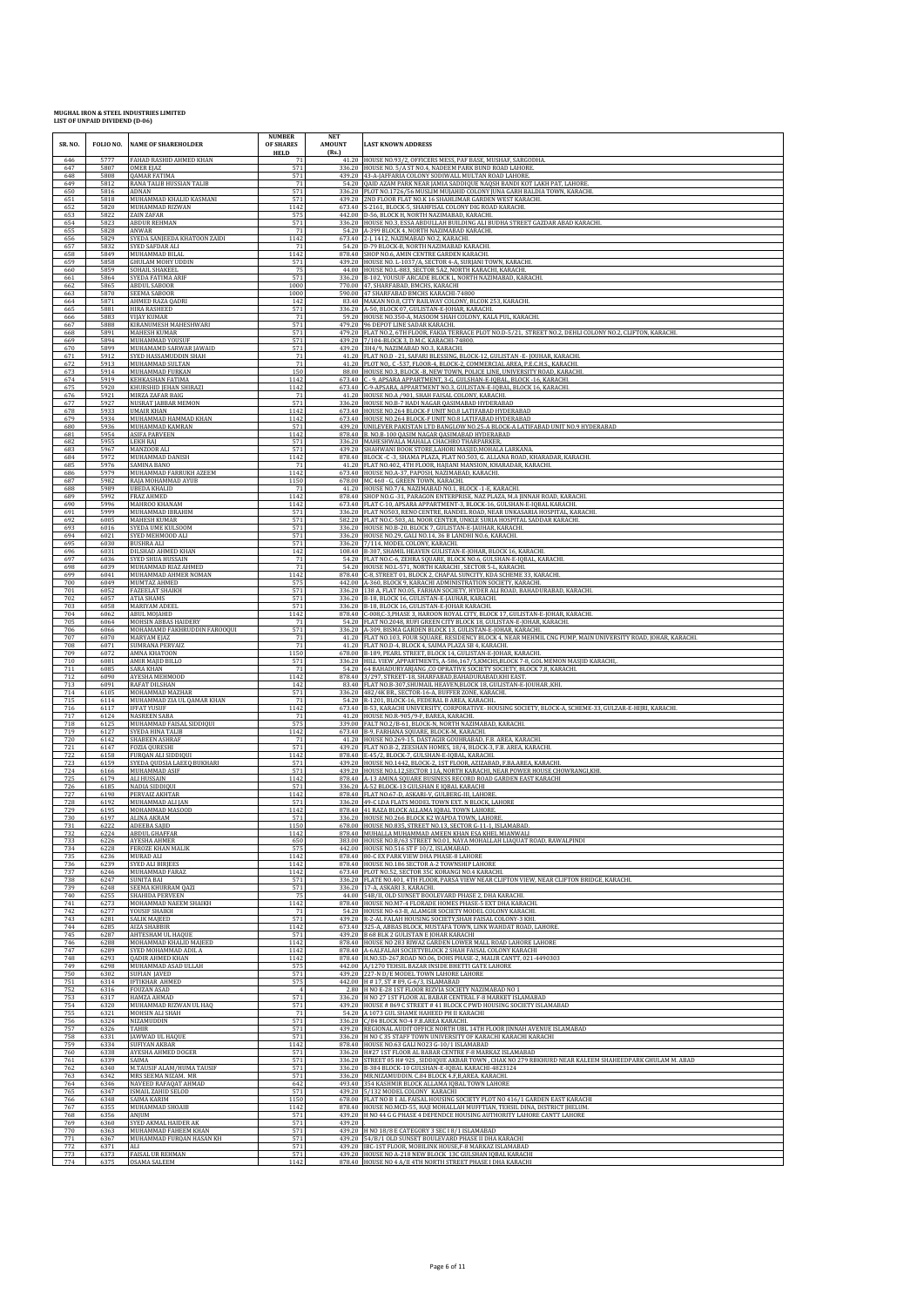| SR. NO.           | FOLIO NO.<br>5777    | <b>NAME OF SHAREHOLDER</b><br>FAHAD RASHID AHMED KHAN               | <b>NUMBER</b><br>OF SHARES<br><b>HELD</b> | <b>NET</b><br><b>AMOUNT</b><br>(Rs.) | <b>LAST KNOWN ADDRESS</b><br>41.20 HOUSE NO.93/2, OFFICERS MESS, PAF BASE, MUSHAF, SARGODHA.                                                                                                                          |
|-------------------|----------------------|---------------------------------------------------------------------|-------------------------------------------|--------------------------------------|-----------------------------------------------------------------------------------------------------------------------------------------------------------------------------------------------------------------------|
| 646<br>647<br>648 | 5807<br>5808         | OMER EJAZ<br>QAMAR FATIMA                                           | 571<br>571                                | 439.20                               | 336.20 HOUSE NO. 5/A ST NO.4, NADEEM PARK BUND ROAD LAHORE.<br>43-A-JAFFARIA COLONY SODIWALL MULTAN ROAD LAHORE                                                                                                       |
| 649               | 5812                 | RANA TALIB HUSSIAN TALIB                                            | 71                                        |                                      | 54.20 QAID AZAM PARK NEAR JAMIA SADDIQUE NAQSH BANDI KOT LAKH PAT, LAHORE                                                                                                                                             |
| 650               | 5816                 | ADNAN                                                               | 571                                       |                                      | 336.20 PLOT NO.1726/56 MUSLIM MUJAHID COLONY JUNA GARH BALDIA TOWN, KARACHI.                                                                                                                                          |
| 651               | 5818                 | MUHAMMAD KHALID KASMANI                                             | 571                                       | 439.20                               | 2ND FLOOR FLAT NO.K 16 SHAHLIMAR GARDEN WEST KARACHI.                                                                                                                                                                 |
| 652               | 5820                 | MUHAMMAD RIZWAN                                                     | 1142                                      |                                      | 673.40 S-2161, BLOCK-5, SHAHFISAL COLONY DIG ROAD KARACHI                                                                                                                                                             |
| 653<br>654        | 5822<br>5823         | ZAIN ZAFAR<br><b>ABDUR REHMAN</b>                                   | 575<br>571<br>71                          | 336.20                               | 442.00 D-56, BLOCK H, NORTH NAZIMABAD, KARACHI.<br>HOUSE NO.3, ESSA ABDULLAH BUILDING ALI BUDHA STREET GAZDAR ABAD KARACHI.                                                                                           |
| 655<br>656<br>657 | 5828<br>5829<br>5832 | ANWAR<br>SYEDA SANJEEDA KHATOON ZAIDI<br>SYED SAFDAR ALI            | 1142<br>71                                |                                      | 54.20 A-399 BLOCK 4, NORTH NAZIMABAD KARACHI.<br>673.40 2-J, 1412, NAZIMABAD NO.2, KARACHI.<br>54.20 D-79 BLOCK-B, NORTH NAZIMABAD KARACHI.                                                                           |
| 658               | 5849                 | MUHAMMAD BILAL                                                      | 1142                                      |                                      | 878.40 SHOP NO.6, AMIN CENTRE GARDEN KARACHI.                                                                                                                                                                         |
| 659               | 5858                 | GHULAM MOHY UDDIN                                                   | 571                                       |                                      | 439.20 HOUSE NO. L-1037/A, SECTOR 4-A, SURJANI TOWN, KARACHI                                                                                                                                                          |
| 660               | 5859                 | SOHAIL SHAKEEL                                                      | 75                                        |                                      | 44.00 HOUSE NO.L-883, SECTOR 5A2, NORTH KARACHI, KARACHI.                                                                                                                                                             |
| 661               | 5864                 | SYEDA FATIMA ARIF                                                   | 571                                       |                                      | 336.20 B-102, YOUSUF ARCADE BLOCK L, NORTH NAZIMABAD, KARACHI.                                                                                                                                                        |
| 662               | 5865                 | <b>ABDUL SABOOR</b>                                                 | 1000                                      |                                      | 770.00 47, SHARFABAD, BMCHS, KARACHI                                                                                                                                                                                  |
| 663               | 5870                 | SEEMA SABOOR                                                        | 1000                                      |                                      | 590.00 47 SHARFABAD BMCHS KARACHI-74800                                                                                                                                                                               |
| 664               | 5871                 | <b>AHMED RAZA QADRI</b>                                             | 142                                       |                                      | 83.40 MAKAN NO.8, CITY RAILWAY COLONY, BLCOK 253, KARACHI.                                                                                                                                                            |
| 665               | 5881                 | HIRA RASHEED                                                        | 571                                       |                                      | 336.20 A-50, BLOCK 07, GULISTAN-E-JOHAR, KARACHI.                                                                                                                                                                     |
| 666               | 5883                 | <b>VIJAY KUMAR</b>                                                  | 71                                        |                                      | 59.20 HOUSE NO.350-A, MASOOM SHAH COLONY, KALA PUL, KARACHI.                                                                                                                                                          |
| 667               | 5888                 | KIRANUMESH MAHESHWARI                                               | 571                                       |                                      | 479.20 96 DEPOT LINE SADAR KARACHI.                                                                                                                                                                                   |
| 668               | 5891                 | MAHESH KUMAR                                                        | 571                                       |                                      | 479.20 FLAT NO.2, 6TH FLOOR, FAKIA TERRACE PLOT NO.D-5/21, STREET NO.2, DEHLI COLONY NO.2, CLIFTON, KARACHI.                                                                                                          |
| 669               | 5894                 | MUHAMMAD YOUSUF                                                     | 571                                       | 439.20                               | 439.20 7/104-BLOCK 3, D.M.C. KARACHI-74800.                                                                                                                                                                           |
| 670               | 5899                 | MUHAMAMD SARWAR JAWAID                                              | 571                                       |                                      | 3H4/9, NAZIMABAD NO.3, KARACHI.                                                                                                                                                                                       |
| 671<br>672        | 5912<br>5913<br>5914 | SYED HASSAMUDDIN SHAH<br>MUHAMMAD SULTAN                            | 71<br>71                                  | 88.00                                | 41.20 FLAT NO.D - 21, SAFARI BLESSING, BLOCK-12, GULISTAN -E- JOUHAR, KARACHI.<br>41.20 PLOT NO, C -537, FLOOR-4, BLOCK-2, COMMERCIAL AREA, P.E.C.H.S., KARACHI.                                                      |
| 673<br>674<br>675 | 5919<br>5920         | MUHAMMAD FURKAN<br>KEHKASHAN FATIMA<br>KHURSHID JEHAN SHIRAZI       | 150<br>1142<br>1142                       | 673.40                               | HOUSE NO.3, BLOCK -B, NEW TOWN, POLICE LINE, UNIVERSITY ROAD, KARACHI C - 9, APSARA APPARTMENT, 3-G, GULSHAN-E-IQBAL, BLOCK -16, KARACHI.<br>673.40 C-9-APSARA, APPARTMENT NO.3, GULISTAN-E-IQBAL, BLOCK 16, KARACHI. |
| 676               | 5921                 | MIRZA ZAFAR BAIG                                                    | 71                                        | 41.20                                | HOUSE NO.A /901, SHAH FAISAL COLONY, KARACHI                                                                                                                                                                          |
| 677               | 5927                 | NUSRAT JABBAR MEMON                                                 | 571                                       |                                      | 336.20 HOUSE NO.B-7 HADI NAGAR QASIMABAD HYDERABAD                                                                                                                                                                    |
| 678               | 5933                 | <b>UMAIR KHAN</b>                                                   | 1142                                      | 673.40                               | 673.40 HOUSE NO.264 BLOCK-F UNIT NO.8 LATIFABAD HYDERABAD                                                                                                                                                             |
| 679               | 5934                 | MUHAMMAD HAMMAD KHAN                                                | 1142                                      |                                      | HOUSE NO.264 BLOCK-F UNIT NO.8 LATIFABAD HYDERABAD                                                                                                                                                                    |
| 680               | 5936                 | MUHAMMAD KAMRAN                                                     | 571                                       |                                      | 439.20 UNILEVER PAKISTAN LTD BANGLOW NO.25-A BLOCK-A LATIFABAD UNIT NO.9 HYDERABAD                                                                                                                                    |
| 681               | 5954                 | <b>ASIFA PARVEEN</b>                                                | 1142                                      |                                      | 878.40 B. NO.B-100 QASIM NAGAR QASIMABAD HYDERABAD                                                                                                                                                                    |
| 682               | 5955                 | <b>LEKH RAJ</b>                                                     | 571                                       | 439.20                               | 336.20 MAHESHWALA MAHALA CHACHRO THARPARKER,                                                                                                                                                                          |
| 683               | 5967                 | MANZOOR ALI                                                         | 571                                       |                                      | SHAHWANI BOOK STORE,LAHORI MASJID, MOHALA LARKANA.                                                                                                                                                                    |
| 684               | 5972                 | MUHAMMAD DANISH                                                     | 1142                                      |                                      | 878.40 BLOCK -C -3, SHAMA PLAZA, FLAT NO.503, G. ALLANA ROAD, KHARADAR, KARACHI                                                                                                                                       |
| 685               | 5976                 | <b>SAMINA BANO</b>                                                  | 71                                        | 673.40                               | 41.20 FLAT NO.402, 4TH FLOOR, HAJIANI MANSION, KHARADAR, KARACHI.                                                                                                                                                     |
| 686               | 5979                 | MUHAMMAD FARRUKH AZEEM                                              | 1142                                      |                                      | HOUSE NO.A-37, PAPOSH, NAZIMABAD, KARACHI.                                                                                                                                                                            |
| 687               | 5982                 | RAJA MOHAMMAD AYUB                                                  | 1150                                      |                                      | 678.00 MC 460 - G, GREEN TOWN, KARACHI.                                                                                                                                                                               |
| 688               | 5989                 | <b>UBEDA KHALID</b>                                                 | 71                                        |                                      | 41.20 HOUSE NO.7/4, NAZIMABAD NO.1, BLOCK -1-E, KARACHI.                                                                                                                                                              |
| 689               | 5992                 | FRAZ AHMED                                                          | 1142                                      | 878.40                               | SHOP NO.G -31, PARAGON ENTERPRISE, NAZ PLAZA, M.A JINNAH ROAD, KARACHI                                                                                                                                                |
| 690               | 5996                 | MAHROO KHANAM                                                       | 1142                                      |                                      | 673.40 FLAT C-10, APSARA APPARTMENT-3, BLOCK-16, GULSHAN-E-IQBAL KARACHI.                                                                                                                                             |
| 691               | 5999                 | MUHAMMAD IBRAHIM                                                    | 571                                       |                                      | 336.20 FLAT NO503, RENO CENTRE, RANDEL ROAD, NEAR UNKASARIA HOSPITAL, KARACHI.                                                                                                                                        |
| 692               | 6005                 | MAHESH KUMAR                                                        | 571                                       |                                      | 582.20 FLAT NO.C-503, AL NOOR CENTER, UNKLE SURIA HOSPITAL SADDAR KARACHI                                                                                                                                             |
| 693               | 6016                 | SYEDA UME KULSOOM                                                   | 571                                       |                                      | 336.20 HOUSE NO.B-20, BLOCK 7, GULISTAN-E-JAUHAR, KARACHI.                                                                                                                                                            |
| 694               | 6021                 | SYED MEHMOOD ALI                                                    | 571                                       | 336.20                               | 336.20 HOUSE NO.29, GALI NO.14, 36 B LANDHI NO.6, KARACHI.                                                                                                                                                            |
| 695               | 6030                 | <b>BUSHRA ALI</b>                                                   | 571                                       |                                      | 7/114, MODEL COLONY, KARACHI.                                                                                                                                                                                         |
| 696               | 6031                 | DILSHAD AHMED KHAN                                                  | 142                                       |                                      | 108.40 B-307, SHAMIL HEAVEN GULISTAN-E-JOHAR, BLOCK 16, KARACHI                                                                                                                                                       |
| 697               | 6036                 | SYED SHUA HUSSAIN                                                   | 71                                        |                                      | 54.20 FLAT NO.C-6, ZEHRA SQUARE, BLOCK NO.6, GULSHAN-E-IQBAL, KARACHI.                                                                                                                                                |
| 698               | 6039                 | MUHAMMAD RIAZ AHMED                                                 | 71                                        |                                      | 54.20 HOUSE NO.L-571, NORTH KARACHI, SECTOR 5-L, KARACHI.                                                                                                                                                             |
| 699               | 6041                 | MUHAMMAD AHMER NOMAN                                                | 1142                                      |                                      | 878.40 C-8, STREET 01, BLOCK 2, CHAPAL SUNCITY, KDA SCHEME 33, KARACHI.                                                                                                                                               |
| 700<br>701        | 6049<br>6052<br>6057 | MUMTAZ AHMED<br><b>FAZEELAT SHAIKH</b>                              | 575<br>571                                | 336.20                               | 442.00 A-360, BLOCK 9, KARACHI ADMINISTRATION SOCIETY, KARACHI.<br>138 A, FLAT NO.05, FARHAN SOCIETY, HYDER ALI ROAD, BAHADURABAD, KARACHI                                                                            |
| 702<br>703<br>704 | 6058<br>6062         | <b>ATIA SHAMS</b><br>MARIYAM ADEEL<br>ABUL MOJAHID                  | 571<br>571<br>1142                        | 878.40                               | 336.20 B-18, BLOCK 16, GULISTAN-E-JAUHAR, KARACHL<br>336.20 B-18, BLOCK 16, GULISTAN-E-JOHAR KARACHI.<br>C-008,C-3,PHASE 3, HAROON ROYAL CITY, BLOCK 17, GULISTAN-E-JOHAR, KARACHI.                                   |
| 705               | 6064                 | MOHSIN ABBAS HAIDERY                                                | 71                                        |                                      | 54.20 FLAT NO.2048, RUFI GREEN CITY BLOCK 18, GULISTAN-E-JOHAR, KARACHI.                                                                                                                                              |
| 706               | 6066                 | MOHAMAMD FAKHRUDDIN FAROOQUI                                        | 571                                       |                                      | 336.20 A-309, BISMA GARDEN BLOCK 13, GULISTAN-E-JOHAR, KARACHI.                                                                                                                                                       |
| 707               | 6070                 | MARYAM EJAZ                                                         | 71                                        |                                      | 41.20 FLAT NO.103, FOUR SQUARE, RESIDENCY BLOCK 4, NEAR MEHMIL CNG PUMP, MAIN UNIVERSITY ROAD, JOHAR, KARACHI.                                                                                                        |
| 708               | 6071                 | <b>SUMRANA PERVAIZ</b>                                              | 71                                        |                                      | 41.20 FLAT NO.D-4, BLOCK 4, SAIMA PLAZA SB 4, KARACHI.                                                                                                                                                                |
| 709               | 6072                 | AMNA KHATOON                                                        | 1150                                      | 54.20                                | 678.00 B-189, PEARL STREET, BLOCK 14, GULISTAN-E-JOHAR, KARACHI                                                                                                                                                       |
| 710               | 6081                 | AMIR MAJID BILLO                                                    | 571                                       |                                      | 336.20 HILL VIEW , APPARTMENTS, A-586,167/5, KMCHS, BLOCK 7-8, GOL MEMON MASJID KARACHI,.                                                                                                                             |
| 711               | 6085                 | <b>SARA KHAN</b>                                                    | 71                                        |                                      | 64 BAHADURYARJANG ,CO OPRATIVE SOCIETY SOCIETY, BLOCK 7,8, KARACHI                                                                                                                                                    |
| 712               | 6090                 | AYESHA MEHMOOD                                                      | 1142                                      | 878.40                               | 3/297, STREET-18, SHARFABAD, BAHADURABAD, KHI EAST.                                                                                                                                                                   |
| 713               | 6091                 | RAFAT DILSHAN                                                       | 142                                       |                                      | 83.40 FLAT NO.B-307, SHUMAIL HEAVEN, BLOCK 18, GULISTAN-E-JOUHAR, KHI.                                                                                                                                                |
| 714               | 6105                 | MOHAMMAD MAZHAR                                                     | 571                                       | 336.20                               | 482/4K BR., SECTOR-16-A, BUFFER ZONE, KARACHI                                                                                                                                                                         |
| 715               | 6114                 | MUHAMMAD ZIA UL QAMAR KHAN                                          | 71                                        |                                      | 54.20 R-1201, BLOCK-16, FEDERAL B AREA, KARACHI.                                                                                                                                                                      |
| 716               | 6117                 | <b>IFFAT YUSUF</b>                                                  | 1142                                      | 41.20                                | 673.40 B-53, KARACHI UNIVERSITY, CORPORATIVE-HOUSING SOCIETY, BLOCK-A, SCHEME-33, GULZAR-E-HIJRI, KARACHI.                                                                                                            |
| 717               | 6124                 | <b>NASREEN SABA</b>                                                 | 71                                        |                                      | HOUSE NO.R-905/9-F, BAREA, KARACHI.                                                                                                                                                                                   |
| 718               | 6125                 | MUHAMMAD FAISAL SIDDIQUI                                            | 575                                       | 41.20                                | 339.00 FALT NO.2/B-61, BLOCK-N, NORTH NAZIMABAD, KARACHI                                                                                                                                                              |
| 719               | 6127                 | SYEDA HINA TALIB                                                    | 1142                                      |                                      | 673.40 B-9, FARHANA SQUARE, BLOCK-M, KARACHI.                                                                                                                                                                         |
| 720               | 6142                 | <b>SHABEEN ASHRAF</b>                                               | 71                                        |                                      | HOUSE NO.269-15, DASTAGIR GOUHRABAD, F.B. AREA, KARACHI.                                                                                                                                                              |
| 721               | 6147                 | <b>FOZIA QURESHI</b>                                                | 571                                       |                                      | 439.20 FLAT NO.B-2, ZEESHAN HOMES, 18/4, BLOCK-3, F.B. AREA, KARACHI.                                                                                                                                                 |
| 722               | 6158                 | FURQAN ALI SIDDIQUI                                                 | 1142                                      |                                      | 878.40 E-45/2, BLOCK-7, GULSHAN-E-IQBAL, KARACHI.                                                                                                                                                                     |
| 723               | 6159                 | SYEDA QUDSIA LAEEQ BUKHARI                                          | 571                                       |                                      | 439.20 HOUSE NO.1442, BLOCK-2, 1ST FLOOR, AZIZABAD, F.BA.AREA, KARACHI.                                                                                                                                               |
| 724               | 6166                 | MUHAMMAD ASIF                                                       | 571                                       |                                      | 439.20 HOUSE NO.L12, SECTOR 11A, NORTH KARACHI, NEAR POWER HOUSE CHOWRANGI, KHI.                                                                                                                                      |
| 725               | 6179                 | ALI HUSSAIN                                                         | 1142                                      | 336.20                               | 878.40 A-13 AMINA SQUARE BUSINESS RECORD ROAD GARDEN EAST KARACHI                                                                                                                                                     |
| 726               | 6185                 | NADIA SIDDIQUI                                                      | 571                                       |                                      | A-52 BLOCK-13 GULSHAN E IQBAL KARACHI                                                                                                                                                                                 |
| 727               | 6190                 | PERVAIZ AKHTAR                                                      | 1142                                      |                                      | 878.40 FLAT NO.67-D, ASKARI-V, GULBERG-III, LAHORE.                                                                                                                                                                   |
| 728               | 6192                 | MUHAMMAD ALI JAN                                                    | 571                                       |                                      | 336.20 49-C LDA FLATS MODEL TOWN EXT. N BLOCK, LAHORE                                                                                                                                                                 |
| 729               | 6195                 | MOHAMMAD MASOOD                                                     | 1142                                      |                                      | 878.40 41 RAZA BLOCK ALLAMA IQBAL TOWN LAHORE.                                                                                                                                                                        |
| 730               | 6197                 | <b>ALINA AKRAM</b>                                                  | 571                                       |                                      | 336.20 HOUSE NO.266 BLOCK K2 WAPDA TOWN, LAHORE.                                                                                                                                                                      |
| 731               | 6222                 | <b>ADEEBA SAIID</b>                                                 | 1150                                      |                                      | 678.00 HOUSE NO 835, STREET NO 13, SECTOR G-11-1, ISLAMARAD                                                                                                                                                           |
| 732               | 6224                 | <b>ABDUL GHAFFAR</b>                                                | 1142                                      |                                      | 878.40 MUHALLA MUHAMMAD AMEEN KHAN ESA KHEL MIANWALI                                                                                                                                                                  |
| 733               | 6226                 | AYESHA AHMER                                                        | 650                                       |                                      | 383.00 HOUSE NO.B/63 STREET NO.01, NAYA MOHALLAH LIAQUAT ROAD, RAWALPINDI                                                                                                                                             |
| 734               | 6228                 | FEROZE KHAN MALIK                                                   | 575                                       |                                      | 442.00 HOUSE NO.516 ST F 10/2, ISLAMABAD.                                                                                                                                                                             |
| 735               | 6236                 | MURAD ALI                                                           | 1142                                      |                                      | 878.40   80-C EX PARK VIEW DHA PHASE-8 LAHORE                                                                                                                                                                         |
| 736               | 6239                 | <b>SYED ALI BIRJEES</b>                                             | 1142                                      |                                      | 878.40 HOUSE NO.186 SECTOR A-2 TOWNSHIP LAHORE                                                                                                                                                                        |
| 737               | 6246                 | MUHAMMAD FARAZ                                                      | 1142                                      |                                      | 673.40 PLOT NO.52, SECTOR 35C KORANGI NO.4 KARACHI.                                                                                                                                                                   |
| 738               | 6247                 | <b>SUNITA BAI</b>                                                   | 571                                       |                                      | 336.20 FLATE NO.401, 4TH FLOOR, PARSA VIEW NEAR CLIFTON VIEW, NEAR CLIFTON BRIDGE, KARACHI.                                                                                                                           |
| 739               | 6248                 | SEEMA KHURRAM QAZI                                                  | 571                                       | 336.20                               | 17-A, ASKARI 3, KARACHI.                                                                                                                                                                                              |
| 740               | 6255                 | SHAHIDA PERVEEN                                                     | 75                                        |                                      | 44.00 54B/II, OLD SUNSET BOOLEVARD PHASE 2, DHA KARACHI.                                                                                                                                                              |
| 741               | 6273                 | MOHAMMAD NAEEM SHAIKH                                               | 1142                                      |                                      | 878.40 HOUSE NO.M7-4 FLORADE HOMES PHASE-5 EXT DHA KARACHI.                                                                                                                                                           |
| 742               | 6277                 | YOUSIF SHAIKH                                                       | 71                                        |                                      | 54.20 HOUSE NO-63-B, ALAMGIR SOCIETY MODEL COLONY KARACHI.                                                                                                                                                            |
| 743<br>744<br>745 | 6281<br>6285         | <b>SALIK MAJEED</b><br><b>AIZA SHABBIR</b>                          | 571<br>1142<br>571                        |                                      | 439.20 R-2-AL FALAH HOUSING SOCIETY, SHAH FAISAL COLONY-3 KHI.<br>673.40 325-A, ABBAS BLOCK, MUSTAFA TOWN, LINK WAHDAT ROAD, LAHORE.<br>439.20 B 68 BLK 2 GULISTAN E JOHAR KARACHI                                    |
| 746<br>747        | 6287<br>6288<br>6289 | AHTESHAM UL HAQUE<br>MOHAMMAD KHALID MAJEED<br>SYED MOHAMMAD ADIL A | 1142<br>1142                              |                                      | 878.40 HOUSE NO 283 RIWAZ GARDEN LOWER MALL ROAD LAHORE LAHORE<br>878.40 A-6ALFALAH SOCIETYBLOCK 2 SHAH FAISAL COLONY KARACHI                                                                                         |
| 748               | 6293                 | QADIR AHMED KHAN                                                    | 1142                                      |                                      | 878.40 H.NO.SD-267, ROAD NO.06, DOHS PHASE-2, MALIR CANTT, 021-4490303                                                                                                                                                |
| 749               | 6298                 | MUHAMMAD ASAD ULLAH                                                 | 575                                       |                                      | 442.00 A/1270 TEHSIL BAZAR INSIDE BHETTI GATE LAHORE                                                                                                                                                                  |
| 750               | 6302                 | <b>SUFIAN JAVED</b>                                                 | 571                                       | 439.20                               | 227-N D/E MODEL TOWN LAHORE LAHORE                                                                                                                                                                                    |
| 751               | 6314                 | <b>IFTIKHAR AHMED</b>                                               | 575                                       |                                      | 442.00 H # 17, ST # 89, G-6/3, ISLAMABAD                                                                                                                                                                              |
| 752<br>753        | 6316<br>6317         | <b>FOUZAN ASAD</b><br>HAMZA AHMAD                                   | $\overline{4}$<br>571<br>571              |                                      | 2.80 H NO E-28 1ST FLOOR RIZVIA SOCIETY NAZIMABAD NO 1<br>336.20 H NO 27 1ST FLOOR AL BABAR CENTRAL F-8 MARKET ISLAMABAD<br>439.20 HOUSE # 869 C STREET # 41 BLOCK C PWD HOUSING SOCIETY ISLAMABAD                    |
| 754<br>755<br>756 | 6320<br>6321<br>6324 | MUHAMMAD RIZWAN UL HAQ<br>MOHSIN ALI SHAH<br>NIZAMUDDIN             | 71<br>571                                 |                                      | 54.20 A 1073 GUL SHAME HAHEED PH II KARACHI<br>336.20 C/84 BLOCK NO-4 F.B.AREA KARACHI.                                                                                                                               |
| 757               | 6326                 | <b>TAHIR</b>                                                        | 571                                       |                                      | 439.20 REGIONAL AUDIT OFFICE NORTH UBL 14TH FLOOR JINNAH AVENUE ISLAMABAD                                                                                                                                             |
| 758               | 6331                 | JAWWAD UL HAQUE                                                     | 571                                       |                                      | 336.20 H NO C 35 STAFF TOWN UNIVERSITY OF KARACHI KARACHI KARACHI                                                                                                                                                     |
| 759               | 6334                 | SUFIYAN AKBAR                                                       | 1142                                      |                                      | 878.40 HOUSE NO.63 GALI NO23 G-10/1 ISLAMABAD                                                                                                                                                                         |
| 760               | 6338                 | <b>AYESHA AHMED DOGER</b>                                           | 571                                       |                                      | 336.20 H#27 1ST FLOOR AL BABAR CENTRE F-8 MARKAZ ISLAMABAD                                                                                                                                                            |
| 761               | 6339                 | SAIMA                                                               | 571                                       |                                      | 336.20 STREET 05 H# 92S, SIDDIQUE AKBAR TOWN, CHAK NO 279 RBKHURD NEAR KALEEM SHAHEEDPARK GHULAM M. ABAD                                                                                                              |
| 762               | 6340                 | M.TAUSIF ALAM/HUMA TAUSIF                                           | 571                                       |                                      | 336.20 B-384 BLOCK-10 GULSHAN-E-IQBAL KARACHI-4823124                                                                                                                                                                 |
| 763               | 6342                 | MRS SEEMA NIZAM. MR                                                 | 571                                       | 493.40                               | 336.20 MR.NIZAMUDDIN. C.84 BLOCK 4.F,B,AREA. KARACHI.                                                                                                                                                                 |
| 764               | 6346                 | NAVEED RAFAQAT AHMAD                                                | 642                                       |                                      | 354 KASHMIR BLOCK ALLAMA IQBAL TOWN LAHORE                                                                                                                                                                            |
| 765               | 6347                 | ISMAIL ZAHID SELOD                                                  | 571                                       |                                      | 439.20 5/132 MODEL COLONY KARACHI                                                                                                                                                                                     |
| 766               | 6348                 | SAIMA KARIM                                                         | 1150                                      |                                      | 678.00 FLAT NO B 1 AL FAISAL HOUSING SOCIETY PLOT NO 416/1 GARDEN EAST KARACHI                                                                                                                                        |
| 767               | 6355                 | MUHAMMAD SHOAIB                                                     | 1142                                      |                                      | 878.40 HOUSE NO.MCD-55, HAJI MOHALLAH MUFFTIAN, TEHSIL DINA, DISTRICT JHELUM.                                                                                                                                         |
| 768<br>769        | 6356<br>6360         | ANJUM<br>SYED AKMAL HAIDER AK                                       | 571<br>571                                | 439.20                               | 439.20 H NO 44 G G PHASE 4 DEFENDCE HOUSING AUTHORITY LAHORE CANTT LAHORE                                                                                                                                             |
| 770<br>771<br>772 | 6363<br>6367<br>6371 | MUHAMMAD FAHEEM KHAN<br>MUHAMMAD FURQAN HASAN KH<br>ALI             | 571<br>571<br>571                         |                                      | 439.20 H NO 18/8 E CATEGORY 3 SEC 18/1 ISLAMABAD<br>439.20 54/B/1 OLD SUNSET BOULEVARD PHASE II DHA KARACHI<br>439.20 IBC-1ST FLOOR, MOBILINK HOUSE, F-8 MARKAZ ISLAMABAD                                             |
| 773               | 6373                 | <b>FAISAL UR REHMAN</b>                                             | 571                                       |                                      | 439.20 HOUSE NO A-218 NEW BLOCK 13C GULSHAN IQBAL KARACHI                                                                                                                                                             |
| 774               | 6375                 | OSAMA SALEEM                                                        | 1142                                      |                                      | 878.40 HOUSE NO 4 A/II 4TH NORTH STREET PHASE I DHA KARACHI                                                                                                                                                           |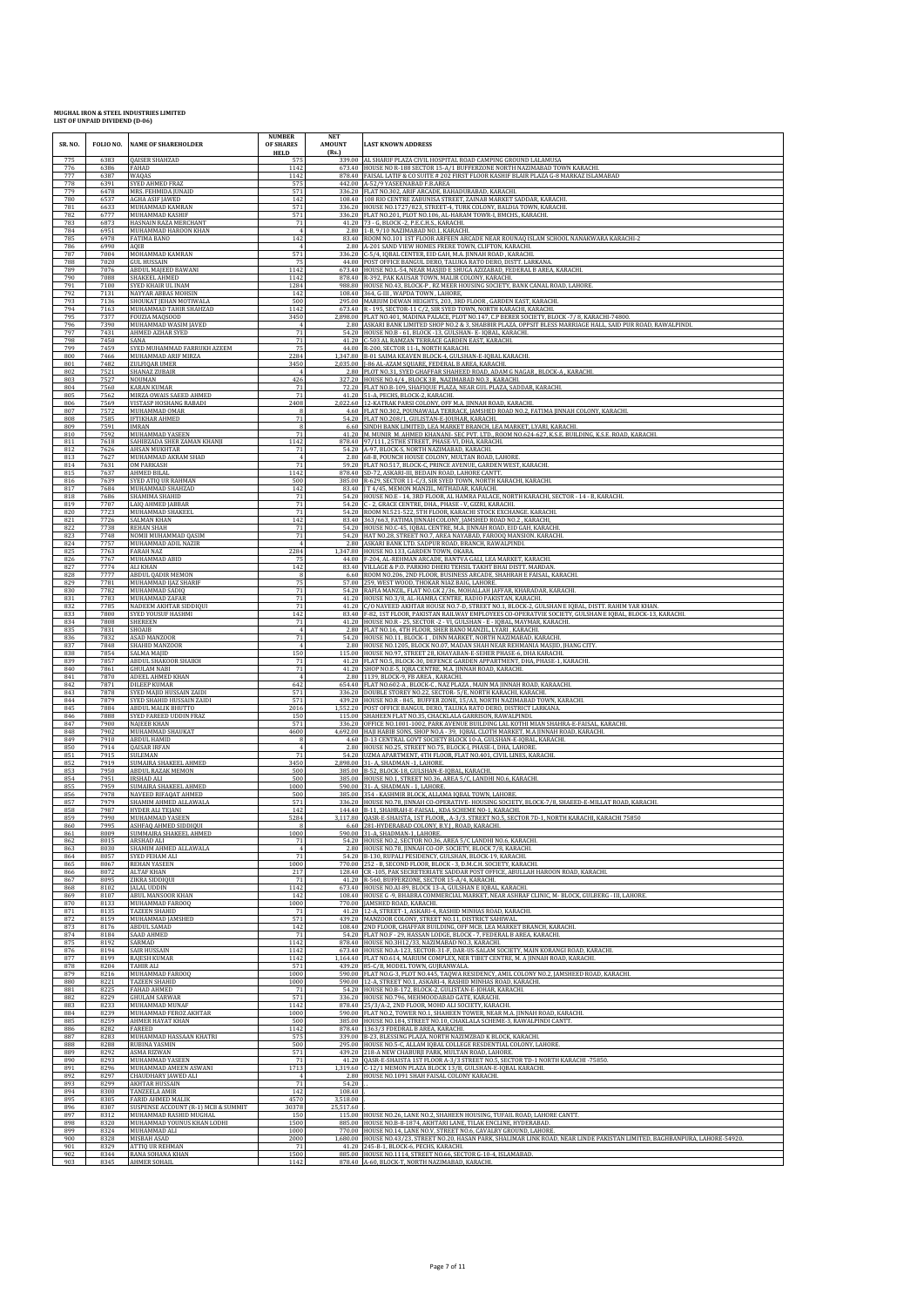| SR. NO.<br>775    | FOLIO NO.<br>6383    | <b>NAME OF SHAREHOLDER</b><br><b>QAISER SHAHZAD</b>             | <b>NUMBER</b><br>OF SHARES<br><b>HELD</b><br>575 | <b>NET</b><br>AMOUNT<br>(Rs.) | <b>LAST KNOWN ADDRESS</b><br>339.00 AL SHARIF PLAZA CIVIL HOSPITAL ROAD CAMPING GROUND LALAMUSA                                                                                                                                                              |
|-------------------|----------------------|-----------------------------------------------------------------|--------------------------------------------------|-------------------------------|--------------------------------------------------------------------------------------------------------------------------------------------------------------------------------------------------------------------------------------------------------------|
| 776               | 6386                 | FAHAD                                                           | 1142                                             |                               | 673.40 HOUSE NO R-188 SECTOR 15-A/1 BUFFERZONE NORTH NAZIMABAD TOWN KARACHI.                                                                                                                                                                                 |
| 777               | 6387                 | WAQAS                                                           | 1142                                             |                               | 878.40 FAISAL LATIF & CO SUITE # 202 FIRST FLOOR KASHIF BLAIR PLAZA G-8 MARKAZ ISLAMABAD                                                                                                                                                                     |
| 778               | 6391                 | SYED AHMED FRAZ                                                 | 575                                              |                               | 442.00 A-52/9 YASEENABAD F.B.AREA                                                                                                                                                                                                                            |
| 779               | 6478                 | <b>MRS. FEHMIDA JUNAID</b>                                      | 571                                              |                               | 336.20 FLAT NO.302, ARIF ARCADE, BAHADURABAD, KARACHI.                                                                                                                                                                                                       |
| 780               | 6537                 | <b>AGHA ASIF IAWED</b>                                          | 142                                              |                               | 108.40 108 RIO CENTRE ZABUNISA STREET, ZAINAB MARKET SADDAR, KARACHI                                                                                                                                                                                         |
| 781               | 6633                 | MUHAMMAD KAMRAN                                                 | 571                                              |                               | 336.20 HOUSE NO.1727/823, STREET-4, TURK COLONY, BALDIA TOWN, KARACHI.                                                                                                                                                                                       |
| 782               | 6777                 | MUHAMMAD KASHIF                                                 | 571                                              |                               | 336.20 FLAT NO.201, PLOT NO.106, AL-HARAM TOWR-I, BMCHS., KARACHI.                                                                                                                                                                                           |
| 783               | 6873                 | HASNAIN RAZA MERCHANT                                           | 71                                               |                               | 41.20 73 - G, BLOCK -2, P.E.C.H.S., KARACHI.                                                                                                                                                                                                                 |
| 784               | 6951                 | MUHAMMAD HAROON KHAN                                            | $\overline{4}$                                   |                               | 2.80 1-B, 9/10 NAZIMABAD NO.1, KARACHI.                                                                                                                                                                                                                      |
| 785               | 6978                 | FATIMA BANO                                                     | 142                                              |                               | 83.40 ROOM NO.101 1ST FLOOR ARFEEN ARCADE NEAR ROUNAQ ISLAM SCHOOL NANAKWARA KARACHI-2                                                                                                                                                                       |
| 786               | 6990                 | AQIB                                                            | $\overline{4}$                                   |                               | 2.80 A-201 SAND VIEW HOMES FRERE TOWN, CLIFTON, KARACHI.                                                                                                                                                                                                     |
| 787               | 7004                 | MOHAMMAD KAMRAN                                                 | 571                                              |                               | 336.20 C-5/4, IQBAL CENTER, EID GAH, M.A. JINNAH ROAD, KARACHI.                                                                                                                                                                                              |
| 788<br>789<br>790 | 7020<br>7076<br>7088 | <b>GUL HUSSAIN</b><br>ABDUL MAJEED BAWANI<br>SHAKEEL AHMED      | 75<br>1142<br>1142                               |                               | 44.00 POST OFFICE BANGUL DERO, TALUKA RATO DERO, DISTT. LARKANA<br>673.40 HOUSE NO.L-54, NEAR MASJID E SHUGA AZIZABAD, FEDERAL B AREA, KARACHI.                                                                                                              |
| 791<br>792        | 7100<br>7131         | SYED KHAIR UL INAM<br>NAYYAR ABBAS MOHSIN                       | 1284<br>142                                      |                               | 878.40 R-392, PAK KAUSAR TOWN, MALIR COLONY, KARACHI.<br>988.80 HOUSE NO.43, BLOCK-P, RZ MEER HOUSING SOCIETY, BANK CANAL ROAD, LAHORE.<br>108.40 364, G-III , WAPDA TOWN, LAHORE,                                                                           |
| 793               | 7136                 | SHOUKAT JEHAN MOTIWALA                                          | 500                                              |                               | 295.00 MARIUM DEWAN HEIGHTS, 203, 3RD FLOOR, GARDEN EAST, KARACHI                                                                                                                                                                                            |
| 794               | 7163                 | MUHAMMAD TAHIR SHAHZAD                                          | 1142                                             |                               | 673.40 R - 195, SECTOR-11 C/2, SIR SYED TOWN, NORTH KARACHI, KARACHI.                                                                                                                                                                                        |
| 795<br>796        | 7377<br>7390         | FOUZIA MAQSOOD<br>MUHAMMAD WASIM JAVED                          | 3450                                             |                               | 2,898.00 FLAT NO.401, MADINA PALACE, PLOT NO.147, C.P BERER SOCIETY, BLOCK-7/8, KARACHI-74800.<br>2.80 ASKARI BANK LIMITED SHOP NO.2 & 3, SHABBIR PLAZA, OPPSIT BLESS MARRIAGE HALL, SAID PUR ROAD, RAWALPINDI                                               |
| 797               | 7431                 | AHMED AZHAR SYED                                                | 71                                               |                               | 54.20 HOUSE NO.B - 61, BLOCK -13, GULSHAN- E-IQBAL, KARACHI.                                                                                                                                                                                                 |
| 798               | 7450                 | SANA                                                            | 71                                               |                               | 41.20 C-503 AL RAMZAN TERRACE GARDEN EAST, KARACHI.                                                                                                                                                                                                          |
| 799               | 7459                 | YED MUHAMMAD FARRUKH AZEEM                                      | 75                                               |                               | 44.00 R-200, SECTOR 11-L, NORTH KARACHI.                                                                                                                                                                                                                     |
| 800               | 7466                 | MUHAMMAD ARIF MIRZA                                             | 2284                                             |                               | 1,347.80 B-01 SAIMA KEAVEN BLOCK-4, GULSHAN-E-IQBAL KARACHI.                                                                                                                                                                                                 |
| 801<br>802<br>803 | 7482<br>7521         | ZULFIQAR UMER<br><b>HANAZ ZUBAIR</b><br>NOUMAN                  | 3450                                             |                               | 2,035.00 J-86 AL-AZAM SQUARE, FEDERAL B AREA, KARACHI.<br>2.80 PLOT NO.31, SYED GHAFFAR SHAHEED ROAD, ADAM G NAGAR, BLOCK-A, KARACH                                                                                                                          |
| 804<br>805        | 7527<br>7560<br>7562 | KARAN KUMAR<br><b>MIRZA OWAIS SAEED AHMED</b>                   | 426<br>71<br>71                                  |                               | 327.20 HOUSE NO.4/4, BLOCK 3B, NAZIMABAD NO.3, KARACHI.<br>72.20 FLAT NO.B-109, SHAFIQUE PLAZA, NEAR GUL PLAZA, SADDAR, KARACHI.<br>41.20 51-A, PECHS, BLOCK-2, KARACHI.                                                                                     |
| 806               | 7569                 | VISTASP HOSHANG RABADI                                          | 2408                                             |                               | 2,022.60 12-KATRAK PARSI COLONY, OFF M.A. JINNAH ROAD, KARACHI.                                                                                                                                                                                              |
| 807               | 7572                 | MUHAMMAD OMAR                                                   | 8                                                |                               | 4.60 FLAT NO.302, POUNAWALA TERRACE, JAMSHED ROAD NO.2, FATIMA JINNAH COLONY, KARACHI.                                                                                                                                                                       |
| 808               | 7585                 | <b>FTIKHAR AHMED</b>                                            | 71                                               |                               | 54.20 FLAT NO.208/1, GULISTAN-E-JOUHAR, KARACHI.                                                                                                                                                                                                             |
| 809               | 7591                 | IMRAN                                                           | 8                                                |                               | 6.60 SINDH BANK LIMITED, LEA MARKET BRANCH, LEA MARKET, LYARI, KARACHI.                                                                                                                                                                                      |
| 810               | 7592                 | MUHAMMAD YASEEN                                                 | 71                                               |                               | 41.20 M. MUNIR M. AHMED KHANANI- SEC PVT. LTD., ROOM NO.624-627, K.S.E. BUILDING, K.S.E. ROAD, KARACHI.                                                                                                                                                      |
| 811               | 7618                 | SAHIBZADA SHER ZAMAN KHANJI                                     | 1142                                             |                               | 878.40 97/111, 25THE STREET, PHASE-VI, DHA, KARACHI.                                                                                                                                                                                                         |
| 812               | 7626                 | AHSAN MUKHTAR                                                   | 71                                               |                               | 54.20 A-97, BLOCK-S, NORTH NAZIMABAD, KARACHI.                                                                                                                                                                                                               |
| 813               | 7627                 | MUHAMMAD AKRAM SHAD                                             | $\overline{4}$                                   |                               | 2.80 68-B, POUNCH HOUSE COLONY, MULTAN ROAD, LAHORE                                                                                                                                                                                                          |
| 814               | 7631                 | <b>OM PARKASH</b>                                               | 71                                               |                               | 59.20 FLAT NO.517, BLOCK-C, PRINCE AVENUE, GARDEN WEST, KARACHI.                                                                                                                                                                                             |
| 815               | 7637                 | AHMED BILAL                                                     | 1142                                             |                               | 878.40 SD-72, ASKARI-III, BEDAIN ROAD, LAHORE CANTT.                                                                                                                                                                                                         |
| 816               | 7639                 | SYED ATIQ UR RAHMAN                                             | 500                                              |                               | 385.00 R-629, SECTOR 11-C/3, SIR SYED TOWN, NORTH KARACHI, KARACHI                                                                                                                                                                                           |
| 817               | 7684                 | MUHAMMAD SHAHZAD                                                | 142                                              |                               | 83.40 J T 4/45, MEMON MANZIL, MITHADAR, KARACHI.                                                                                                                                                                                                             |
| 818               | 7686                 | SHAMIMA SHAHID                                                  | 71                                               |                               | 54.20 HOUSE NO.E - 14, 3RD FLOOR, AL HAMRA PALACE, NORTH KARACHI, SECTOR - 14 - B, KARACHI.                                                                                                                                                                  |
| 819               | 7707                 | LAIQ AHMED JABBAR                                               | 71                                               |                               | 54.20 C - 2, GRACE CENTRE, DHA., PHASE - V, GIZRI, KARACHI.                                                                                                                                                                                                  |
| 820               | 7723                 | MUHAMMAD SHAKEEL                                                | 71                                               |                               | 54.20 ROOM NL521-522, 5TH FLOOR, KARACHI STOCK EXCHANGE. KARACHI.                                                                                                                                                                                            |
| 821               | 7726                 | ALMAN KHAN                                                      | 142                                              |                               | 83.40 363/663, FATIMA JINNAH COLONY, JAMSHED ROAD NO.2, KARACHI                                                                                                                                                                                              |
| 822               | 7738                 | <b>REHAN SHAH</b>                                               | 71                                               |                               | 54.20 HOUSE NO.C-45, IQBAL CENTRE, M.A. JINNAH ROAD, EID GAH, KARACHI.                                                                                                                                                                                       |
| 823<br>824        | 7748<br>7757         | NOMII MUHAMMAD QASIM<br>MUHAMMAD ADIL NAZIR                     | 71                                               |                               | 54.20 HAT NO.28, STREET NO.7, AREA NAYABAD, FAROOQ MANSION. KARACHI.<br>2.80 ASKARI BANK LTD. SADPUR ROAD, BRANCH, RAWALPINDI                                                                                                                                |
| 825               | 7763                 | FARAH NAZ                                                       | 2284                                             |                               | 1,347.80 HOUSE NO.133, GARDEN TOWN, OKARA.                                                                                                                                                                                                                   |
| 826               | 7767                 | <b>IUHAMMAD ABID</b>                                            | 75                                               |                               | 44.00 F-204, AL-REHMAN ARCADE, BANTVA GALI, LEA MARKET, KARACHI                                                                                                                                                                                              |
| 827               | 7774                 | LI KHAN                                                         | 142                                              |                               | 83.40 VILLAGE & P.O. PARKHO DHERI TEHSIL TAKHT BHAI DISTT. MARDAN                                                                                                                                                                                            |
| 828               | 7777                 | <b>ABDUL QADIR MEMON</b>                                        | $\mathbf{a}$                                     |                               | 6.60 ROOM NO.206, 2ND FLOOR, BUSINESS ARCADE, SHAHRAH E FAISAL, KARACHI                                                                                                                                                                                      |
| 829               | 7781                 | MUHAMMAD IJAZ SHARIF                                            | 75                                               |                               | 57.00 259, WEST WOOD, THOKAR NIAZ BAIG, LAHORE.                                                                                                                                                                                                              |
| 830               | 7782                 | <b>MUHAMMAD SADIO</b>                                           | 71                                               |                               | 54.20 RAFIA MANZIL, FLAT NO.GK 2/36, MOHALLAH JAFFAR, KHARADAR, KARACHI.                                                                                                                                                                                     |
| 831<br>832        | 7783<br>7785<br>7800 | MUHAMMAD ZAFAR<br>NADEEM AKHTAR SIDDIQUI<br>YED YOUSUF HASHMI   | 71<br>$71\,$                                     |                               | 41.20 HOUSE NO.3/8, AL-HAMRA CENTRE, RADIO PAKISTAN, KARACHI.<br>41.20 C/O NAVEED AKHTAR HOUSE NO.7-D, STREET NO.1, BLOCK-2, GULSHAN E IQBAL, DISTT. RAHIM YAR KHAN.                                                                                         |
| 833<br>834<br>835 | 7808<br>7831         | SHEREEN<br>SHOAIB                                               | 142<br>71<br>$\overline{4}$                      |                               | 83.40 F-82, 1ST FLOOR, PAKISTAN RAILWAY EMPLOYEES CO-OPERATVIE SOCIETY, GULSHAN E IQBAL, BLOCK-13, KARACHI.<br>41.20 HOUSE NO.R - 25, SECTOR -2 - VI, GULSHAN - E - IQBAL, MAYMAR, KARACHI.<br>2.80 FLAT NO.16, 4TH FLOOR, SHER BANO MANZIL, LYARI, KARACHI. |
| 836               | 7832                 | ASAD MANZOOR                                                    | 71                                               |                               | 54.20 HOUSE NO.11, BLOCK-1, DINN MARKET, NORTH NAZIMABAD, KARACHI.                                                                                                                                                                                           |
| 837               | 7848                 | SHAHID MANZOOR                                                  | $\overline{4}$                                   |                               | 2.80 HOUSE NO.1205, BLOCK NO.07, MADAN SHAH NEAR REHMANIA MASJID, JHANG CITY.                                                                                                                                                                                |
| 838               | 7854                 | <b>SALMA MAJID</b>                                              | 150                                              |                               | 115.00 HOUSE NO.97, STREET 28, KHAYABAN-E-SEHER PHASE-6, DHA KARACHI.                                                                                                                                                                                        |
| 839               | 7857                 | <b>ABDUL SHAKOOR SHAIKH</b>                                     | 71                                               |                               | 41.20 FLAT NO.5, BLOCK-30, DEFENCE GARDEN APPARTMENT, DHA, PHASE-1, KARACHI.                                                                                                                                                                                 |
| 840               | 7861                 | <b>GHULAM NABI</b>                                              | 71                                               |                               | 41.20 SHOP NO.E-5, IQRA CENTRE, M.A. JINNAH ROAD, KARACHI                                                                                                                                                                                                    |
| 841               | 7870                 | ADEEL AHMED KHAN                                                | $\overline{4}$                                   |                               | 2.80 1139, BLOCK-9, FB AREA, KARACHI.                                                                                                                                                                                                                        |
| 842               | 7871                 | DILEEP KUMAR                                                    | 642                                              |                               | 654.40 FLAT NO.602-A, BLOCK-C, NAZ PLAZA, MAIN MA JINNAH ROAD, KARAACHI.                                                                                                                                                                                     |
| 843               | 7878                 | YED MAJID HUSSAIN ZAIDI                                         | 571                                              |                               | 336.20 DOUBLE STOREY NO.22, SECTOR- 5/E, NORTH KARACHI, KARACHI.                                                                                                                                                                                             |
| 844<br>845        | 7879<br>7884<br>7888 | SYED SHAHID HUSSAIN ZAIDI<br><b>ABDUL MALIK BHUTTO</b>          | 571<br>2016                                      |                               | 439.20 HOUSE NO.R - 845, BUFFER ZONE, 15/A3, NORTH NAZIMABAD TOWN, KARACHI.<br>1,552.20 POST OFFICE BANGUL DERO, TALUKA RATO DERO, DISTRICT LARKANA.                                                                                                         |
| 846<br>847<br>848 | 7900<br>7902         | YED FAREED UDDIN FRAZ<br><b>NAJEEB KHAN</b><br>MUHAMMAD SHAUKAT | 150<br>571<br>4600                               |                               | 115.00 SHAHEEN FLAT NO.35, CHACKLALA GARRISON, RAWALPINDI.<br>336.20 OFFICE NO.1001-1002, PARK AVENUE BUILDING LAL KOTHI MIAN SHAHRA-E-FAISAL, KARACHI.<br>4,692.00 HAJI HABIB SONS, SHOP NO.A - 39, IQBAL CLOTH MARKET, M.A JINNAH ROAD, KARACHI.           |
| 849               | 7910                 | <b>ABDUL HAMID</b>                                              | 8                                                |                               | 4.60 D-13 CENTRAL GOVT SOCIETY BLOCK 10-A, GULSHAN-E-IQBAL, KARACHI                                                                                                                                                                                          |
| 850               | 7914                 | QAISAR IRFAN                                                    | $\overline{4}$                                   |                               | 2.80 HOUSE NO.25, STREET NO.75, BLOCK-J, PHASE-I, DHA, LAHORE.                                                                                                                                                                                               |
| 851               | 7915                 | ULEMAN                                                          | 71                                               |                               | 54.20 UZMA APARTMENT, 4TH FLOOR, FLAT NO.401, CIVIL LINES, KARACHI.                                                                                                                                                                                          |
| 852               | 7919                 | UMAIRA SHAKEEL AHMED                                            | 3450                                             |                               | 2.898.00 31- A. SHADMAN - 1. LAHORE                                                                                                                                                                                                                          |
| 853               | 7950                 | <b>ABDUL RAZAK MEMON</b>                                        | 500                                              |                               | 385.00 B-52, BLOCK-18, GULSHAN-E-IQBAL, KARACHI.                                                                                                                                                                                                             |
| 854               | 7951                 | <b>IRSHAD ALI</b>                                               | 500                                              |                               | 385.00 HOUSE NO.1, STREET NO.36, AREA 5/C, LANDHI NO.6, KARACHI.                                                                                                                                                                                             |
| 855               | 7959                 | <b>JUMAIRA SHAKEEL AHMED</b>                                    | 1000                                             |                               | 590.00 31- A, SHADMAN - 1, LAHORE.                                                                                                                                                                                                                           |
| 856               | 7978                 | NAVEED RIFAQAT AHMED                                            | 500                                              |                               | 385.00 354 - KASHMIR BLOCK, ALLAMA IQBAL TOWN, LAHORE.                                                                                                                                                                                                       |
| 857               | 7979                 | SHAMIM AHMED ALLAWALA                                           | 571                                              |                               | 336.20 HOUSE NO.78, JINNAH CO-OPERATIVE- HOUSING SOCIETY, BLOCK-7/8, SHAEED-E-MILLAT ROAD, KARACHI                                                                                                                                                           |
| 858               | 7987                 | <b>HYDER ALI TEIANI</b>                                         | 142                                              |                               | 144.40 B-11, SHAHRAH-E-FAISAL, KDA SCHEME NO-1, KARACHI.                                                                                                                                                                                                     |
| 859<br>860        | 7990<br>7995         | MUHAMMAD YASEEN<br><b>ASHFAO AHMED SIDDIO</b>                   | 5284                                             |                               | 3,117.80 QASR-E-SHAISTA, 1ST FLOOR, , A-3/3. STREET NO.5, SECTOR 7D-1, NORTH KARACHI, KARACHI 75850<br>6.60 281-HYDERABAD COLONY, B.Y.I. ROAD, KARACHL                                                                                                       |
| 861               | 8009                 | SUMMAIRA SHAKEEL AHMED                                          | 1000                                             |                               | 590.00 31-A, SHADMAN-1, LAHORE.                                                                                                                                                                                                                              |
| 862               | 8015                 | ARSHAD ALI                                                      | 71                                               |                               | 54.20 HOUSE NO.2, SECTOR NO.36, AREA 5/C LANDHI NO.6, KARACHI.                                                                                                                                                                                               |
| 863               | 8030                 | SHAMIM AHMED ALLAWALA                                           | $\overline{4}$                                   |                               | 2.80 HOUSE NO.78, JINNAH CO-OP. SOCIETY, BLOCK 7/8, KARACHI.                                                                                                                                                                                                 |
| 864               | 8057                 | SYED FEHAM ALI                                                  | 71                                               |                               | 54.20 B-130, RUPALI PESIDENCY, GULSHAN, BLOCK-19, KARACHI.                                                                                                                                                                                                   |
| 865               | 8067                 | <b>REHAN YASEEN</b>                                             | 1000                                             |                               | 770.00 252 - B, SECOND FLOOR, BLOCK - 3, D.M.C.H. SOCIETY, KARACHI.                                                                                                                                                                                          |
| 866               | 8072                 | <b>ALTAF KHAN</b>                                               | 217                                              |                               | 128.40 CR-105, PAK SECRETERIATE SADDAR POST OFFICE, ABULLAH HAROON ROAD, KARACHI                                                                                                                                                                             |
| 867               | 8095                 | ZIKRA SIDDIQUI                                                  | 71                                               |                               | 41.20 R-560, BUFFERZONE, SECTOR 15-A/4, KARACHI.                                                                                                                                                                                                             |
| 868               | 8102                 | ALAL UDDIN                                                      | 1142                                             |                               | 673.40 HOUSE NO.AI-89, BLOCK 13-A, GULSHAN E IQBAL, KARACHI.                                                                                                                                                                                                 |
| 869               | 8107                 | ABUL MANSOOR KHAN                                               | 142                                              |                               | 108.40 HOUSE G - 9, BHABRA COMMERCIAL MARKET, NEAR ASHRAF CLINIC, M- BLOCK, GULBERG - III, LAHORE                                                                                                                                                            |
| 870               | 8133                 | MUHAMMAD FAROOQ                                                 | 1000                                             |                               | 770.00 JAMSHED ROAD, KARACHI.                                                                                                                                                                                                                                |
| 871               | 8135                 | <b>AZEEN SHAHID</b>                                             | 71                                               |                               | 41.20 12-A, STREET-1, ASKARI-4, RASHID MINHAS ROAD, KARACHI.                                                                                                                                                                                                 |
| 872               | 8159                 | MUHAMMAD JAMSHED                                                | 571                                              |                               | 439.20 MANZOOR COLONY, STREET NO.11, DISTRICT SAHIWAL.                                                                                                                                                                                                       |
| 873               | 8176                 | ABDUL SAMAD                                                     | 142                                              |                               | 108.40 2ND FLOOR, GHAFFAR BUILDING, OFF MCB, LEA MARKET BRANCH, KARACHI.                                                                                                                                                                                     |
| 874               | 8184                 | <b>AAD AHMED</b>                                                | 71                                               |                               | 54.20 FLAT NO.F - 29, HASSAN LODGE, BLOCK - 7, FEDERAL B AREA, KARACHI                                                                                                                                                                                       |
| 875               | 8192                 | SARMAD                                                          | 1142                                             |                               | 878.40 HOUSE NO.3H12/33, NAZIMABAD NO.3, KARACHI.                                                                                                                                                                                                            |
| 876               | 8194                 | <b>SAIR HUSSAIN</b>                                             | 1142                                             |                               | 673.40 HOUSE NO.A-123, SECTOR-31-F, DAR-US-SALAM SOCIETY, MAIN KORANGI ROAD, KARACHI.                                                                                                                                                                        |
| 877               | 8199                 | RAJESH KUMAR                                                    | 1142                                             |                               | 1,164.40 FLAT NO.614, MARIUM COMPLEX, NER TIBET CENTRE, M. A JINNAH ROAD, KARACHI.                                                                                                                                                                           |
| 878               | 8204                 | TAHIR ALI                                                       | 571                                              |                               | 439.20 85-C/B, MODEL TOWN, GUJRANWALA.                                                                                                                                                                                                                       |
| 879               | 8216                 | MUHAMMAD FAROOQ                                                 | 1000                                             |                               | 590.00 FLAT NO.G-3, PLOT NO.445, TAQWA RESIDENCY, AMIL COLONY NO.2, JAMSHEED ROAD, KARACHI.                                                                                                                                                                  |
| 880               | 8221                 | <b>TAZEEN SHAHID</b>                                            | 1000                                             |                               | 590.00 12-A, STREET NO.1, ASKARI-4, RASHID MINHAS ROAD, KARACHI.                                                                                                                                                                                             |
| 881               | 8225                 | FAHAD AHMED                                                     | 71                                               |                               | 54.20 HOUSE NO.B-172, BLOCK-2, GULISTAN-E-JOHAR, KARACHI.                                                                                                                                                                                                    |
| 882               | 8229                 | <b>GHULAM SARWAR</b>                                            | 571                                              |                               | 336.20 HOUSE NO.796, MEHMOODABAD GATE, KARACHI.                                                                                                                                                                                                              |
| 883               | 8233                 | MUHAMMAD MUNAF                                                  | 1142                                             |                               | 878.40 25/3/A-2, 2ND FLOOR, MOHD ALI SOCIETY, KARACHI.                                                                                                                                                                                                       |
| 884               | 8239                 | MUHAMMAD FEROZ AKHTAR                                           | 1000                                             |                               | 590.00 FLAT NO.2, TOWER NO.1, SHAHEEN TOWER, NEAR M.A. JINNAH ROAD, KARACHI.                                                                                                                                                                                 |
| 885<br>886<br>887 | 8259<br>8282         | AHMER HAYAT KHAN<br>FAREED                                      | 500<br>1142                                      |                               | 385.00 HOUSE NO.184, STREET NO.10, CHAKLALA SCHEME-3, RAWALPINDI CANTT.<br>878.40   1363/3 FDEDRAL B AREA, KARACHI.                                                                                                                                          |
| 888<br>889        | 8283<br>8288<br>8292 | MUHAMMAD HASSAAN KHATRI<br>RUBINA YASMIN<br>ASMA RIZWAN         | 575<br>500<br>571                                |                               | 339.00 B-23, BLESSING PLAZA, NORTH NAZIMZBAD K BLOCK, KARACHI<br>295.00 HOUSE NO.5-C, ALLAM IQBAL COLLEGE RESDENTIAL COLONY, LAHORE.<br>439.20 218-A NEW CHABURJI PARK, MULTAN ROAD, LAHORE.                                                                 |
| 890               | 8293                 | MUHAMMAD YASEEN                                                 | 71                                               |                               | 41.20 QASR-E-SHAISTA 1ST FLOOR A-3/3 STREET NO.5, SECTOR TD-1 NORTH KARACHI-75850                                                                                                                                                                            |
| 891               | 8296                 | MUHAMMAD AMEEN ASWANI                                           | 1713                                             |                               | 1,319.60 C-12/1 MEMON PLAZA BLOCK 13/B, GULSHAN-E-IQBAL KARACHI                                                                                                                                                                                              |
| 892<br>893        | 8297<br>8299         | CHAUDHARY JAWED ALI<br>AKHTAR HUSSAIN                           | $\overline{A}$<br>71                             | 54.20                         | 2.80 HOUSE NO.1091 SHAH FAISAL COLONY KARACHI.                                                                                                                                                                                                               |
| 894               | 8300                 | TANZEELA AMIR                                                   | 142                                              | 108.40                        |                                                                                                                                                                                                                                                              |
| 895               | 8305                 | FARID AHMED MALIK                                               | 4570                                             | 3,518.00                      |                                                                                                                                                                                                                                                              |
| 896<br>897        | 8307<br>8312         | USPENSE ACCOUNT (R-1) MCB & SUMMIT<br>MUHAMMAD RASHID MUGHAL    | 30378<br>150                                     | 25.517.60                     | 115.00 HOUSE NO.26, LANE NO.2, SHAHEEN HOUSING, TUFAIL ROAD, LAHORE CANTT.                                                                                                                                                                                   |
| 898               | 8320                 | MUHAMMAD YOUNUS KHAN LODHI                                      | 1500                                             |                               | 885.00 HOUSE NO.B-8-1874, AKHTARI LANE, TILAK ENCLINE, HYDERABAD.                                                                                                                                                                                            |
| 899               | 8324                 | MUHAMMAD ALI                                                    | 1000                                             |                               | 770.00 HOUSE NO.14, LANE NO.V, STREET NO.6, CAVALRY GROUND, LAHORE                                                                                                                                                                                           |
| 900               | 8328                 | MISBAH ASAD                                                     | 2000                                             |                               | 1,680.00   HOUSE NO.43/23, STREET NO.20, HASAN PARK, SHALIMAR LINK ROAD, NEAR LINDE PAKISTAN LIMITED, BAGHBANPURA, LAHORE-54920.                                                                                                                             |
| 901               | 8329                 | <b>ATTIQ UR REHMAN</b>                                          | 71                                               |                               | 41.20 245-B-1, BLOCK-6, PECHS, KARACHI.                                                                                                                                                                                                                      |
| 902               | 8344                 | <b>RANA SOHANA KHAN</b>                                         | 1500                                             |                               | 885.00 HOUSE NO.1114, STREET NO.66, SECTOR G-10-4, ISLAMABAD.                                                                                                                                                                                                |
| 903               | 8345                 | AHMER SOHAIL                                                    | 1142                                             |                               | 878.40 A-60, BLOCK-T, NORTH NAZIMABAD, KARACHI.                                                                                                                                                                                                              |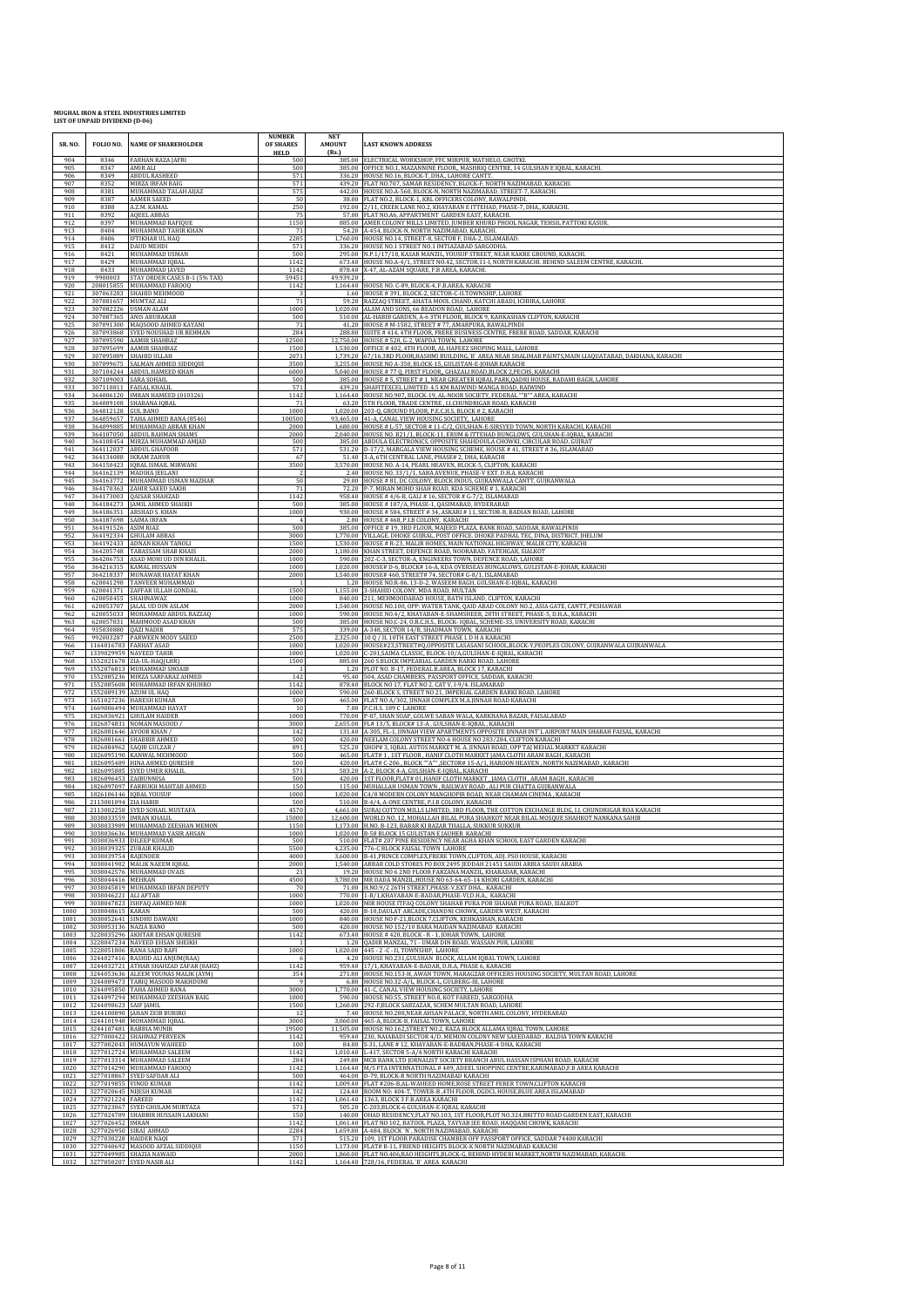| SR. NO.              | FOLIO NO.                                  | <b>NAME OF SHAREHOLDER</b>                                                                       | <b>NUMBER</b><br>OF SHARES<br><b>HELD</b> | <b>NET</b><br><b>AMOUNT</b><br>(Rs.) | <b>LAST KNOWN ADDRESS</b>                                                                                                                                                                                                                            |
|----------------------|--------------------------------------------|--------------------------------------------------------------------------------------------------|-------------------------------------------|--------------------------------------|------------------------------------------------------------------------------------------------------------------------------------------------------------------------------------------------------------------------------------------------------|
| 904<br>905<br>906    | 8346<br>8347<br>8349                       | FARHAN RAZA JAFRI<br><b>AMIR ALI</b><br><b>ABDUL RASHEED</b>                                     | 500<br>500<br>571                         | 385.00<br>336.20                     | ELECTRICAL WORKSHOP, FFC MIRPUR, MATHELO, GHOTKI.<br>385.00 OFFICE NO.1, MAZANNINE FLOOR,, MASHRIQ CENTRE, 14 GULSHAN E IQBAL, KARACHI.<br>HOUSE NO.16, BLOCK-T, DHA., LAHORE CANTT.                                                                 |
| 907<br>908           | 8352<br>8381                               | MIRZA IRFAN BAIG<br>MUHAMMAD TALAH AIJAZ                                                         | 571<br>575                                |                                      | 439.20 FLAT NO.707, SAMAR RESIDENCY, BLOCK-F, NORTH NAZIMABAD, KARACHI.<br>442.00 HOUSE NO.A-560, BLOCK-N, NORTH NAZIMABAD, STREET-7, KARACHI.                                                                                                       |
| 909<br>910           | 8387<br>8388                               | <b>AAMER SAEED</b><br>A.Z.M. KAMAL                                                               | 50<br>250                                 | 192.00                               | 38.00 FLAT NO.2, BLOCK-1, KRL OFFICERS COLONY, RAWALPINDI.<br>2/11, CREEK LANE NO.2, KHAYABAN E ITTEHAD, PHASE-7, DHA., KARACHI                                                                                                                      |
| 911<br>912           | 8392<br>8397                               | <b>AQEEL ABBAS</b><br>MUHAMMAD RAFIQUE                                                           | 75<br>1150                                |                                      | 57.00 FLAT NO.A6, APPARTMENT GARDEN EAST, KARACHI.<br>885.00 AMER COLONY MILLS LIMITED, JUMBER KHURD PHOOL NAGAR, TEHSIL PATTOKI KASUR.                                                                                                              |
| 913<br>914<br>915    | 8404<br>8406<br>8412                       | MUHAMMAD TAHIR KHAN<br><b>IFTIKHAR UL HAQ</b><br><b>DAUD MEHDI</b>                               | 71<br>2285                                | 54.20                                | A-454, BLOCK-N, NORTH NAZIMABAD, KARACHI.<br>1,760.00 HOUSE NO.14, STREET-8, SECTOR F, DHA-2, ISLAMABAD.                                                                                                                                             |
| 916<br>917           | 8421<br>8429                               | MUHAMMAD USMAN<br>MUHAMMAD IQBAL                                                                 | 571<br>500<br>1142                        |                                      | 336.20 HOUSE NO.1 STREET NO.1 IMTIAZABAD SARGODHA.<br>295.00 N.P.1/17/18, KASAR MANZIL, YOUSUF STREET, NEAR KAKRE GROUND, KARACHI<br>673.40 HOUSE NO.A-4/1, STREET NO.42, SECTOR.11-I, NORTH KARACHI. BEHIND SALEEM CENTRE, KARACHI.                 |
| 918<br>919           | 8433<br>9900003                            | MUHAMMAD JAVED<br>STAY ORDER CASES B-1 (5% TAX)                                                  | 1142<br>59451                             | 49,939.20                            | 878.40 X-47, AL-AZAM SQUARE, F.B AREA, KARACHI.                                                                                                                                                                                                      |
| 920<br>921           | 208015855                                  | MUHAMMAD FAROOQ<br>307063283 SHAHID MEHMOOD                                                      | 1142                                      |                                      | 1,164.40 HOUSE NO. C-89, BLOCK-4, F.B.AREA, KARACHI<br>1.60 HOUSE #391, BLOCK-2, SECTOR-C-II.TOWNSHIP, LAHORE                                                                                                                                        |
| 922<br>923<br>924    |                                            | 307081657 MUMTAZ ALI<br>307082226 USMAN ALAM<br>307087365 ANIS ABUBAKAR                          | 71<br>1000<br>500                         | 59.20                                | RAZZAQ STREET, AHATA MOOL CHAND, KATCHI ABADI, ICHHRA, LAHORI<br>1,020.00 ALAM AND SONS, 66 BEADON ROAD, LAHORE<br>510.00 AL-HABIB GARDEN, A-6 3TH FLOOR, BLOCK 9, KAHKASHAN CLIFTON, KARACHI                                                        |
| 925<br>926           | 307091300                                  | MAQSOOD AHMED KAYANI<br>307093868 SYED NOUSHAD UR REHMAN                                         | 71<br>284                                 |                                      | 41.20 HOUSE # M-1582, STREET # 77, AMARPURA, RAWALPINDI<br>288.80 SUITE #414,4TH FLOOR, FRERE BUSINESS CENTRE, FRERE ROAD, SADDAR, KARACHI                                                                                                           |
| 927<br>928           |                                            | 307095590 AAMIR SHAHBAZ<br>307095699 AAMIR SHAHBAZ                                               | 12500<br>1500                             | 1,530.00                             | 12,750.00 HOUSE # 520, G-2, WAPDA TOWN, LAHORE<br>OFFICE #402, 4TH FLOOR, AL HAFEEZ SHOPING MALL, LAHORE                                                                                                                                             |
| 929<br>930           |                                            | 307095889 SHAHID ULLAH<br>307099675 SALMAN AHMED SIDDIQUI                                        | 2071<br>3500                              |                                      | 1,739.20 67/16.3RD FLOOR, HASHMI BUILDING, 'B' AREA NEAR SHALIMAR PAINTS, MAIN LIAQUATABAD, DAKHANA, KARACHI<br>3,255.00 HOUSE NO A-350, BLOCK-15, GULISTAN-E-JOHAR KARACHI                                                                          |
| 931<br>932<br>933    | 307109003                                  | 307104244 ABDUL HAMEED KHAN<br><b>SARA SOHAIL</b><br>307110811 FAISAL KHALIL                     | 6000<br>500<br>571                        |                                      | 5,040.00 HOUSE # 77 Q, FIRST FLOOR, GHAZALI ROAD,BLOCK 2, PECHS, KARACHI<br>385.00 HOUSE # 5, STREET # 1, NEAR GREATER IOBAL PARK, OADRI HOUSE, BADAMI BAGH, LAHORE<br>439.20 SHAFITEXCEL LIMITED. 4.5 KM RAIWIND MANGA ROAD, RAIWIND                |
| 934<br>935           |                                            | 364006120 IMRAN HAMEED (010326)<br>364009108 SHABANA IQBAL                                       | 1142<br>71                                |                                      | 1,164.40 HOUSE NO.907, BLOCK-19, AL-NOOR SOCIETY, FEDERAL ""B"" AREA, KARACHI<br>63.20 5TH FLOOR, TRADE CENTRE, I.I.CHUNDRIGAR ROAD, KARACHI                                                                                                         |
| 936<br>937           | 364012128 GUL BANO                         | 364059657 TAHA AHMED RANA (8546)                                                                 | 1000<br>100500                            |                                      | 1,020.00 203-Q, GROUND FLOOR, P.E.C.H.S, BLOCK # 2, KARACHI<br>93,465.00 41-A, CANAL VIEW HOUSING SOCIETY, LAHORE                                                                                                                                    |
| 938<br>939           |                                            | 364099885 MUHAMMAD ABRAR KHAN<br>364107050 ABDUL RAHMAN SHAMS                                    | 2000<br>2000                              |                                      | 1,680.00   HOUSE # L-57, SECTOR # 11-C/2, GULSHAN-E-SIRSYED TOWN, NORTH KARACHI, KARACHI<br>2,040.00 HOUSE NO. B21/1, BLOCK-11, ERUM & ITTEHAD BUNGLOWS, GULSHAN-E-IQBAL, KARACHI                                                                    |
| 940<br>941<br>942    |                                            | 364108454 MIRZA MUHAMMAD AMJAD<br>364112837 ABDUL GHAFOOR<br>364134088 IKRAM ZAHUR               | 500<br>571<br>67                          |                                      | 385.00 ABDULA ELECTRONICS, OPPOSITE SHAHDOULA CHOWKI, CIRCULAR ROAD, GUJRAT<br>531.20 D-17/2, MARGALA VIEW HOUSING SCHEME, HOUSE #41, STREET #36, ISLAMABAD<br>51.40 3-A, 6TH CENTRAL LANE, PHASE# 2, DHA, KARACHI                                   |
| 943<br>944           |                                            | 364150423 IQBAL ISMAIL MIRWANI<br>364162139 MADIHA JEELANI                                       | 3500                                      |                                      | 3,570.00 HOUSE NO. A-14, PEARL HEAVEN, BLOCK-5, CLIFTON, KARACHI<br>2.40 HOUSE NO. 33/1/1, SABA AVENUE, PHASE-V EXT. D.H.A. KARACHI                                                                                                                  |
| 945<br>946           |                                            | 364163772 MUHAMMAD USMAN MAZHAR<br>364170363 ZAHIR SAEED SAKHI                                   | 50<br>71                                  |                                      | 29.00 HOUSE # 81, DC COLONY, BLOCK INDUS, GUJRANWALA CANTT, GUJRANWALA<br>72.20 P-7, MIRAN MOHD SHAH ROAD, KDA SCHEME # 1, KARACHI                                                                                                                   |
| 947<br>948<br>949    |                                            | 364173003  QAISAR SHAHZAD<br>364184273  JAMIL AHMED SHAIKH<br>364186351 ARSHAD S. KHAN           | 1142<br>500                               |                                      | 958.40 HOUSE # 4/6-B, GALI # 16, SECTOR # $G-7/2$ , ISLAMABAD<br>385.00 HOUSE # 107/A, PHASE-1, QASIMABAD, HYDERABAD<br>930.00 HOUSE # 504, STREET # 34, ASKARI # 11, SECTOR-B, BADIAN ROAD, LAHORE                                                  |
| 950<br>951           | 364191526 ASIM RIAZ                        | 364187698 SAIMA IRFAN                                                                            | 1000<br>$\overline{4}$<br>500             | 2.80<br>385.00                       | HOUSE #468, P.I.B COLONY, KARACHI<br>OFFICE #19, 3RD FLOOR, MAJEED PLAZA, BANK ROAD, SADDAR, RAWALPINDI                                                                                                                                              |
| 952<br>953           |                                            | 364192334 GHULAM ABBAS<br>364192433 ADNAN KHAN TANOLI                                            | 3000<br>1500                              | 1.530.00                             | 1,770.00 VILLAGE. DHOKE GUJRAL, POST OFFICE. DHOKE PADHAL TEC, DINA, DISTRICT, JHELUM<br>HOUSE # R-23, MALIR HOMES, MAIN NATIONAL HIGHWAY, MALIR CITY, KARACHI                                                                                       |
| 954<br>955           |                                            | 364205748 TABASSAM SHAB KHAIS<br>364206753 ASAD MOHI UD DIN KHALIL                               | 2000<br>1000                              | 1,180.00                             | KHAN STREET, DEFENCE ROAD, NOORABAD, FATEHGAR, SIALKOT<br>590.00 202-C-3, SECTOR-A, ENGINEERS TOWN, DEFENCE ROAD, LAHORE                                                                                                                             |
| 956<br>957<br>958    | 620041298                                  | 364216315 KAMAL HUSSAIN<br>364218337 MUNAWAR HAYAT KHAN<br>TANVEER MUHAMMAD                      | 1000<br>2000                              | 1,540.00                             | 1,020.00 HOUSE# D-6, BLOCK# 16-A, KDA OVERSEAS BUNGALOWS, GULISTAN-E-JOHAR, KARACHI<br>HOUSE# 460, STREET# 74, SECTOR# G-8/1, ISLAMABAD<br>1.20 HOUSE NO.R-06, 13-D-2, WASEEM BAGH, GULSHAN-E-IQBAL, KARACHI                                         |
| 959<br>960           |                                            | 620041371 ZAFFAR ULLAH GONDAL<br>620050455 SHAHNAWAZ                                             | 1500<br>1000                              | 840.00                               | 1,155.00 3-SHAHID COLONY, MDA ROAD, MULTAN<br>211, MEHMOODABAD HOUSE, BATH ISLAND, CLIFTON, KARACHI                                                                                                                                                  |
| 961<br>962           |                                            | 620053707 JALAL UD DIN ASLAM<br>620055033 MOHAMMAD ABDUL RAZZAQ                                  | 2000<br>1000                              |                                      | 1,540.00 HOUSE NO.100, OPP: WATER TANK, QAID ABAD COLONY NO.2, ASIA GATE, CANTT, PESHAWAR<br>590.00 HOUSE NO.4/2, KHAYABAN-E-SHAMSHEER, 28TH STREET, PHASE-5, D.H.A., KARACHI                                                                        |
| 963<br>964           | 935030880 QAZI NADIR                       | 620057831 MAHMOOD ASAD KHAN                                                                      | 500<br>575                                |                                      | 385.00 HOUSE NO.C-24, O.R.C.H.S., BLOCK- IQBAL, SCHEME-33, UNIVERSITY ROAD, KARACHI<br>339.00 A-348, SECTOR 14/B, SHADMAN TOWN, KARACHI                                                                                                              |
| 965<br>966           |                                            | 992003287 PARWEEN MODY SAEED<br>1164016783 FARHAT ASAD<br>1339029959 NAVEED TAHIR                | 2500<br>1000                              | 1.020.00                             | 2,325.00 10 Q / II, 10TH EAST STREET PHASE I, D H A KARACHI<br>HOUSE#23,STREET#Q,OPPOSITE LASASANI SCHOOL,BLOCK-Y,PEOPLES COLONY, GUJRANWALA GUJRANWALA<br>1,020.00 C-201, SAIMA CLASSIC, BLOCK-10/A, GULSHAN-E-IQBAL, KARACHI                       |
| 967<br>968<br>969    |                                            | 1552021678 ZIA-UL-HAQ(LHR)<br>1552076813 MUHAMMAD SHOAIB                                         | 1000<br>1500                              | 1.20                                 | 885.00 260 S BLOCK IMPEARIAL GARDEN BARKI ROAD. LAHORE<br>PLOT NO. B-17, FEDERAL B.AREA, BLOCK 17, KARACHI                                                                                                                                           |
| 970<br>971           |                                            | 1552085236 MIRZA SARFARAZ AHMED<br>1552085608 MUHAMMAD IRFAN KHUHRO                              | 142<br>1142                               | 95.40                                | 504, ASAD CHAMBERS, PASSPORT OFFICE, SADDAR, KARACHI<br>878.40 BLOCK NO 17, FLAT NO 2, CAT V, I-9/4. ISLAMABAD                                                                                                                                       |
| 972<br>973<br>974    |                                            | 1552089139 AZUM UL HAQ<br>1651027236 HARESH KUMAR                                                | 1000<br>500<br>10                         |                                      | 590.00 260-BLOCK S, STREET NO 21, IMPERIAL GARDEN BARKI ROAD. LAHORE 465.00 FLAT NO A/302, JINNAH COMPLEX M.A.JINNAH ROAD KARACHI                                                                                                                    |
| 975<br>976           |                                            | 1669006494 MUHAMMAD HAYAT<br>1826036921 GHULAM HAIDER<br>1826074831 NOMAN MASOOD /               | 1000<br>3000                              |                                      | 7.00 P.C.H.S. 189 C LAHORE<br>770.00 P-87, SHAN SOAP, GOLWE SABAN WALA, KARKHANA BAZAR, FAISALABAD<br>2,655.00 FL# 13/5, BLOCK# 13-A, GULSHAN-E-IQBAL, KARACHI                                                                                       |
| 977<br>978           |                                            | 1826081646 AYOOB KHAN /<br>1826081661 SHABBIR AHMED                                              | 142<br>500                                |                                      | 131.40 A-305, FL-1, JINNAH VIEW APARTMENTS OPPOSITE JINNAH INT'L AIRPORT MAIN SHARAH FAISAL, KARACHI<br>420.00 NEELAM COLONY STREET NO-6 HOUSE NO 283/284, CLIFTON KARACHI                                                                           |
| 979<br>980           |                                            | 1826084962 SAQIB GULZAR /<br>1826095190 KANWAL MEHMOOD                                           | 891<br>500                                | 525.20                               | SHOP# 3, IQBAL AUTOS MARKET M. A. JINNAH ROAD, OPP TAJ MEHAL MARKET KARACH<br>465.00 FLAT# 1, 1ST FLOOR, HANIF CLOTH MARKET JAMA CLOTH ARAM BAGH, KARACHI                                                                                            |
| 981<br>982<br>983    | 1826096453 ZAIBUNNISA                      | 1826095489 HINA AHMED QURESHI<br>1826095885 SYED UMER KHALIL                                     | 500<br>571<br>500                         | 583.20                               | 420.00 FLAT# C-206, BLOCK ""A"", SECTOR# 15-A/1, HAROON HEAVEN, NORTH NAZIMABAD, KARACHI<br>A-2, BLOCK 4-A, GULSHAN-E-IQBAL, KARACHI<br>420.00 1ST FLOOR, FLAT# 01, HANIF CLOTH MARKET, JAMA CLOTH, ARAM BAGH, KARACHI                               |
| 984<br>985           |                                            | 1826097097 FARRUKH MAHTAB AHMED<br>1826106146 IQBAL YOUSUF                                       | 150<br>1000                               |                                      | 115.00 MUHALLAH USMAN TOWN, RAILWAY ROAD, ALI PUR CHATTA GUJRANWALA<br>1,020.00 C4/8 MODERN COLONY MANGHOPIR ROAD, NEAR CHAMAN CINEMA , KARACHI                                                                                                      |
| 986<br>987           | 2113001094 ZIA HABIB                       | 2113002258 SYED SOHAIL MUSTAFA                                                                   | 500<br>4570                               |                                      | 510.00 B-4/4, A-ONE CENTRE, P.I.B COLONY, KARACHI<br>4,661.00 SURAJ COTTON MILLS LIMITED, 3RD FLOOR, THE COTTON EXCHANGE BLDG, LI. CHUNDRIGAR ROA KARACHI                                                                                            |
| 988<br>989           |                                            | 3038033559 IMRAN KHALIL<br>3038033989 MIIHAMMAD ZEE                                              | 15000<br>1150                             |                                      | 12,600.00 WORLD NO. 12, MOHALLAH BILAL PURA SHAHKOT NEAR BILAL MOSQUE SHAHKOT NANKANA SAHIB<br>117300 H NO B 123 BARAR KLBAZAR THALLA SUKKUR SUKKUR                                                                                                  |
| 990<br>991<br>992    |                                            | 3038036636 MUHAMMAD YASIR AHSAN<br>3038036933 DILEEP KUMAR<br>3038039325 ZUBAIR KHALID           | 1000<br>500<br>5500                       |                                      | 1,020.00 B-58 BLOCK 15 GULISTAN E JAUHER KARACHI<br>510.00 FLAT# 207 PINE RESIDENCY NEAR AGHA KHAN SCHOOL EAST GARDEN KARACHI<br>4,235.00 776-C BLOCK FAISAL TOWN LAHORE                                                                             |
| 993<br>994           | 3038039754 RAJENDER                        | 3038041982 MALIK NAEEM IQBAL                                                                     | 4000<br>2000                              | 1.540.00                             | 3,600.00 B-41, PRINCE COMPLEX, FRERE TOWN, CLIFTON, ADJ. PSO HOUSE, KARACHI<br>ABBAR COLD STORES PO BOX 2495 [EDDAH 21451 SAUDI ARBIA SAUDI ARABIA                                                                                                   |
| 995<br>996           | 3038044416 MEHRAN                          | 3038042576 MUHAMMAD OVAIS                                                                        | 21<br>4500                                |                                      | 19.20 HOUSE NO 6 2ND FLOOR FARZANA MANZIL, KHARADAR, KARACHI<br>3,780.00 MR DADA MANZIL, HOUSE NO 63-64-65-14 KHORI GARDEN, KARACHI<br>H.NO.9/2 26TH STREET.PHASE-V.EXT DHA., KARACHI                                                                |
| 997<br>998<br>999    | 3038046221 ALI AFTAB                       | 3038045819 MUHAMMAD IRFAN DEPUTY<br>3038047823 ISHFAQ AHMED MIR                                  | 70<br>1000<br>1000                        | 71.00                                | 770.00 1-B/1,KHAYABAN-E-BADAR,PHASE-VI,D.H.A., KARACHI<br>1,020.00 MIR HOUSE ITFAQ COLONY SHAHAB PURA POB SHAHAB PURA ROAD, SIALKOT                                                                                                                  |
| 1000<br>1001         | 3038048615 KARAN                           | 3038052641 SINDHU DAWANI                                                                         | 500<br>1000                               |                                      | 420.00 B-10, DAULAT ARCADE, CHANDNI CHOWK, GARDEN WEST, KARACHI<br>840.00 HOUSE NO F-21, BLOCK 7, CLIFTON, KEHKASHAN, KARACHI                                                                                                                        |
| 1002<br>1003         | 3038053136 NAZIA BANO                      | 3228035296 AKHTAR EHSAN QURESHI                                                                  | 500<br>1142                               |                                      | 420.00 HOUSE NO 152/10 BARA MAIDAN NAZIMABAD KARACHI<br>673.40 HOUSE #420, BLOCK - R - 1, JOHAR TOWN, LAHORE                                                                                                                                         |
| 1004<br>1005<br>1006 |                                            | 3228047234 NAVEED EHSAN SHEIKH<br>3228051806 RANA SAJID RAFI<br>3244027416 RASHID ALI ANJUM(RAA) | 1000<br>- 6                               |                                      | 1.20 QADIR MANZAL, 71 - UMAR DIN ROAD, WASSAN PUR, LAHORE<br>1,020.00 445 - 2 - C - II, TOWNSHIP, LAHORE<br>4.20 HOUSE NO.231, GULSHAN BLOCK, ALLAM IQBAL TOWN, LAHORE                                                                               |
| 1007<br>1008         |                                            | 3244032721 ATHAR SHAHZAD ZAFAR (8AHZ)<br>3244053636 ALEEM YOUNAS MALIK (AYM)                     | 1142<br>354                               |                                      | 959.40 17/1, KHAYABAN-E-BADAR, D.H.A, PHASE 6, KARACHI<br>271.80 HOUSE NO.153-H, AWAN TOWN, MARAGZAR OFFICERS HOUSING SOCIETY, MULTAN ROAD, LAHORE                                                                                                   |
| 1009<br>1010         |                                            | 3244089473 TARIQ MASOOD MAKHDUMI<br>3244095850 TAHA AHMED RANA                                   | -9<br>3000                                |                                      | 6.80 HOUSE NO.32-A/L, BLOCK-L, GULBERG-III, LAHORE<br>1,770.00 41-C, CANAL VIEW HOUSING SOCIETY, LAHORE                                                                                                                                              |
| 1011<br>1012         | 3244098623 SAIF JAMIL                      | 3244097294 MUHAMMAD ZEESHAN BAIG                                                                 | 1000<br>1500                              |                                      | 590.00 HOUSE NO.55, STREET NO.8, KOT FAREED, SARGODHA<br>1,260.00 292-F,BLOCK SABZAZAR, SCHEM MULTAN ROAD, LAHORE<br>7.40 HOUSE NO.288, NEAR AHSAN PALACE, NORTH AMIL COLONY, HYDERABAD                                                              |
| 1013<br>1014<br>1015 |                                            | 3244100890 JAHAN ZEIB BURIRO<br>3244101948 MOHAMMAD IQBAL<br>3244107481 RABBIA MUNIR             | 12<br>3000<br>19500                       |                                      | 3,060.00 465-A, BLOCK-B, FAISAL TOWN, LAHORE<br>11,505.00 HOUSE NO.162, STREET NO.2, RAZA BLOCK ALLAMA IQBAL TOWN, LAHORE                                                                                                                            |
| 1016<br>1017         |                                            | 3277000422 SHAHNAZ PERVEEN<br>3277002043 HUMAYUN WAHEED                                          | 1142<br>100                               | 959.40                               | 230, NAIABADI SECTOR 4/D, MEMON COLONY NEW SAEEDABAD, BALDIA TOWN KARACHI<br>84.00 S-31, LANE #12, KHAYABAN-E-BADBAN, PHASE-4 DHA, KARACHI                                                                                                           |
| 1018<br>1019         |                                            | 3277012724 MUHAMMAD SALEEM<br>3277013314 MUHAMMAD SALEEM                                         | 1142<br>284                               |                                      | 1,010.40 L-417, SECTOR 5-A/4 NORTH KARACHI KARACHI<br>249.80 MCB BANK LTD JORNALIST SOCIETY BRANCH ABUL HASSAN ISPHANI ROAD, KARACHI                                                                                                                 |
| 1020<br>1021<br>1022 |                                            | 3277014290 MUHAMMAD FAROOQ<br>3277018867 SYED SAFDAR ALI<br>3277019855 VINOD KUMAR               | 1142<br>500<br>1142                       |                                      | 1,164.40 M/S FTA INTERNATIONAL #409, ADEEL SHOPPING CENTRE, KARIMABAD, F.B AREA KARACHI<br>464.00 D-79, BLOCK-B NORTH NAZIMABAD KARACHI<br>1,009.40 FLAT #206-B,AL-WAHEED HOME,ROSE STREET FERER TOWN,CLIFTON KARACHI                                |
| 1023<br>1024         | 3277021224 FAREED                          | 3277020645 NIJESH KUMAR                                                                          | 142<br>1142                               |                                      | 124.40 ROOM NO: 404-T, TOWER-B ,4TH FLOOR, OGDCL HOUSE, BLUE AREA ISLAMABAD<br>1,061.40 1363, BLOCK 3 F.B.AREA KARACHI                                                                                                                               |
| 1025<br>1026         |                                            | 3277023067 SYED GHULAM MURTAZA<br>3277024789 SHABBIR HUSSAIN LAKHANI                             | 571<br>150                                |                                      | 505.20 C-203, BLOCK-6 GULSHAN-E-IQBAL KARACHI<br>140.00 OHAD RESIDENCY, FLAT NO.103, 1ST FLOOR, PLOT NO.324, BRITTO ROAD GARDEN EAST, KARACHI                                                                                                        |
| 1027<br>1028         | 3277026452 IMRAN<br>3277026950 SIRAJ AHMAD |                                                                                                  | 1142<br>2284                              |                                      | 1,061.40 FLAT NO 102, BATOOL PLAZA, TAYYAB JEE ROAD, HAQQANI CHOWK, KARACHI<br>1,659.80 A-484, BLOCK 'N', NORTH NAZIMABAD, KARACHI                                                                                                                   |
| 1029<br>1030<br>1031 | 3277030228 HAIDER NAQI                     | 3277040692 MASOOD AFZAL SIDDIQUI<br>3277049985 SHAZIA NAWAID                                     | 571<br>1150<br>2000                       |                                      | 515.20 109, 1ST FLOOR PARADISE CHAMBER OFF PASSPORT OFFICE, SADDAR 74400 KARACHI<br>1,173.00 FLAT# B-11, FRIEND HEIGHTS BLOCK-K NORTH NAZIMABAD KARACHI<br>1,860.00 FLAT NO.406,RAO HEIGHTS,BLOCK-G, BEHIND HYDERI MARKET, NORTH NAZIMABAD, KARACHI. |
| 1032                 |                                            | 3277050207 SYED NASIR ALI                                                                        | 1142                                      |                                      | 1,164.40 728/16, FEDERAL 'B' AREA KARACHI                                                                                                                                                                                                            |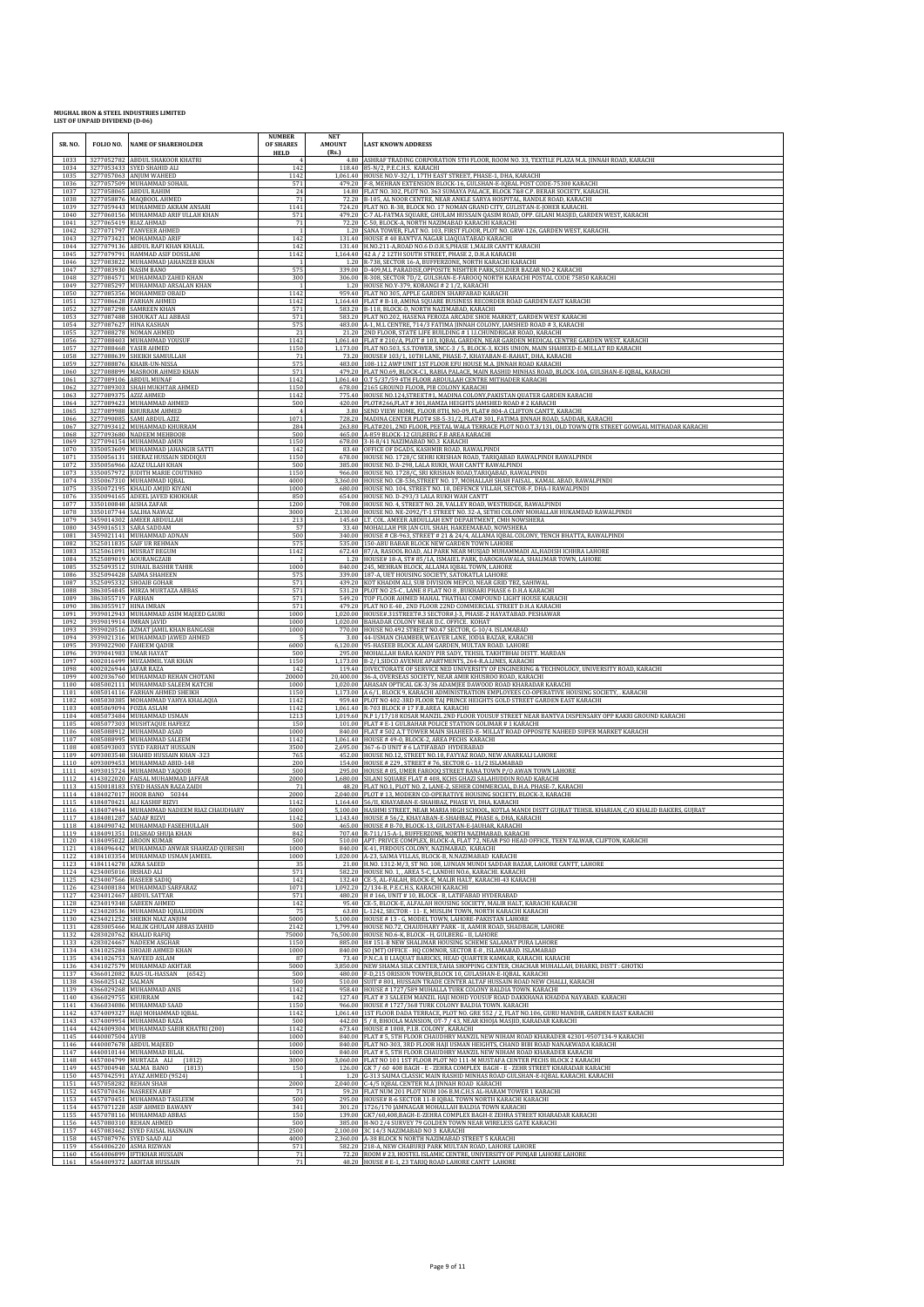| SR. NO.              | FOLIO NO.                                  | <b>NAME OF SHAREHOLDER</b>                                                                         | <b>NUMBER</b><br>OF SHARES<br><b>HELD</b> | <b>NET</b><br><b>AMOUNT</b><br>(Rs.) | <b>LAST KNOWN ADDRESS</b>                                                                                                                                                                                                                            |
|----------------------|--------------------------------------------|----------------------------------------------------------------------------------------------------|-------------------------------------------|--------------------------------------|------------------------------------------------------------------------------------------------------------------------------------------------------------------------------------------------------------------------------------------------------|
| 1033<br>1034         |                                            | 3277052782 ABDUL SHAKOOR KHATRI<br>3277053433 SYED SHAHID ALI                                      | 142                                       |                                      | 4.80 ASHRAF TRADING CORPORATION 5TH FLOOR, ROOM NO. 33, TEXTILE PLAZA M.A. JINNAH ROAD, KARACHI<br>118.40 85-N/2, P.E.C.H.S. KARACHI                                                                                                                 |
| 1035<br>1036         |                                            | 3277057063 ANJUM WAHEED<br>3277057509 MUHAMMAD SOHAIL                                              | 1142<br>571                               |                                      | 1,061.40 HOUSE NO.V-32/1, 17TH EAST STREET, PHASE-1, DHA, KARACHI<br>479.20 F-8, MEHRAN EXTENSION BLOCK-16, GULSHAN-E-IQBAL POST CODE-75300 KARACHI                                                                                                  |
| 1037<br>1038         |                                            | 3277058065 ABDUL RAHIM<br>3277058876 MAQBOOL AHMED                                                 | 24<br>71                                  |                                      | 14.80 FLAT NO. 302, PLOT NO. 363 SUMAYA PALACE, BLOCK 7&8 C.P. BERAR SOCIETY, KARACHI.<br>72.20 B-105, AL NOOR CENTRE, NEAR ANKLE SARYA HOSPITAL, RANDLE ROAD, KARACHI                                                                               |
| 1039<br>1040         |                                            | 3277059443 MUHAMMED AKRAM ANSARI<br>3277060156 MUHAMMAD ARIF ULLAH KHAN                            | 1141<br>571                               |                                      | 724.20 FLAT NO. R-38, BLOCK NO. 17 NOMAN GRAND CITY, GULISTAN-E-JOHER KARACHI.<br>479.20 C-7 AL-FATMA SQUARE, GHULAM HUSSAIN QASIM ROAD, OPP. GILANI MASJID, GARDEN WEST, KARACHI                                                                    |
| 1041<br>1042         | 3277065419 RIAZ AHMAD                      | 3277071797 TANVEER AHMED                                                                           | 71<br>$\overline{1}$                      |                                      | 72.20 C-50, BLOCK-A, NORTH NAZIMABAD KARACHI KARACHI<br>1.20 SANA TOWER, FLAT NO. 103, FIRST FLOOR, PLOT NO. GRW-126, GARDEN WEST, KARACHI.                                                                                                          |
| 1043<br>1044         |                                            | 3277073421 MOHAMMAD ARIF<br>3277079136 ABDUL RAFI KHAN KHALIL                                      | 142<br>142                                |                                      | 131.40 HOUSE #40 BANTVA NAGAR LIAQUATABAD KARACHI<br>131.40 H.NO.211-A,ROAD NO.6 D.O.H.S,PHASE 1,MALIR CANTT KARACHI                                                                                                                                 |
| 1045<br>1046         |                                            | 3277079791 HAMMAD ASIF DOSSLANI<br>3277083822 MUHAMMAD JAHANZEB KHAN                               | 1142                                      |                                      | 1,164.40 42 A / 2 12TH SOUTH STREET, PHASE 2, D.H.A KARACHI<br>1.20 R-738, SECTOR 16-A, BUFFERZONE, NORTH KARACHI KARACHI                                                                                                                            |
| 1047<br>1048         | 3277083930 NASIM BANO                      | 3277084571 MUHAMMAD ZAHID KHAN                                                                     | 575<br>300                                |                                      | 339.00 D-409, M.L PARADISE, OPPOSITE NISHTER PARK, SOLDIER BAZAR NO-2 KARACHI<br>306.00 R-308, SECTOR 7D/2, GULSHAN-E-FAROOQ NORTH KARACHI POSTAL CODE 75850 KARACHI                                                                                 |
| 1049<br>1050         |                                            | 3277085297 MUHAMMAD ARSALAN KHAN<br>3277085356 MOHAMMED OBAID                                      | 1142                                      |                                      | 1.20 HOUSE NO.Y-379, KORANGI # 2 1/2, KARACHI<br>959.40 FLAT NO 305, APPLE GARDEN SHARFABAD KARACHI                                                                                                                                                  |
| 1051<br>1052         |                                            | 3277086628 FARHAN AHMED<br>3277087298 SAMREEN KHAN                                                 | 1142<br>571                               |                                      | 1,164.40 FLAT # B-10, AMINA SQUARE BUSINESS RECORDER ROAD GARDEN EAST KARACHI<br>583.20 B-118, BLOCK-D, NORTH NAZIMABAD, KARACHI                                                                                                                     |
| 1053<br>1054         |                                            | 3277087488 SHOUKAT ALL ABBASI<br>3277087627 HINA KASHAN                                            | 571<br>575                                |                                      | 583.20 FLAT NO.202, HASENA FEROZA ARCADE SHOE MARKET, GARDEN WEST KARACHI<br>483.00 A-1, M.L CENTRE, 714/3 FATIMA JINNAH COLONY, JAMSHED ROAD #3, KARACHI                                                                                            |
| 1055<br>1056         |                                            | 3277088278 NOMAN AHMED<br>3277088403 MUHAMMAD YOUSUF                                               | 21<br>1142                                |                                      | 21.20 2ND FLOOR, STATE LIFE BUILDING #1 I.I.CHUNDRIGAR ROAD, KARACHI<br>1,061.40 FLAT # 210/A, PLOT # 103, IQBAL GARDEN, NEAR GARDEN MEDICAL CENTRE GARDEN WEST, KARACHI                                                                             |
| 1057<br>1058         |                                            | 3277088468 YASIR AHMED<br>3277088639 SHEIKH SAMIULLAH                                              | 1150<br>71                                |                                      | 1,173.00 FLAT NO.503, S.S.TOWER, SNCC-3 / 5, BLOCK-3, KCHS UNION, MAIN SHAHEED-E-MILLAT RD KARACHI<br>73.20 HOUSE# 103/1, 10TH LANE, PHASE-7, KHAYABAN-E-RAHAT, DHA, KARACHI                                                                         |
| 1059<br>1060         |                                            | 3277088876 KHAIR-UN-NISSA<br>3277088899 MASROOR AHMED KHAN                                         | 575<br>571                                |                                      | 483.00 108-112 AWP UNIT 1ST FLOOR EFU HOUSE M.A. JINNAH ROAD KARACHI<br>479.20 FLAT NO.69, BLOCK-C1, RABIA PALACE, MAIN RASHID MINHAS ROAD, BLOCK-10A, GULSHAN-E-IQBAL, KARACHI                                                                      |
| 1061<br>1062         |                                            | 3277089106 ABDUL MUNAF<br>3277089303 SHAH MUKHTAR AHMED                                            | 1142<br>1150                              |                                      | 1,061.40 O.T 5/37/59 4TH FLOOR ABDULLAH CENTRE MITHADER KARACHI<br>678.00 2165 GROUND FLOOR, PIB COLONY KARACHI                                                                                                                                      |
| 1063<br>1064         | 3277089375 AZIZ AHMED                      | 3277089423 MUHAMMAD AHMED                                                                          | 1142<br>500                               |                                      | 775.40 HOUSE NO.124, STREET#1, MADINA COLONY, PAKISTAN QUATER GARDEN KARACHI<br>420.00 PLOT#266, FLAT #301, HAMZA HEIGHTS JAMSHED ROAD #2 KARACHI                                                                                                    |
| 1065<br>1066         | 3277090085                                 | 3277089988 KHURRAM AHMED<br>SAMI ABDUL AZIZ                                                        | $\overline{4}$<br>1071                    |                                      | 3.80 SEND VIEW HOME, FLOOR 8TH, NO-09, FLAT# 804-A CLIFTON CANTT, KARACHI<br>728.20 MADINA CENTER PLOT# SB-5-31/2, FLAT# 301, FATIMA JINNAH ROAD, SADDAR, KARACHI                                                                                    |
| 1067<br>1068         |                                            | 3277093412 MUHAMMAD KHURRAM<br>3277093680 NADEEM MEHBOOB                                           | 284<br>500                                |                                      | 263.80   FLAT#201, 2ND FLOOR, PEETAL WALA TERRACE PLOT NO.O.T.3/131, OLD TOWN OTR STREET GOWGAL MITHADAR KARACHI<br>465.00 A-859 BLOCK-12 GULBERG F.B AREA KARACHI                                                                                   |
| 1069<br>1070         |                                            | 3277094154 MUHAMMAD AMIN<br>3350053609 MUHAMMAD JAHANGIR SATTI                                     | 1150<br>142                               |                                      | 678.00 3-H-8/41 NAZIMABAD NO.3 KARACHI<br>83.40 OFFICE OF DGADS, KASHMIR ROAD, RAWALPINDI                                                                                                                                                            |
| 1071<br>1072         | 3350056966                                 | 3350056131 SHERAZ HUSSAIN SIDDIQUI<br>AZAZ ULLAH KHAN                                              | 1150<br>500                               |                                      | 678.00 HOUSE NO. 1728/C SEHRI KRISHAN ROAD, TARIQABAD RAWALPINDI RAWALPINDI<br>385.00 HOUSE NO. D-298, LALA RUKH, WAH CANTT RAWALPINDI                                                                                                               |
| 1073<br>1074         |                                            | 3350057972 JUDITH MARIE COUTINHO<br>3350067310 MUHAMMAD IQBAL                                      | 1150<br>4000                              |                                      | 966.00 HOUSE NO. 1728/C, SRI KRISHAN ROAD, TARIQABAD, RAWALPINDI<br>3,360.00 HOUSE NO. CB-536, STREET NO. 17, MOHALLAH SHAH FAISAL, KAMAL ABAD, RAWALPINDI                                                                                           |
| 1075<br>1076         |                                            | 3350072195 KHALID AMIID KIYAN<br>3350094165 ADEEL JAVED KHOKHAR                                    | 1000<br>850                               |                                      | 680.00 HOUSE NO. 104, STREET NO. 10, DEFENCE VILLAH, SECTOR-F, DHA-I RAWALPINDI<br>654.00 HOUSE NO. D-293/3 LALA RUKH WAH CANTT                                                                                                                      |
| 1077<br>1078         | 3350100848 AISHA ZAFAR                     | 3350107744 SALIHA NAWAZ                                                                            | 1200<br>3000                              |                                      | 708.00 HOUSE NO. 4, STREET NO. 28, VALLEY ROAD, WESTRIDGE, RAWALPINDI<br>2,130.00 HOUSE NO. NE-2092/T-1 STREET NO. 32-A, SETHI COLONY MOHALLAH HUKAMDAD RAWALPINDI                                                                                   |
| 1079<br>1080         |                                            | 3459014302 AMEER ABDULLAH<br>3459016513 SARA SADDAM                                                | 213<br>57                                 |                                      | 145.60 LT. COL. AMEER ABDULLAH ENT DEPARTMENT, CMH NOWSHERA<br>33.40 MOHALLAH PIR JAN GUL SHAH, HAKEEMABAD, NOWSHERA                                                                                                                                 |
| 1081<br>1082         |                                            | 3459021141 MUHAMMAD ADNAN<br>3525011835 SAIF UR REHMAN                                             | 500<br>575                                |                                      | 340.00 HOUSE # CB-963, STREET # 21 & 24/4, ALLAMA IQBAL COLONY, TENCH BHATTA, RAWALPINDI<br>535.00 150-ABU BABAR BLOCK NEW GARDEN TOWN LAHORE                                                                                                        |
| 1083<br>1084         |                                            | 3525061091 MUSRAT BEGUM<br>3525089019 AOURANGZAIB                                                  | 1142<br>$\mathbf{1}$                      |                                      | 672.40 87/A, RASOOL ROAD, ALI PARK NEAR MUSJAD MUHAMMADI AL, HADISH ICHHRA LAHORE<br>1.20 HOUSE# 18-A, ST# 85/1A, ISMAIEL PARK, DAROGHAWALA, SHALIMAR TOWN, LAHORE                                                                                   |
| 1085<br>1086         | 3525093512                                 | <b>SUHAIL BASHIR TAHIR</b><br>3525094428 SAIMA SHAHEEN                                             | 1000<br>575                               |                                      | 840.00 245, MEHRAN BLOCK, ALLAMA IQBAL TOWN, LAHORE<br>339.00 187-A, UET HOUSING SOCIETY, SATOKATLA LAHORE                                                                                                                                           |
| 1087<br>1088         |                                            | 3525095332 SHOAIB GOHAR<br>3863054845 MIRZA MURTAZA ABBAS                                          | 571<br>571                                |                                      | 439.20 KOT KHADIM ALI, SUB DIVISION MEPCO, NEAR GRID TBZ, SAHIWAL<br>531.20 PLOT NO 25-C, LANE 8 FLAT NO 8, BUKHARI PHASE 6 D.H.A KARACHI                                                                                                            |
| 1089<br>1090         | 3863055719 FARHAN<br>3863055917 HINA IMRAN |                                                                                                    | 571<br>571                                |                                      | 549.20 TOP FLOOR AHMED MAHAL THATHAI COMPOUND LIGHT HOUSE KARACHI<br>479.20 FLAT NO E-40, 2ND FLOOR 22ND COMMERCIAL STREET D.H.A KARACHI                                                                                                             |
| 1091<br>1092         | 3939019914 IMRAN JAVID                     | 3939012943 MUHAMMAD ASIM MAJEED GAURI                                                              | 1000<br>1000                              |                                      | 1,020.00 HOUSE#.31STREET#.3 SECTOR#.J-3, PHASE-2 HAYATABAD. PESHAWAR<br>1,020.00 BAHADAR COLONY NEAR D.C. OFFICE. KOHAT                                                                                                                              |
| 1093<br>1094         |                                            | 3939020516 AZMAT JAMIL KHAN BANGASH<br>3939021316 MUHAMMAD JAWED AHMED                             | 1000                                      |                                      | 770.00 HOUSE NO.492 STREET NO.47 SECTOR, G-10/4. ISLAMABAD<br>3.00 44-USMAN CHAMBER, WEAVER LANE, JODIA BAZAR, KARACHI                                                                                                                               |
| 1095<br>1096         | 3939041983 UMAR HAYAT                      | 3939022900 FAHEEM QADIR                                                                            | 6000<br>500                               |                                      | 6,120.00 95-HASEEB BLOCK ALAM GARDEN, MULTAN ROAD. LAHORE<br>295.00 MOHALLAH BARA KANDY PIR SADY, TEHSIL TAKHTBHAI DISTT. MARDAN                                                                                                                     |
| 1097<br>1098         | 4002026944   JAFAR RAZA                    | 4002016499 MUZAMMIL YAR KHAN                                                                       | 1150<br>142                               |                                      | 1,173.00 B-2/1, SIDCO AVENUE APARTMENTS, 264-R.A.LINES, KARACHI<br>119.40 DIVECTORATE OF SERVICE NED UNIVERSITY OF ENGINERING & TECHNOLOGY, UNIVERSITY ROAD, KARACHI                                                                                 |
| 1099<br>1100         |                                            | 4002036760 MUHAMMAD REHAN CHOTANI<br>4085002111 MUHAMMAD SALEEM KATCHI                             | 20000<br>1000                             |                                      | 20,400.00 36-A, OVERSEAS SOCIETY, NEAR AMIR KHUSROO ROAD, KARACHI<br>1,020.00 AHASAN OPTICAL GK-3/36 ADAMJEE DAWOOD ROAD KHARADAR KARACHI                                                                                                            |
| 1101<br>1102         |                                            | 4085014116 FARHAN AHMED SHEIKH<br>4085030385 MOHAMMAD YAHYA KHALAQIA                               | 1150<br>1142                              |                                      | 1,173.00 A 6/1, BLOCK 9, KARACHI ADMINISTRATION EMPLOYEES CO-OPERATIVE HOUSING SOCIETY, . KARACHI<br>959.40 PLOT NO 402-3RD FLOOR TAJ PRINCE HEIGHTS GOLD STREET GARDEN EAST KARACHI                                                                 |
| 1103<br>1104         |                                            | 4085069094 FOZIA ASLAM<br>4085073484 MUHAMMAD USMAN                                                | 1142<br>1213                              |                                      | 1,061.40 R-703 BLOCK #17 F.B.AREA KARACHI<br>1,019.60 N.P 1/17/18 KOSAR MANZIL 2ND FLOOR YOUSUF STREET NEAR BANTVA DISPENSARY OPP KAKRI GROUND KARACHI                                                                                               |
| 1105<br>1106         |                                            | 4085077303 MUSHTAQUE HAFEEZ<br>4085088912 MUHAMMAD ASAD                                            | 150<br>1000                               |                                      | 101.00 FLAT # E-1 GULBAHAR POLICE STATION GOLIMAR # 1 KARACHI<br>840.00 FLAT # 502 A.T TOWER MAIN SHAHEED-E- MILLAT ROAD OPPOSITE NAHEED SUPER MARKET KARACHI                                                                                        |
| 1107<br>1108         |                                            | 4085088995 MUHAMMAD SALEEM<br>4085093003 SYED FARHAT HUSSAIN                                       | 1142<br>3500                              |                                      | 1,061.40 HOUSE #49-0, BLOCK-2, AREA PECHS KARACHI<br>2,695.00 367-6-D UNIT # 6 LATIFABAD HYDERABAD                                                                                                                                                   |
| 1109<br>1110         |                                            | 4093003548 SHAHID HUSSAIN KHAN-323<br>4093009453 MUHAMMAD ABID-148                                 | 765<br>200                                |                                      | 452.00 HOUSE NO.12, STREET NO.10, FAYYAZ ROAD, NEW ANARKALI LAHORE<br>154.00 HOUSE # 229, STREET # 76, SECTOR G - 11/2 ISLAMABAD                                                                                                                     |
| 1111<br>1112         |                                            | 4093015724 MUHAMMAD YAQOOB<br>4143022020 FAISAL MUHAMMAD JAFFAR                                    | 500<br>2000                               |                                      | 295.00 HOUSE # 05, UMER FAROOQ STREET RANA TOWN P/O AWAN TOWN LAHORE<br>1,680.00 SILANI SQUARE FLAT #408, KCHS GHAZI SALAHUDDIN ROAD KARACHI                                                                                                         |
| 1113<br>1114         |                                            | 4150018183 SYED HASSAN RAZA ZAIDI<br>4184027017 HOOR BANO 50344                                    | 71<br>2000                                |                                      | 48.20 FLAT NO.1, PLOT NO. 2, LANE-2, SEHER COMMERCIAL, D.H.A. PHASE-7, KARACHI<br>2,040.00 PLOT #13, MODERN CO-OPERATIVE HOUSING SOCIETY, BLOCK-3, KARACHI                                                                                           |
| 1115<br>1116<br>1117 |                                            | 4184070421 ALI KASHIF RIZVI<br>4184074944 MUHAMMAD NADEEM RIAZ CHAUDHARY<br>4184081287 SADAF RIZVI | 1142<br>5000<br>1142                      |                                      | 1,164.40 56/II, KHAYABAN-E-SHAHBAZ, PHASE VI, DHA, KARACHI<br>5,100.00 HASHMI STREET, NEAR MARIA HIGH SCHOOL, KOTLA MANDI DISTT GUJRAT TEHSIL KHARIAN, C/O KHALID BAKERS, GUJRAT<br>1,143.40 HOUSE # 56/2, KHAYABAN-E-SHAHBAZ, PHASE 6, DHA, KARACHI |
| 1118<br>1119         |                                            | 4184090742 MUHAMMAD FASEEHULLAH<br>4184091351 DILSHAD SHUJA KHAN                                   | 500                                       |                                      | 465.00 HOUSE # B-70, BLOCK-13, GULISTAN-E-JAUHAR, KARACHI<br>707.40 R-711/15-A-1, BUFFERZONE, NORTH NAZIMABAD, KARACHI                                                                                                                               |
| 1120<br>1121         |                                            | 4184095022 AROON KUMAR<br>4184096442 MUHAMMAD ANWAR SHAHZAD QURESHI                                | 842<br>500<br>1000                        |                                      | 510.00 APT: PRIVCE COMPLEX, BLOCK-A, FLAT 72, NEAR PSO HEAD OFFICE, TEEN TALWAR, CLIFTON, KARACHI<br>840.00 K-41, FIRDOUS COLONY, NAZIMABAD, KARACHI                                                                                                 |
| 1122<br>1123         | 4184114278 AZRA SAEED                      | 4184103354 MUHAMMAD USMAN IAMEEL                                                                   | 1000<br>35                                |                                      | 1,020.00 A-23, SAIMA VILLAS, BLOCK-B, N.NAZIMABAD KARACHI<br>21.00 H.NO. 1312-M/3, ST NO. 108, LUNIAN MUNDI SADDAR BAZAR, LAHORE CANTT, LAHORE                                                                                                       |
| 1124<br>1125         | 4234005016 IRSHAD ALI                      | 4234007566 HASEEB SADIO                                                                            | 571<br>142                                |                                      | 582.20 HOUSE NO. 1, , AREA 5-C, LANDHI NO.6, KARACHI. KARACHI<br>132.40 CE-5, AL-FALAH, BLOCK-E, MALIR HALT, KARACHI-43 KARACHI                                                                                                                      |
| 1126<br>1127         |                                            | 4234008184 MUHAMMAD SARFARAZ<br>4234012467 ABDUL SATTAR                                            | 1071<br>571                               |                                      | 1,092.20 2/134-B, P.E.C.H.S, KARACHI KARACHI<br>480.20 H # 166, UNIT # 10, BLOCK - B, LATIFABAD HYDERABAD                                                                                                                                            |
| 1128<br>1129         |                                            | 4234019348 SABEEN AHMED<br>4234020536 MUHAMMAD IQBALUDDIN                                          | 142<br>75                                 |                                      | 95.40 CE-5, BLOCK-E, ALFALAH HOUSING SOCIETY, MALIR HALT, KARACHI KARACHI<br>63.00 L-1242, SECTOR - 11- E, MUSLIM TOWN, NORTH KARACHI KARACHI                                                                                                        |
| 1130<br>1131         |                                            | 4234021252 SHEIKH NIAZ ANJUM<br>4283005466 MALIK GHULAM ABBAS ZAHID                                | 5000<br>2142                              |                                      | 5,100.00 HOUSE #13 - G, MODEL TOWN, LAHORE-PAKISTAN LAHORE<br>1,799.40 HOUSE NO.72, CHAUDHARY PARK - II, AAMIR ROAD, SHADBAGH, LAHORE                                                                                                                |
| 1132<br>1133         |                                            | 4283020762 KHALID RAFIQ<br>4283024467 NADEEM ASGHAR                                                | 75000<br>1150                             |                                      | 76,500.00 HOUSE NO.6-K, BLOCK - H, GULBERG - II, LAHORE<br>885.00 H# 151-B NEW SHALIMAR HOUSING SCHEME SALAMAT PURA LAHORE                                                                                                                           |
| 1134<br>1135         |                                            | 4341025284 SHOAIB AHMED KHAN<br>4341026753 NAVEED ASLAM                                            | 1000<br>87                                |                                      | 840.00 SO (MT) OFFICE - HQ COMNOR, SECTOR E-8, ISLAMABAD. ISLAMABAD<br>73.40 P.N.C.A II LIAQUAT BARICKS, HEAD QUARTER KAMKAR, KARACHI. KARACHI                                                                                                       |
| 1136<br>1137         |                                            | 4341027579 MUHAMMAD AKHTAR<br>4366012082 RAIS-UL-HASSAN (6542)                                     | 5000<br>500                               |                                      | 3,850.00 NEW SHAMA SILK CENTER, TAHA SHOPPING CENTER, CHACHAR MUHALLAH, DHARKI, DISTT : GHOTKI<br>480.00 F-D,215 ORISION TOWER, BLOCK 10, GULASHAN-E-IQBAL. KARACHI                                                                                  |
| 1138<br>1139         | 4366025142 SALMAN                          | 4366029268 MUHAMMAD ANIS                                                                           | 500<br>1142                               |                                      | 510.00 SUIT # 801, HUSSAIN TRADE CENTER ALTAF HUSSAIN ROAD NEW CHALLI, KARACHI<br>958.40 HOUSE #1727/589 MUHALLA TURK COLONY BALDIA TOWN. KARACHI                                                                                                    |
| 1140<br>1141         | 4366029755 KHURRAM                         | 4366034086 MUHAMMAD SAAD                                                                           | 142<br>1150                               |                                      | 127.40 FLAT # 3 SALEEM MANZIL HAJI MOHD YOUSUF ROAD DAKKHANA KHADDA NAYABAD. KARACHI<br>966.00 HOUSE #1727/368 TURK COLONY BALDIA TOWN. KARACHI                                                                                                      |
| 1142<br>1143         |                                            | 4374009327 HAJI MOHAMMAD IQBAL<br>4374009954 MUHAMMAD RAZA                                         | 1142<br>500                               |                                      | 1,061.40 1ST FLOOR DADA TERRACE, PLOT NO. GRE 552 / 2, FLAT NO.106, GURU MANDIR, GARDEN EAST KARACHI<br>442.00 5 / 8, BHOOLA MANSION, OT-7 / 43, NEAR KHOJA MASJID, KARADAR KARACHI                                                                  |
| 1144<br>1145         | 4440007504 AYUB                            | 4424009304 MUHAMMAD SABIR KHATRI (200)                                                             | 1142<br>1000                              |                                      | 673.40 HOUSE #1008, P.I.B. COLONY, KARACHI<br>840.00 FLAT # 5, 5TH FLOOR CHAUDHRY MANZIL NEW NIHAM ROAD KHARADER 42301-9507134-9 KARACHI                                                                                                             |
| 1146<br>1147         |                                            | 4440007678 ABDUL MAJEED<br>4440010144 MUHAMMAD BILAL                                               | 1000<br>1000                              |                                      | 840.00 FLAT NO-303, 3RD FLOOR HAJI USMAN HEIGHTS, CHAND BIBI ROAD NANAKWADA KARACHI<br>840.00 FLAT # 5, 5TH FLOOR CHAUDHRY MANZIL NEW NIHAM ROAD KHARADER KARACHI                                                                                    |
| 1148<br>1149         |                                            | 4457004799 MURTAZA ALI (1812)<br>4457004948 SALMA BANO<br>(1813)                                   | 3000<br>150                               |                                      | 3,060.00 FLAT NO 101 1ST FLOOR PLOT NO 111-M MUSTAFA CENTER PECHS BLOCK 2 KARACHI<br>126.00 GK 7 / 60 408 BAGH - E - ZEHRA COMPLEX BAGH - E - ZEHR STREET KHARADAR KARACHI                                                                           |
| 1150<br>1151         | 4457058282 REHAN SHAH                      | 4457042591 AYAZ AHMED (9524)                                                                       | $\overline{1}$<br>2000                    |                                      | 1.20 G-313 SAIMA CLASSIC MAIN RASHID MINHAS ROAD GULSHAN-E-IQBAL KARACHI. KARACHI<br>2,040.00 C-4/5 IQBAL CENTER M.A JINNAH ROAD KARACHI                                                                                                             |
| 1152<br>1153         |                                            | 4457070436 NASREEN ARIF<br>4457070451 MUHAMMAD TASLEEM                                             | 71<br>500                                 |                                      | 59.20 FLAT NUM 201 PLOT NUM 106 B.M.C.H.S AL-HARAM TOWER 1 KARACHI<br>295.00   HOUSE# R-6 SECTOR 11-B IQBAL TOWN NORTH KARACHI KARACHI                                                                                                               |
| 1154<br>1155         |                                            | 4457071228 ASIF AHMED BAWANY<br>4457078116 MUHAMMAD ABBAS                                          | 341<br>150                                |                                      | 301.20 1726/170 JAMNAGAR MOHALLAH BALDIA TOWN KARACHI<br>139.00 GK7/60,408,BAGH-E-ZEHRA COMPLEX BAGH-E ZEHRA STREET KHARADAR KARACHI                                                                                                                 |
| 1156<br>1157         |                                            | 4457080310 REHAN AHMED<br>4457083462 SYED FAISAL HASNAIN                                           | 500<br>2500                               |                                      | 385.00 H-NO 2/4 SURVEY 79 GOLDEN TOWN NEAR WIRELESS GATE KARACHI<br>2,100.00 3C 14/3 NAZIMABAD NO 3 KARACHI                                                                                                                                          |
| 1158<br>1159         |                                            | 4457087976 SYED SAAD ALI<br>4564006220 ASMA RIZWAN                                                 | 4000<br>571                               |                                      | 2,360.00 A-38 BLOCK N NORTH NAZIMABAD STREET 5 KARACHI<br>582.20 218-A, NEW CHABURJI PARK MULTAN ROAD, LAHORE LAHORE                                                                                                                                 |
| 1160<br>1161         |                                            | 4564006899 IFTIKHAR HUSSAIN<br>4564009372 AKHTAR HUSSAIN                                           | 71<br>71                                  |                                      | 72.20 ROOM # 23, HOSTEL ISLAMIC CENTRE, UNIVERSITY OF PUNJAB LAHORE LAHORE<br>48.20 HOUSE # E-1, 23 TARIO ROAD LAHORE CANTT LAHORE                                                                                                                   |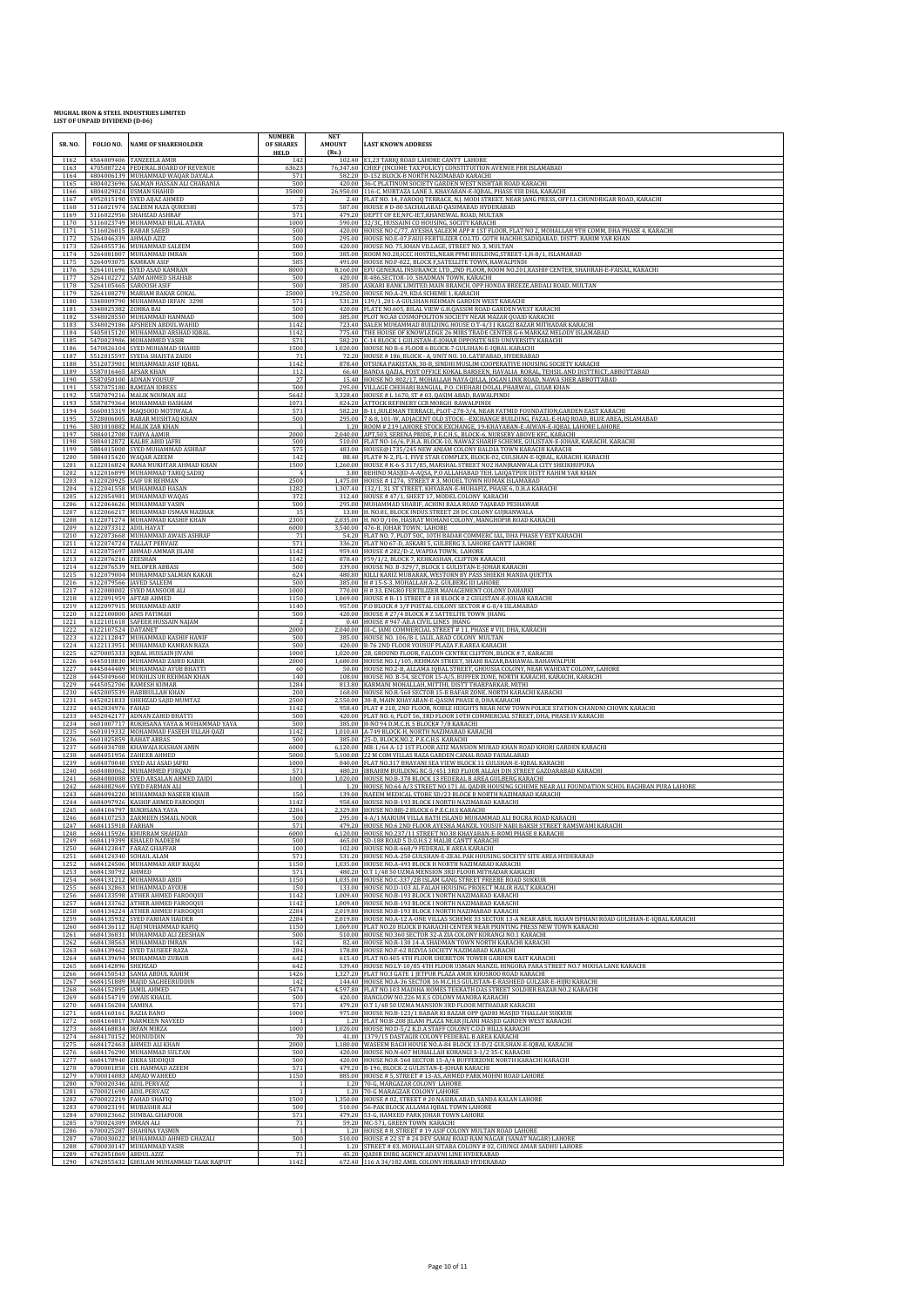| SR. NO.<br>1162      | FOLIO NO.                                      | <b>NAME OF SHAREHOLDER</b><br>4564009406 TANZEELA AMIR                                          | <b>NUMBER</b><br>OF SHARES<br><b>HELD</b><br>142 | <b>NET</b><br><b>AMOUNT</b><br>(Rs.) | <b>LAST KNOWN ADDRESS</b><br>102.40 E1,23 TARIO ROAD LAHORE CANTT LAHORE                                                                                                                                                                                        |
|----------------------|------------------------------------------------|-------------------------------------------------------------------------------------------------|--------------------------------------------------|--------------------------------------|-----------------------------------------------------------------------------------------------------------------------------------------------------------------------------------------------------------------------------------------------------------------|
| 1163<br>1164         |                                                | 4705087224 FEDERAL BOARD OF REVENUE<br>4804006139 MUHAMMAD WAQAR DAYALA                         | 63623<br>571                                     |                                      | 76,347.60 CHIEF (INCOME TAX POLICY) CONSTITUITION AVENUE FBR ISLAMABAD<br>582.20 D-152 BLOCK-B NORTH NAZIMABAD KARACHI                                                                                                                                          |
| 1165<br>1166         |                                                | 4804023696 SALMAN HASSAN ALI CHARANIA<br>4804029024 USMAN SHAHID                                | 500<br>35000                                     |                                      | 420.00 36-C PLATINUM SOCIETY GARDEN WEST NISHTAR ROAD KARACHI<br>26,950.00 116-C, MURTAZA LANE 3, KHAYABAN-E-IQBAL, PHASE VIII DHA, KARACHI                                                                                                                     |
| 1167<br>1168<br>1169 | 4952015190                                     | SYED AIJAZ AHMED<br>5116021974 SALEEM RAZA QURESHI<br>5116022956 SHAHZAD ASHRAF                 | $rac{2}{575}$<br>571                             | 2.40                                 | FLAT NO. 14, FAROOQ TERRACE, N.J. MODI STREET, NEAR JANG PRESS, OFF LI. CHUNDRIGAR ROAD, KARACHI<br>587.00 HOUSE # D-80 SACHALABAD QASIMABAD HYDERABAD<br>479.20 DEPTT OF EE, NFC-IET, KHANEWAL ROAD, MULTAN                                                    |
| 1170<br>1171         | 5116026015                                     | 5116023749 MUHAMMAD BILAL ATARA<br><b>BABAR SAEED</b>                                           | 1000<br>500                                      | 590.00<br>420.00                     | 32/3C, HUSSAINI CO HOUSING, SOCITY KARACHI<br>HOUSE NO C/77, AYESHA SALEEM APP # 1ST FLOOR, FLAT NO 2, MOHALLAH 9TH COMM, DHA PHASE 4, KARACHI                                                                                                                  |
| 1172<br>1173         | 5264046339<br>5264055736                       | AHMAD AZIZ<br>MUHAMMAD SALEEM                                                                   | 500<br>500                                       | 420.00                               | 295.00 HOUSE NO.E-07, FAUJI FERTILIZER CO.LTD. GOTH MACHHI, SADIOABAD, DISTT: RAHIM YAR KHAN<br>HOUSE NO. 75.KHAN VILLAGE, STREET NO. 3. MULTAN                                                                                                                 |
| 1174<br>1175         | 5264081807<br>5264093075                       | MUHAMMAD IMRAN<br><b>KAMRAN ASIF</b>                                                            | 500<br>585                                       | 385.00                               | ROOM NO.28, ICCC HOSTEL, NEAR PPMI BUILDING, STREET-1, H-8/1, ISLAMABAD<br>491.00 HOUSE NO.F-822, BLOCK F, SATELLITE TOWN, RAWALPINDI                                                                                                                           |
| 1176<br>1177<br>1178 | 5264105465                                     | 5264101696 SYED ASAD KAMRAN<br>5264102272 SAIM AHMED SHAHAB<br><b>SAROOSH ASIF</b>              | 8000<br>500<br>500                               | 420.00<br>385.00                     | 8,160.00 EFU GENERAL INSURANCE LTD.,2ND FLOOR, ROOM NO.201,KASHIF CENTER, SHAHRAH-E-FAISAL, KARACHI<br>R-486, SECTOR-10, SHADMAN TOWN, KARACHI<br>ASKARI BANK LIMITED, MAIN BRANCH, OPP.HONDA BREEZE, ABDALI ROAD, MULTAN                                       |
| 1179<br>1180         | 5348009790                                     | 5264108279 MARIAM BAKAR GOKAL<br>MUHAMMAD IRFAN 3298                                            | 25000<br>571                                     |                                      | 19,250.00 HOUSE NO.A-29, KDA SCHEME 1, KARACHI<br>531.20 139/1,201-A GULSHAN REHMAN GARDEN WEST KARACHI                                                                                                                                                         |
| 1181<br>1182         | 5348025382 ZOHRA BAI                           | 5348028550 MUHAMMAD HAMMAD                                                                      | 500<br>500                                       |                                      | 420.00 FLATE NO.605, BILAL VIEW G.H.QASSIM ROAD GARDEN WEST KARACHI<br>385.00 PLOT NO.A8 COSMOPOLITON SOCIETY NEAR MAZAR QUAID KARACHI                                                                                                                          |
| 1183<br>1184         |                                                | 5348029186 AFSHEEN ABDUL WAHID<br>5405015120 MUHAMMAD ARSHAD IQBAL                              | 1142<br>1142                                     |                                      | 723.40 SALEH MUHAMMAD BUILDING HOUSE O.T-4/31 KAGZI BAZAR MITHADAR KARACHI<br>775.40 THE HOUSE OF KNOWLEDGE 26 MIRS TRADE CENTER G-6 MARKAZ MELODY ISLAMABAD                                                                                                    |
| 1185<br>1186<br>1187 |                                                | 5470023986 MOHAMMED YASIR<br>5470026104 SYED MUHAMAD SHAHID<br>5512015597 SYEDA SHAISTA ZAIDI   | 571<br>1500<br>71                                |                                      | 582.20 C-14 BLOCK 1 GULISTAN-E-JOHAR OPPOSITE NED UNIVERSITY KARACHI<br>1,020.00 HOUSE NO B-6 FLOOR 6 BLOCK-7 GULSHAN-E-IQBAL KARACHI<br>72.20 HOUSE #186, BLOCK - A, UNIT NO. 10, LATIFABAD, HYDERABAD                                                         |
| 1188<br>1189         | 5587016465                                     | 5512073901 MUHAMMAD ASIF IQBAL<br><b>AFSAR KHAN</b>                                             | 1142<br>112                                      | 66.40                                | 878.40 OTSUKA PAKISTAN, 30-B, SINDHI MUSLIM COOPERATIVE HOUSING SOCIETY KARACHI<br>BANDA QAZIA, POST OFFICE KOKAL BARSEEN, HAVALIA RORAL, TEHSIL AND DISTTRICT, ABBOTTABAD                                                                                      |
| 1190<br>1191         |                                                | 5587050100 ADNAN YOUSUF<br>5587075180 RAMZAN IDREES                                             | 27<br>500                                        |                                      | 15.40 HOUSE NO. 802/17, MOHALLAH NAYA QILLA, JOGAN LINK ROAD, NAWA SHER ABBOTTABAD<br>295.00 VILLAGE CHEHARI BANGIAL, P.O. CHEHARI DOLAL PHARWAL, GUJAR KHAN                                                                                                    |
| 1192<br>1193         | 5587079216                                     | <b>MALIK NOUMAN ALI</b><br>5587079364 MUHAMMAD HASHAM                                           | 5642<br>1071                                     | 3.328.40                             | HOUSE # L 1670, ST # 03, QASIM ABAD, RAWALPINDI<br>824.20 ATTOCK REFINERY CCR MORGH RAWALPINDI                                                                                                                                                                  |
| 1194<br>1195         | 5728006005                                     | 5660015319 MAQSOOD MOTIWALA<br><b>BABAR MUSHTAQ KHAN</b>                                        | 571<br>500                                       | 295.00                               | 582.20 B-11, SULEMAN TERRACE, PLOT-278-3/4, NEAR FATMID FOUNDATION, GARDEN EAST KARACHI<br>7 & 8, 101-W, ADJACENT OLD STOCK--EXCHANGE BUILDING, FAZAL-E-HAQ ROAD, BLUE AREA, ISLAMABAD                                                                          |
| 1196<br>1197<br>1198 |                                                | 5801010882 MALIK ZAR KHAN<br>5884012708 YAHYA AAMIR<br>5884012872 KALBE ABID JAFRI              | 1<br>2000<br>500                                 | 1.20                                 | ROOM # 219 LAHORE STOCK EXCHANGE, 19-KHAYABAN-E-AIWAN-E-IQBAL LAHORE LAHORE<br>2,040.00 APT,503, SERENA PRIDE, P.E.C.H.S., BLOCK-6, NURSERY ABOVE KFC, KARACHI<br>510.00 FLAT NO-16/6, P.H.A. BLOCK-10, NAWAZ SHARIF SCHEME, GULISTAN-E-JOHAR, KARACHI. KARACHI |
| 1199<br>1200         | 5884015420                                     | 5884015008 SYED MUHAMMAD ASHRAF<br>WAQAR AZEEM                                                  | 575<br>142                                       | 483.00<br>88.40                      | HOUSE@1735/245 NEW ANJAM COLONY BALDIA TOWN KARACHI KARACHI<br>FLAT# N-2, FL-1, FIVE STAR COMPLEX, BLOCK-02, GULSHAN-E-IQBAL, KARACHI. KARACHI                                                                                                                  |
| 1201<br>1202         |                                                | 6122016824 RANA MUKHTAR AHMAD KHAN<br>6122016899 MUHAMMAD TARIQ SADIQ                           | 1500                                             | 3.80                                 | 1,260.00 HOUSE # K-6-S 317/85, MARSHAL STREET NO2 HANJRANWALA CITY SHEIKHUPURA<br>BEHIND MASJID-A-AQSA, P.O ALLAHABAD TEH. LAIQATPUR DISTT RAHIM YAR KHAN                                                                                                       |
| 1203<br>1204         | 6122020925                                     | SAIF UR REHMAN<br>6122041558 MUHAMMAD HASAN                                                     | 2500<br>1282                                     | 1,475.00                             | HOUSE #1274, STREET #3, MODEL TOWN HUMAK ISLAMABAD<br>1,307.40 132/1, 31 ST STREET, KHYABAN-E-MUHAFIZ, PHASE 6, D.H.A KARACHI                                                                                                                                   |
| 1205<br>1206<br>1207 |                                                | 6122054981 MUHAMMAD WAQAS<br>6122064626 MUHAMMAD YASIN<br>6122066217 MUHAMMAD USMAN MAZHAR      | 372<br>500<br>15                                 | 13.00                                | 312.40 HOUSE #47/1, SHEET 17, MODEL COLONY KARACHI<br>295.00 MUHAMMAD SHARIF, ACHINI BALA ROAD TAJABAD PESHAWAR<br>H. NO.81, BLOCK INDUS STREET 28 DC COLONY GUIRANWALA                                                                                         |
| 1208<br>1209         | 6122073312 ADIL HAYAT                          | 6122071274 MUHAMMAD KASHIF KHAN                                                                 | 2300<br>6000                                     |                                      | 2,035.00 H. NO D/106, HASRAT MOHANI COLONY, MANGHOPIR ROAD KARACHI<br>3,540.00 476-B, JOHAR TOWN, LAHORE                                                                                                                                                        |
| 1210<br>1211         |                                                | 6122073668 MUHAMMAD AWAIS ASHRAF<br>6122074724 TALLAT PERVAIZ                                   | 71<br>571                                        | 336.20                               | 54.20 FLAT NO. 7, PLOT 50C, 10TH BADAR COMMERC IAL, DHA PHASE V EXT KARACHI<br>FLAT NO 67-D, ASKARI 5, GULBERG 3, LAHORE CANTT LAHORE                                                                                                                           |
| 1212<br>1213         | 6122076216 ZEESHAN                             | 6122075697 AHMAD AMMAR JILANI                                                                   | 1142<br>1142                                     | 878.40                               | 959.40 HOUSE #282/D-2, WAPDA TOWN, LAHORE<br>F59/1/2, BLOCK 7, KEHKASHAN, CLIFTON KARACHI                                                                                                                                                                       |
| 1214<br>1215         | 6122076539                                     | <b>NELOFER ABBASI</b><br>6122079004 MUHAMMAD SALMAN KAKAR                                       | 500<br>624                                       | 339.00<br>480.80                     | HOUSE NO. B-329/7, BLOCK 1 GULISTAN-E-JOHAR KARACHI<br>KILLI KARIZ MUBARAK, WESTORN BY PASS SHIEKH MANDA QUETTA                                                                                                                                                 |
| 1216<br>1217<br>1218 | 6122080002                                     | 6122079566   JAVED SALEEM<br>SYED MANSOOR AL                                                    | 500<br>1000<br>1150                              | 770.00                               | 385.00 H # 15-S-3, MOHALLAH A-2, GULBERG III LAHORE<br>H # 33, ENGRO FERTILIZER MANAGEMENT COLONY DAHARKI                                                                                                                                                       |
| 1219<br>1220         |                                                | 6122091959 AFTAB AHMED<br>6122097915 MUHAMMAD ARIF<br>6122100800 ANIS FATIMAH                   | 1140<br>500                                      | 420.00                               | 1,069.00 HOUSE # R-11 STREET # 18 BLOCK # 2 GULISTAN-E-JOHAR KARACH<br>957.00 P.O BLOCK #3/F POSTAL COLONY SECTOR # G-8/4 ISLAMABAD<br>HOUSE # 27/4 BLOCK # Z SATTELITE TOWN IHANG                                                                              |
| 1221<br>1222         | 6122107524 DATANET                             | 6122101618 SAFEER HUSSAIN NAJAM                                                                 | $\mathcal{P}$<br>2000                            | 0.40                                 | HOUSE # 947-AB.A CIVIL LINES JHANG<br>2,040.00 III-C, JAMI COMMERCIAL STREET #11, PHASE # VII, DHA, KARACHI                                                                                                                                                     |
| 1223<br>1224         |                                                | 6122112847 MUHAMMAD KASHIF HANIF<br>6122113951 MUHAMMAD KAMRAN RAZA                             | 500<br>500                                       | 420.00                               | 385.00 HOUSE NO. 106/B-I, JALIL ABAD COLONY MULTAN<br>B-76 2ND FLOOR YOUSUF PLAZA F.B.AREA KARACHI                                                                                                                                                              |
| 1225<br>1226         | 6270005333                                     | IQBAL HUSSAIN JIVANI<br>6445018830 MUHAMMAD ZAHID KABIR                                         | 1000<br>2000                                     | 1.020.00                             | 2B, GROUND FLOOR, FALCON CENTRE CLIFTON, BLOCK #7, KARACHI<br>1,680.00 HOUSE NO.1/105, REHMAN STREET, SHAHI BAZAR, BAHAWAL BAHAWALPUR                                                                                                                           |
| 1227<br>1228<br>1229 |                                                | 6445044489 MUHAMMAD AYUB BHATTI<br>6445049660 MUKHLIS UR REHMAN KHAN<br>6445052706 RAMESH KUMAR | 60<br>140<br>1284                                | 108.00                               | 50.00 HOUSE NO.2-B, ALLAMA IQBAL STREET, GHOUSIA COLONY, NEAR WAHDAT COLONY, LAHORE<br>HOUSE NO. B-54, SECTOR 15-A/5, BUFFER ZONE, NORTH KARACHI, KARACHI, KARACHI<br>813.80 KARMANI MOHALLAH, MITTHI, DISTT THARPARKAR, MITHI                                  |
| 1230<br>1231         |                                                | 6452005539 HABIBULLAH KHAN<br>6452021833 SHEHZAD SAJID MUMTAZ                                   | 200<br>2500                                      |                                      | 168.00 HOUSE NO.R-560 SECTOR 15-B BAFAR ZONE, NORTH KARACHI KARACHI<br>2,550.00 38-B, MAIN KHAYABAN-E-QASIM PHASE 8, DHA KARACHI                                                                                                                                |
| 1232<br>1233         | 6452034976<br>6452042177                       | FAHAD<br>ADNAN ZAHID BHATTI                                                                     | 1142<br>500                                      | 958.40<br>420.00                     | FLAT # 218, 2ND FLOOR, NOBLE HEIGHTS NEAR NEW TOWN POLICE STATION CHANDNI CHOWK KARACHI<br>FLAT NO. 6, PLOT 56, 3RD FLOOR 10TH COMMERCIAL STREET, DHA, PHASE IV KARACHI                                                                                         |
| 1234<br>1235         |                                                | 6601007717 RUKHSANA YAYA & MUHAMMAD YAYA<br>6601019332 MOHAMMAD FASEEH ULLAH QAZI               | 500<br>1142                                      |                                      | 385.00 H-NO 94 D.M.C.H. S BLOCK# 7/8 KARACHI<br>1,010.40 A-749 BLOCK-H, NORTH NAZIMABAD KARACHI                                                                                                                                                                 |
| 1236<br>1237<br>1238 | 6601025859                                     | RAHAT ABBAS<br>6684034788 KHAWAJA KASHAN AMIN<br>6684051956 ZAHEER AHMED                        | 500<br>6000<br>5000                              | 385.00<br>5.100.00                   | 25-D, BLOCK.NO.2, P.E.C.H,S KARACHI<br>6,120.00 MR-1/64 A-12 1ST FLOOR AZIZ MANSION MURAD KHAN ROAD KHORI GARDEN KARACHI<br>22 M COM VILLAS RAZA GARDEN CANAL ROAD FAISALABAD                                                                                   |
| 1239<br>1240         | 6684070048                                     | SYED ALI ASAD JAFRI<br>6684080062 MUHAMMED FURQAN                                               | 1000<br>571                                      | 840.00                               | FLAT NO.317 BHAYANI SEA VIEW BLOCK 11 GULSHAN-E-IQBAL KARACHI<br>480.20   IBRAHIM BUILDING RC-5/451 3RD FLOOR ALLAH DIN STREET GAZDARABAD KARACHI                                                                                                               |
| 1241<br>1242         | 6684082969                                     | 6684080088 SYED ARSALAN AHMED ZAIDI<br>SYED FARMAN ALI                                          | 1000<br>1                                        | 1.20                                 | 1,020.00 HOUSE NO.B-378 BLOCK 13 FEDERAL B AREA GULBERG KARACHI<br>HOUSE NO.64 A/3 STREET NO.171 AL QADIR HOUSING SCHEME NEAR ALI FOUNDATION SCHOL BAGHBAN PURA LAHORE                                                                                          |
| 1243<br>1244         |                                                | 6684094220 MUHAMMAD NASEER KHAIR<br>6684097926 KASHIF AHMED FAROOQUI                            | 150<br>1142                                      | 139.00                               | NAEEM MEDICAL STORE SD/23 BLOCK B NORTH NAZIMABAD KARACHI<br>958.40 HOUSE NO.B-193 BLOCK I NORTH NAZIMABAD KARACHI                                                                                                                                              |
| 1245<br>1246<br>1247 | 6684115918 FARHAN                              | 6684104797 RUKHSANA YAYA<br>6684107253 ZARMEEN ISMAIL NOOR                                      | 2284<br>500<br>571                               |                                      | 2,329.80 HOUSE NO.88J-2 BLOCK 6 P.E.C.H.S KARACHI<br>295.00 4-A/1 MARIUM VILLA BATH ISLAND MUHAMMAD ALI BOGRA ROAD KARACHI<br>479 20 HOUSE NO 6 2ND FLOOR AVESHA MANZIL VOUSUE NARI RAKSH STREET RAMSWAMI KARACH                                                |
| 1248<br>1249         |                                                | 6684115926 KHURRAM SHAHZAD<br>6684119399 KHALED NADEEM                                          | 6000<br>500                                      |                                      | 6,120.00 HOUSE NO.237/11 STREET NO.38 KHAYABAN-E-ROMI PHASE 8 KARACHI<br>465.00 SD-188 ROAD 5 D.O.H.S 2 MALIR CANTT KARACHI                                                                                                                                     |
| 1250<br>1251         | 6684123847                                     | <b>FARAZ GHAFFAR</b><br>6684124340 SOHAIL ALAM                                                  | 100<br>571                                       |                                      | 102.00 HOUSE NO.R-668/9 FEDERAL B AREA KARACHI<br>531.20 HOUSE NO.A-250 GULSHAN-E-ZEAL PAK HOUSING SOCEITY SITE AREA HYDERABAD                                                                                                                                  |
| 1252<br>1253         | 6684130792 AHMED                               | 6684124506 MUHAMMAD ARIF BAQAI                                                                  | 1150<br>571                                      |                                      | 1,035.00 HOUSE NO.A-493 BLOCK H NORTH NAZIMABAD KARACHI<br>480.20 O.T 1/48 50 UZMA MENSION 3RD FLOOR MITHADAR KARACHI                                                                                                                                           |
| 1254<br>1255<br>1256 |                                                | 6684131212 MUHAMMAD ABID<br>6684132863 MUHAMMAD AYOUB<br>6684133598 ATHER AHMED FAROOQUI        | 1150<br>150<br>1142                              | 133.00                               | 1,035.00 HOUSE NO.C-337/2B ISLAM GANG STREET FREERE ROAD SUKKUR<br>HOUSE NO.D-103 AL FALAH HOUSING PROJECT MALIR HALT KARACHI<br>1,009.40 HOUSE NO.B-193 BLOCK I NORTH NAZIMABAD KARACHI                                                                        |
| 1257<br>1258         | 6684134224                                     | 6684133762 ATHER AHMED FAROOQUI<br>ATHER AHMED FAROOQUI                                         | 1142<br>2284                                     |                                      | 1,009.40 HOUSE NO.B-193 BLOCK I NORTH NAZIMABAD KARACHI<br>2,019.80 HOUSE NO.B-193 BLOCK I NORTH NAZIMABAD KARACHI                                                                                                                                              |
| 1259<br>1260         |                                                | 6684135932 SYED FARHAN HAIDER<br>6684136112 HAJI MUHAMMAD RAFIQ                                 | 2284<br>1150                                     |                                      | 2,019.80 HOUSE NO.A-12 A-ONE VILLAS SCHEME 33 SECTOR 13-A NEAR ABUL HASAN ISPHANI ROAD GULSHAN-E-IOBAL KARACHI<br>1,069.00 FLAT NO.20 BLOCK B KARACHI CENTER NEAR PRINTING PRESS NEW TOWN KARACHI                                                               |
| 1261<br>1262         | 6684136831                                     | MUHAMMAD ALI ZEESHAN<br>6684138563 MUHAMMAD IMRAN                                               | 500<br>142                                       | 510.00                               | HOUSE NO.360 SECTOR 32-A ZIA COLONY KORANGI NO.1 KARACHI<br>82.40 HOUSE NO.R-130 14-A SHADMAN TOWN NORTH KARACHI KARACHI                                                                                                                                        |
| 1263<br>1264<br>1265 | 6684142896                                     | 6684139462 SYED TAUSEEF RAZA<br>6684139694 MUHAMMAD ZUBAIR<br>SHEHZAD                           | 284<br>642<br>642                                | 615.40<br>539.40                     | 178.80 HOUSE NO.F-62 RIZVIA SOCIETY NAZIMABAD KARACHI<br>FLAT NO.405 4TH FLOOR SHERETON TOWER GARDEN EAST KARACHI<br>HOUSE NO.LY-10/85 4TH FLOOR USMAN MANZIL HINGORA PARA STREET NO.7 MOOSA LANE KARACHI                                                       |
| 1266<br>1267         |                                                | 6684150543 SANIA ABDUL RAHIM<br>6684151889 MAJID SAGHEERUDDIN                                   | 1426<br>142                                      | 144.40                               | 1,327.20 FLAT NO.3 GATE 1 JETPUR PLAZA AMIR KHUSROO ROAD KARACHI<br>HOUSE NO.A-36 SECTOR 16 M.C.H.S GULISTAN-E-RASHEED GULZAR-E-HIJRI KARACHI                                                                                                                   |
| 1268<br>1269         | 6684152895                                     | <b>JAMIL AHMED</b><br>6684154719 OWAIS KHALIL                                                   | 5474<br>500                                      |                                      | 4,597.80 FLAT NO.103 MADIHA HOMES TEERATH DAS STREET SOLDIER BAZAR NO.2 KARACHI<br>420.00 BANGLOW NO.226 M.E.S COLONY MANORA KARACHI                                                                                                                            |
| 1270<br>1271         | 6684156284 SAMINA<br>6684160161 RAZIA BANO     |                                                                                                 | 571<br>1000                                      |                                      | 479.20 O.T 1/48 50 UZMA MANSION 3RD FLOOR MITHADAR KARACHI<br>975.00 HOUSE NO.B-123/1 BABAR KI BAZAR OPP QADRI MASJID THALLAH SUKKUR                                                                                                                            |
| 1272<br>1273<br>1274 | 6684168834 IRFAN MIRZA<br>6684170152 MOINUDDIN | 6684164817 NARMEEN NAVEED                                                                       | $\overline{1}$<br>1000<br>70                     |                                      | 1.20 FLAT NO.B-208 JILANI PLAZA NEAR JILANI MASJID GARDEN WEST KARACHI<br>1,020.00 HOUSE NO.D-5/2 K.D.A STAFF COLONY C.O.D HILLS KARACHI<br>41.00 1379/15 DASTAGIR COLONY FEDERAL B AREA KARACHI                                                                |
| 1275<br>1276         |                                                | 6684172463 AHMED ALI KHAN<br>6684176290 MUHAMMAD SULTAN                                         | 2000<br>500                                      |                                      | 1,180.00 WASEEM BAGH HOUSE NO.A-84 BLOCK 13-D/2 GULSHAN-E-IQBAL KARACHI<br>420.00 HOUSE NO.N-607 MUHALLAH KORANGI 3-1/2 35-C KARACHI                                                                                                                            |
| 1277<br>1278         |                                                | 6684178940 ZIKRA SIDDIQUI<br>6700001858 CH, HAMMAD AZEEM                                        | 500<br>571                                       |                                      | 420.00 HOUSE NO.R-560 SECTOR 15-A/4 BUFFERZONE NORTH KARACHI KARACHI<br>479.20 B-196, BLOCK-2 GULISTAN-E-JOHAR KARACHI                                                                                                                                          |
| 1279<br>1280         |                                                | 6700014083 AMJAD WAHEED<br>6700020346 ADIL PERVAIZ                                              | 1150                                             | 1.20                                 | 885.00 HOUSE # 5, STREET # 13-AS, AHMED PARK MOHNI ROAD LAHORE<br>70-G, MARGAZAR COLONY LAHORE                                                                                                                                                                  |
| 1281<br>1282         |                                                | 6700021690 ADIL PERVAIZ<br>6700022219 FAHAD SHAFIQ                                              | $\overline{1}$<br>1500                           | 1.350.00<br>510.00                   | 1.20 70-G MARAGZAR COLONY LAHORE<br>HOUSE # 02, STREET # 20 NASIRA ABAD, SANDA KALAN LAHORE<br>56-PAK BLOCK ALLAMA IQBAL TOWN LAHORE                                                                                                                            |
| 1283<br>1284<br>1285 | 6700024389 IMRAN ALI                           | 6700023191 MUBASHIR ALI<br>6700023662 SUMBAL GHAFOOR                                            | 500<br>571<br>71                                 |                                      | 479.20 53-G, HAMEED PARK JOHAR TOWN LAHORE<br>59.20 MC-571, GREEN TOWN KARACHI                                                                                                                                                                                  |
| 1286<br>1287         | 6700025287                                     | SHAHINA YASMIN<br>6700030022 MUHAMMAD AHMED GHAZALI                                             | 1<br>500                                         | 1.20                                 | HOUSE # 8, STREET # 19 ASIF COLONY MULTAN ROAD LAHORE<br>510.00 HOUSE # 22 ST # 24 DEV SAMAJ ROAD RAM NAGAR (SANAT NAGAR) LAHORE                                                                                                                                |
| 1288<br>1289         | 6742051069 ABDUL AZIZ                          | 6700030147 MUHAMMAD YASIR                                                                       | $\mathbf{1}$<br>71                               |                                      | 1.20 STREET # 03, MOHALLAH SITARA COLONY # 02, CHUNGI AMAR SADHU LAHORE<br>45.20 QADIR DURG AGENCY ADAVNI LINE HYDERABAD                                                                                                                                        |
| 1290                 |                                                | 6742055432 GHULAM MUHAMMAD TAAK RAJPUT                                                          | 1142                                             |                                      | 672.40 116 A 34/182 AMIL COLONY HIRABAD HYDERABAD                                                                                                                                                                                                               |